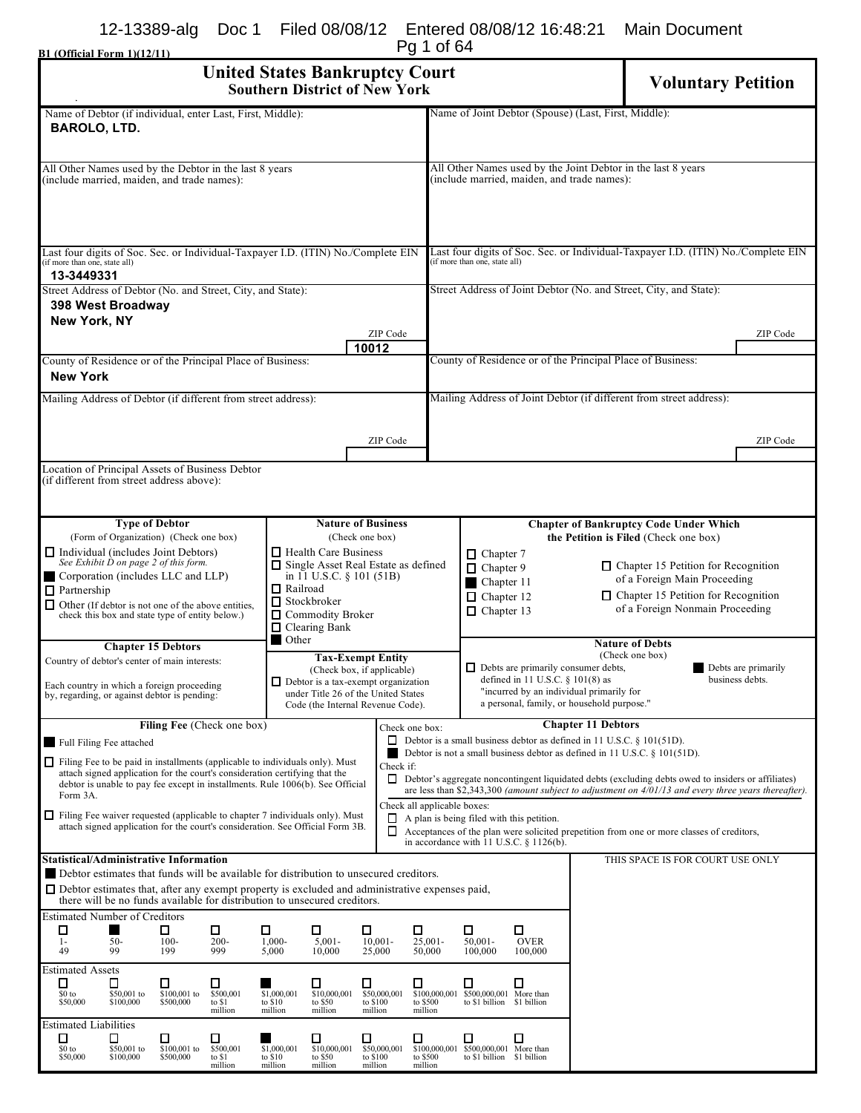12-13389-alg Doc 1 Filed 08/08/12 Entered 08/08/12 16:48:21 Main Document

| <b>B1 (Official Form 1)(12/11)</b> |  |  |  |  |  |
|------------------------------------|--|--|--|--|--|
|------------------------------------|--|--|--|--|--|

Pg 1 of 64

| <b>United States Bankruptcy Court</b><br><b>Southern District of New York</b>                                                                                                                                                                                                                                                                                                                                                                                                                                                     |                                                                                                                                                                                  |                                          |                                                                                                       |                                                                                                 |                                                                                                                                                                             |  | <b>Voluntary Petition</b>                                                                                                                                                                                                                                                    |                                                                                                         |
|-----------------------------------------------------------------------------------------------------------------------------------------------------------------------------------------------------------------------------------------------------------------------------------------------------------------------------------------------------------------------------------------------------------------------------------------------------------------------------------------------------------------------------------|----------------------------------------------------------------------------------------------------------------------------------------------------------------------------------|------------------------------------------|-------------------------------------------------------------------------------------------------------|-------------------------------------------------------------------------------------------------|-----------------------------------------------------------------------------------------------------------------------------------------------------------------------------|--|------------------------------------------------------------------------------------------------------------------------------------------------------------------------------------------------------------------------------------------------------------------------------|---------------------------------------------------------------------------------------------------------|
| Name of Debtor (if individual, enter Last, First, Middle):                                                                                                                                                                                                                                                                                                                                                                                                                                                                        |                                                                                                                                                                                  |                                          |                                                                                                       | Name of Joint Debtor (Spouse) (Last, First, Middle):                                            |                                                                                                                                                                             |  |                                                                                                                                                                                                                                                                              |                                                                                                         |
| <b>BAROLO, LTD.</b>                                                                                                                                                                                                                                                                                                                                                                                                                                                                                                               |                                                                                                                                                                                  |                                          |                                                                                                       |                                                                                                 |                                                                                                                                                                             |  |                                                                                                                                                                                                                                                                              |                                                                                                         |
| All Other Names used by the Debtor in the last 8 years<br>(include married, maiden, and trade names):                                                                                                                                                                                                                                                                                                                                                                                                                             |                                                                                                                                                                                  |                                          | (include married, maiden, and trade names):                                                           |                                                                                                 | All Other Names used by the Joint Debtor in the last 8 years                                                                                                                |  |                                                                                                                                                                                                                                                                              |                                                                                                         |
| Last four digits of Soc. Sec. or Individual-Taxpayer I.D. (ITIN) No./Complete EIN<br>(if more than one, state all)<br>13-3449331                                                                                                                                                                                                                                                                                                                                                                                                  |                                                                                                                                                                                  |                                          |                                                                                                       | (if more than one, state all)                                                                   |                                                                                                                                                                             |  |                                                                                                                                                                                                                                                                              | Last four digits of Soc. Sec. or Individual-Taxpayer I.D. (ITIN) No./Complete EIN                       |
| Street Address of Debtor (No. and Street, City, and State):<br>398 West Broadway<br>New York, NY                                                                                                                                                                                                                                                                                                                                                                                                                                  |                                                                                                                                                                                  |                                          |                                                                                                       |                                                                                                 |                                                                                                                                                                             |  | Street Address of Joint Debtor (No. and Street, City, and State):                                                                                                                                                                                                            |                                                                                                         |
|                                                                                                                                                                                                                                                                                                                                                                                                                                                                                                                                   |                                                                                                                                                                                  | ZIP Code<br>10012                        |                                                                                                       |                                                                                                 |                                                                                                                                                                             |  |                                                                                                                                                                                                                                                                              | ZIP Code                                                                                                |
| County of Residence or of the Principal Place of Business:<br><b>New York</b>                                                                                                                                                                                                                                                                                                                                                                                                                                                     |                                                                                                                                                                                  |                                          |                                                                                                       |                                                                                                 |                                                                                                                                                                             |  | County of Residence or of the Principal Place of Business:                                                                                                                                                                                                                   |                                                                                                         |
| Mailing Address of Debtor (if different from street address):                                                                                                                                                                                                                                                                                                                                                                                                                                                                     |                                                                                                                                                                                  |                                          |                                                                                                       |                                                                                                 |                                                                                                                                                                             |  | Mailing Address of Joint Debtor (if different from street address):                                                                                                                                                                                                          |                                                                                                         |
|                                                                                                                                                                                                                                                                                                                                                                                                                                                                                                                                   |                                                                                                                                                                                  | ZIP Code                                 |                                                                                                       |                                                                                                 |                                                                                                                                                                             |  |                                                                                                                                                                                                                                                                              | ZIP Code                                                                                                |
| Location of Principal Assets of Business Debtor<br>(if different from street address above):                                                                                                                                                                                                                                                                                                                                                                                                                                      |                                                                                                                                                                                  |                                          |                                                                                                       |                                                                                                 |                                                                                                                                                                             |  |                                                                                                                                                                                                                                                                              |                                                                                                         |
| <b>Type of Debtor</b>                                                                                                                                                                                                                                                                                                                                                                                                                                                                                                             | <b>Nature of Business</b>                                                                                                                                                        |                                          |                                                                                                       |                                                                                                 |                                                                                                                                                                             |  | <b>Chapter of Bankruptcy Code Under Which</b>                                                                                                                                                                                                                                |                                                                                                         |
| (Form of Organization) (Check one box)<br>(Check one box)<br>$\Box$ Individual (includes Joint Debtors)<br>$\Box$ Health Care Business<br>See Exhibit $D$ on page 2 of this form.<br>$\Box$ Single Asset Real Estate as defined<br>Corporation (includes LLC and LLP)<br>in 11 U.S.C. § 101 (51B)<br>$\Box$ Railroad<br>$\Box$ Partnership<br>$\Box$ Stockbroker<br>$\Box$ Other (If debtor is not one of the above entities,<br>Commodity Broker<br>□<br>check this box and state type of entity below.)<br>$\Box$ Clearing Bank |                                                                                                                                                                                  |                                          |                                                                                                       | $\Box$ Chapter 7<br>$\Box$ Chapter 9<br>Chapter 11<br>m<br>Chapter 12<br>□<br>$\Box$ Chapter 13 |                                                                                                                                                                             |  | the Petition is Filed (Check one box)<br>$\Box$ Chapter 15 Petition for Recognition<br>of a Foreign Main Proceeding<br>□ Chapter 15 Petition for Recognition<br>of a Foreign Nonmain Proceeding                                                                              |                                                                                                         |
| <b>Chapter 15 Debtors</b>                                                                                                                                                                                                                                                                                                                                                                                                                                                                                                         | <b>Other</b>                                                                                                                                                                     |                                          |                                                                                                       |                                                                                                 |                                                                                                                                                                             |  | <b>Nature of Debts</b>                                                                                                                                                                                                                                                       |                                                                                                         |
| Country of debtor's center of main interests:<br>Each country in which a foreign proceeding<br>by, regarding, or against debtor is pending:                                                                                                                                                                                                                                                                                                                                                                                       | <b>Tax-Exempt Entity</b><br>(Check box, if applicable)<br>$\Box$ Debtor is a tax-exempt organization<br>under Title 26 of the United States<br>Code (the Internal Revenue Code). |                                          |                                                                                                       |                                                                                                 | $\Box$ Debts are primarily consumer debts,<br>defined in 11 U.S.C. $\S$ 101(8) as<br>"incurred by an individual primarily for<br>a personal, family, or household purpose." |  | (Check one box)                                                                                                                                                                                                                                                              | Debts are primarily<br>business debts.                                                                  |
| Filing Fee (Check one box)                                                                                                                                                                                                                                                                                                                                                                                                                                                                                                        |                                                                                                                                                                                  | Check one box:                           | <b>Chapter 11 Debtors</b><br>Debtor is a small business debtor as defined in 11 U.S.C. $\S$ 101(51D). |                                                                                                 |                                                                                                                                                                             |  |                                                                                                                                                                                                                                                                              |                                                                                                         |
| Full Filing Fee attached<br>$\Box$ Filing Fee to be paid in installments (applicable to individuals only). Must<br>Check if:<br>attach signed application for the court's consideration certifying that the<br>debtor is unable to pay fee except in installments. Rule 1006(b). See Official<br>Form 3A.<br>Check all applicable boxes:<br>$\Box$ Filing Fee waiver requested (applicable to chapter 7 individuals only). Must<br>attach signed application for the court's consideration. See Official Form 3B.<br>□            |                                                                                                                                                                                  |                                          |                                                                                                       |                                                                                                 | $\Box$ A plan is being filed with this petition.<br>in accordance with 11 U.S.C. $§$ 1126(b).                                                                               |  | Debtor is not a small business debtor as defined in 11 U.S.C. § 101(51D).<br>Debtor's aggregate noncontingent liquidated debts (excluding debts owed to insiders or affiliates)<br>Acceptances of the plan were solicited prepetition from one or more classes of creditors, | are less than \$2,343,300 (amount subject to adjustment on $4/01/13$ and every three years thereafter). |
| <b>Statistical/Administrative Information</b>                                                                                                                                                                                                                                                                                                                                                                                                                                                                                     |                                                                                                                                                                                  |                                          |                                                                                                       |                                                                                                 |                                                                                                                                                                             |  | THIS SPACE IS FOR COURT USE ONLY                                                                                                                                                                                                                                             |                                                                                                         |
| Debtor estimates that funds will be available for distribution to unsecured creditors.<br>$\Box$ Debtor estimates that, after any exempt property is excluded and administrative expenses paid,<br>there will be no funds available for distribution to unsecured creditors.                                                                                                                                                                                                                                                      |                                                                                                                                                                                  |                                          |                                                                                                       |                                                                                                 |                                                                                                                                                                             |  |                                                                                                                                                                                                                                                                              |                                                                                                         |
| <b>Estimated Number of Creditors</b><br>□<br>□<br>□<br>◻<br>$1-$<br>$50 -$<br>$200 -$<br>$100 -$<br>49<br>99<br>199<br>999                                                                                                                                                                                                                                                                                                                                                                                                        | 口<br>□<br>$1,000-$<br>$5,001 -$<br>10,000<br>5,000                                                                                                                               | 口<br>$10,001 -$<br>25,000                | $25,001 -$<br>50,000                                                                                  | □<br>$50,001 -$<br>100,000                                                                      | □<br><b>OVER</b><br>100,000                                                                                                                                                 |  |                                                                                                                                                                                                                                                                              |                                                                                                         |
| <b>Estimated Assets</b><br>□<br>□<br>□<br>◻<br>\$0 to<br>\$50,001 to<br>\$100,001 to<br>\$500,001<br>\$50,000<br>\$100,000<br>\$500,000<br>to \$1<br>million                                                                                                                                                                                                                                                                                                                                                                      | □<br>◻<br>\$10,000,001<br>\$1,000,001<br>to \$10<br>to \$50<br>million<br>million                                                                                                | □<br>\$50,000,001<br>to \$100<br>million | \$100,000,001<br>to \$500<br>million                                                                  | □<br>\$500,000,001 More than<br>to \$1 billion                                                  | □<br>\$1 billion                                                                                                                                                            |  |                                                                                                                                                                                                                                                                              |                                                                                                         |
| <b>Estimated Liabilities</b><br>□<br>□<br>□<br>□<br>$\$0$ to<br>\$100,001 to<br>\$500,001<br>\$50,001 to<br>\$50,000<br>\$100,000<br>\$500,000<br>to \$1<br>million                                                                                                                                                                                                                                                                                                                                                               | □<br>□<br>\$10,000,001<br>\$1,000,001<br>to \$10<br>to \$50<br>million<br>million                                                                                                | □<br>\$50,000,001<br>to \$100<br>million | to \$500<br>million                                                                                   | □<br>\$100,000,001 \$500,000,001 More than<br>to \$1 billion \$1 billion                        | □                                                                                                                                                                           |  |                                                                                                                                                                                                                                                                              |                                                                                                         |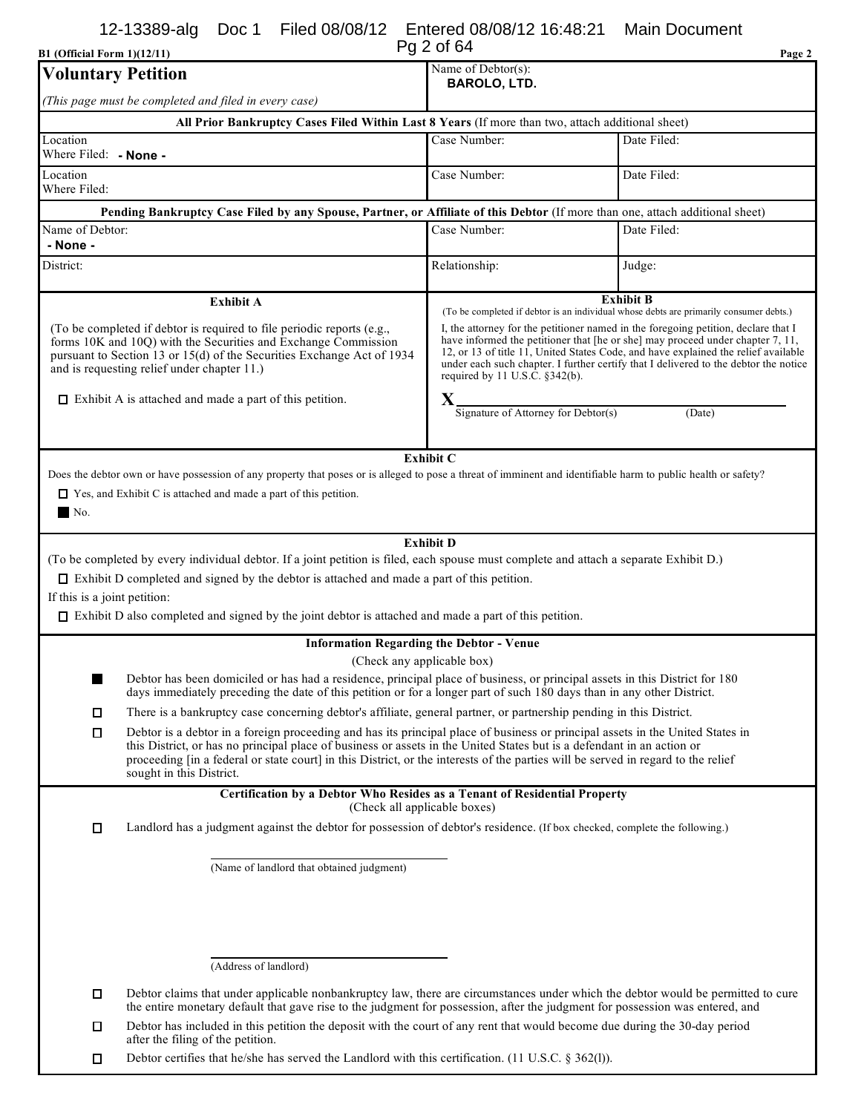12-13389-alg Doc 1 Filed 08/08/12 Entered 08/08/12 16:48:21 Main Document

| <b>B1 (Official Form 1)(12/11)</b>                                                                         |                                                                                                                                                                                                                                                                                                                                                                                                                                                                                                                                                  | Pg 2 of 64                                | Page 2                                                                                                                                                                                                                                                                                                                                             |  |  |
|------------------------------------------------------------------------------------------------------------|--------------------------------------------------------------------------------------------------------------------------------------------------------------------------------------------------------------------------------------------------------------------------------------------------------------------------------------------------------------------------------------------------------------------------------------------------------------------------------------------------------------------------------------------------|-------------------------------------------|----------------------------------------------------------------------------------------------------------------------------------------------------------------------------------------------------------------------------------------------------------------------------------------------------------------------------------------------------|--|--|
|                                                                                                            | <b>Voluntary Petition</b>                                                                                                                                                                                                                                                                                                                                                                                                                                                                                                                        | Name of Debtor(s):<br><b>BAROLO, LTD.</b> |                                                                                                                                                                                                                                                                                                                                                    |  |  |
|                                                                                                            | (This page must be completed and filed in every case)                                                                                                                                                                                                                                                                                                                                                                                                                                                                                            |                                           |                                                                                                                                                                                                                                                                                                                                                    |  |  |
|                                                                                                            | All Prior Bankruptcy Cases Filed Within Last 8 Years (If more than two, attach additional sheet)                                                                                                                                                                                                                                                                                                                                                                                                                                                 |                                           |                                                                                                                                                                                                                                                                                                                                                    |  |  |
| Location<br>Where Filed: - None -                                                                          |                                                                                                                                                                                                                                                                                                                                                                                                                                                                                                                                                  | Case Number:                              | Date Filed:                                                                                                                                                                                                                                                                                                                                        |  |  |
| Location<br>Where Filed:                                                                                   |                                                                                                                                                                                                                                                                                                                                                                                                                                                                                                                                                  | Case Number:                              | Date Filed:                                                                                                                                                                                                                                                                                                                                        |  |  |
|                                                                                                            | Pending Bankruptcy Case Filed by any Spouse, Partner, or Affiliate of this Debtor (If more than one, attach additional sheet)                                                                                                                                                                                                                                                                                                                                                                                                                    |                                           |                                                                                                                                                                                                                                                                                                                                                    |  |  |
| Name of Debtor:<br>- None -                                                                                |                                                                                                                                                                                                                                                                                                                                                                                                                                                                                                                                                  | Case Number:                              | Date Filed:                                                                                                                                                                                                                                                                                                                                        |  |  |
| District:                                                                                                  |                                                                                                                                                                                                                                                                                                                                                                                                                                                                                                                                                  | Relationship:                             | Judge:                                                                                                                                                                                                                                                                                                                                             |  |  |
|                                                                                                            | <b>Exhibit A</b>                                                                                                                                                                                                                                                                                                                                                                                                                                                                                                                                 |                                           | <b>Exhibit B</b><br>(To be completed if debtor is an individual whose debts are primarily consumer debts.)                                                                                                                                                                                                                                         |  |  |
|                                                                                                            | (To be completed if debtor is required to file periodic reports (e.g.,<br>forms 10K and 10Q) with the Securities and Exchange Commission<br>pursuant to Section 13 or 15(d) of the Securities Exchange Act of 1934<br>and is requesting relief under chapter 11.)                                                                                                                                                                                                                                                                                | required by 11 U.S.C. $§342(b)$ .         | I, the attorney for the petitioner named in the foregoing petition, declare that I<br>have informed the petitioner that [he or she] may proceed under chapter 7, 11,<br>12, or 13 of title 11, United States Code, and have explained the relief available<br>under each such chapter. I further certify that I delivered to the debtor the notice |  |  |
| X<br>$\Box$ Exhibit A is attached and made a part of this petition.<br>Signature of Attorney for Debtor(s) |                                                                                                                                                                                                                                                                                                                                                                                                                                                                                                                                                  |                                           | (Date)                                                                                                                                                                                                                                                                                                                                             |  |  |
|                                                                                                            |                                                                                                                                                                                                                                                                                                                                                                                                                                                                                                                                                  | <b>Exhibit C</b>                          |                                                                                                                                                                                                                                                                                                                                                    |  |  |
| No.                                                                                                        | Does the debtor own or have possession of any property that poses or is alleged to pose a threat of imminent and identifiable harm to public health or safety?<br>$\Box$ Yes, and Exhibit C is attached and made a part of this petition.                                                                                                                                                                                                                                                                                                        |                                           |                                                                                                                                                                                                                                                                                                                                                    |  |  |
| If this is a joint petition:                                                                               | (To be completed by every individual debtor. If a joint petition is filed, each spouse must complete and attach a separate Exhibit D.)<br>$\Box$ Exhibit D completed and signed by the debtor is attached and made a part of this petition.<br>$\Box$ Exhibit D also completed and signed by the joint debtor is attached and made a part of this petition.                                                                                                                                                                                      | <b>Exhibit D</b>                          |                                                                                                                                                                                                                                                                                                                                                    |  |  |
|                                                                                                            | <b>Information Regarding the Debtor - Venue</b>                                                                                                                                                                                                                                                                                                                                                                                                                                                                                                  |                                           |                                                                                                                                                                                                                                                                                                                                                    |  |  |
|                                                                                                            | (Check any applicable box)                                                                                                                                                                                                                                                                                                                                                                                                                                                                                                                       |                                           |                                                                                                                                                                                                                                                                                                                                                    |  |  |
|                                                                                                            | Debtor has been domiciled or has had a residence, principal place of business, or principal assets in this District for 180<br>days immediately preceding the date of this petition or for a longer part of such 180 days than in any other District.                                                                                                                                                                                                                                                                                            |                                           |                                                                                                                                                                                                                                                                                                                                                    |  |  |
| □                                                                                                          |                                                                                                                                                                                                                                                                                                                                                                                                                                                                                                                                                  |                                           |                                                                                                                                                                                                                                                                                                                                                    |  |  |
| □                                                                                                          | There is a bankruptcy case concerning debtor's affiliate, general partner, or partnership pending in this District.<br>Debtor is a debtor in a foreign proceeding and has its principal place of business or principal assets in the United States in<br>this District, or has no principal place of business or assets in the United States but is a defendant in an action or<br>proceeding [in a federal or state court] in this District, or the interests of the parties will be served in regard to the relief<br>sought in this District. |                                           |                                                                                                                                                                                                                                                                                                                                                    |  |  |
|                                                                                                            | Certification by a Debtor Who Resides as a Tenant of Residential Property<br>(Check all applicable boxes)                                                                                                                                                                                                                                                                                                                                                                                                                                        |                                           |                                                                                                                                                                                                                                                                                                                                                    |  |  |
| $\Box$                                                                                                     | Landlord has a judgment against the debtor for possession of debtor's residence. (If box checked, complete the following.)                                                                                                                                                                                                                                                                                                                                                                                                                       |                                           |                                                                                                                                                                                                                                                                                                                                                    |  |  |
|                                                                                                            | (Name of landlord that obtained judgment)                                                                                                                                                                                                                                                                                                                                                                                                                                                                                                        |                                           |                                                                                                                                                                                                                                                                                                                                                    |  |  |
|                                                                                                            |                                                                                                                                                                                                                                                                                                                                                                                                                                                                                                                                                  |                                           |                                                                                                                                                                                                                                                                                                                                                    |  |  |
|                                                                                                            | (Address of landlord)                                                                                                                                                                                                                                                                                                                                                                                                                                                                                                                            |                                           |                                                                                                                                                                                                                                                                                                                                                    |  |  |
| □                                                                                                          | Debtor claims that under applicable nonbankruptcy law, there are circumstances under which the debtor would be permitted to cure<br>the entire monetary default that gave rise to the judgment for possession, after the judgment for possession was entered, and                                                                                                                                                                                                                                                                                |                                           |                                                                                                                                                                                                                                                                                                                                                    |  |  |

Debtor certifies that he/she has served the Landlord with this certification. (11 U.S.C. § 362(l)).  $\Box$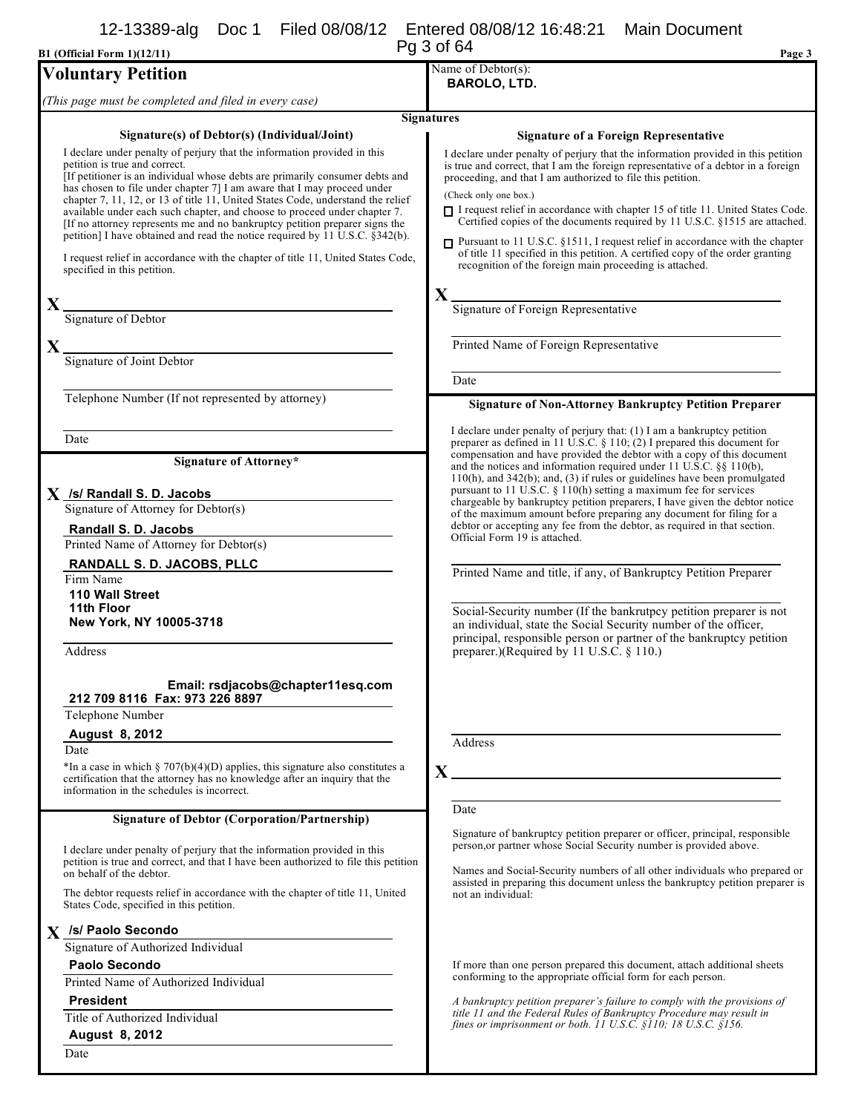| <b>B1 (Official Form 1)(12/11)</b>                                                                                                                                                                                                                                                                                                                                                                                                                                                                                                                                                                                                                                                                                                            | Pg 3 of 64<br>Page 3                                                                                                                                                                                                                                                                                                                                                                                                                                                                                                                                                                                                                                                                                                                                                                                                            |
|-----------------------------------------------------------------------------------------------------------------------------------------------------------------------------------------------------------------------------------------------------------------------------------------------------------------------------------------------------------------------------------------------------------------------------------------------------------------------------------------------------------------------------------------------------------------------------------------------------------------------------------------------------------------------------------------------------------------------------------------------|---------------------------------------------------------------------------------------------------------------------------------------------------------------------------------------------------------------------------------------------------------------------------------------------------------------------------------------------------------------------------------------------------------------------------------------------------------------------------------------------------------------------------------------------------------------------------------------------------------------------------------------------------------------------------------------------------------------------------------------------------------------------------------------------------------------------------------|
| <b>Voluntary Petition</b>                                                                                                                                                                                                                                                                                                                                                                                                                                                                                                                                                                                                                                                                                                                     | Name of Debtor(s):                                                                                                                                                                                                                                                                                                                                                                                                                                                                                                                                                                                                                                                                                                                                                                                                              |
| (This page must be completed and filed in every case)                                                                                                                                                                                                                                                                                                                                                                                                                                                                                                                                                                                                                                                                                         | <b>BAROLO, LTD.</b>                                                                                                                                                                                                                                                                                                                                                                                                                                                                                                                                                                                                                                                                                                                                                                                                             |
|                                                                                                                                                                                                                                                                                                                                                                                                                                                                                                                                                                                                                                                                                                                                               | <b>Signatures</b>                                                                                                                                                                                                                                                                                                                                                                                                                                                                                                                                                                                                                                                                                                                                                                                                               |
| Signature(s) of Debtor(s) (Individual/Joint)                                                                                                                                                                                                                                                                                                                                                                                                                                                                                                                                                                                                                                                                                                  | <b>Signature of a Foreign Representative</b>                                                                                                                                                                                                                                                                                                                                                                                                                                                                                                                                                                                                                                                                                                                                                                                    |
| I declare under penalty of perjury that the information provided in this<br>petition is true and correct.<br>[If petitioner is an individual whose debts are primarily consumer debts and<br>has chosen to file under chapter 7] I am aware that I may proceed under<br>chapter 7, 11, 12, or 13 of title 11, United States Code, understand the relief<br>available under each such chapter, and choose to proceed under chapter 7.<br>[If no attorney represents me and no bankruptcy petition preparer signs the<br>petition] I have obtained and read the notice required by 11 U.S.C. §342(b).<br>I request relief in accordance with the chapter of title 11, United States Code,<br>specified in this petition.<br>Signature of Debtor | I declare under penalty of perjury that the information provided in this petition<br>is true and correct, that I am the foreign representative of a debtor in a foreign<br>proceeding, and that I am authorized to file this petition.<br>(Check only one box.)<br>□ I request relief in accordance with chapter 15 of title 11. United States Code.<br>Certified copies of the documents required by 11 U.S.C. §1515 are attached.<br>$\Box$ Pursuant to 11 U.S.C. §1511, I request relief in accordance with the chapter<br>of title 11 specified in this petition. A certified copy of the order granting<br>recognition of the foreign main proceeding is attached.<br>Signature of Foreign Representative<br>$\mathbf{X}$                                                                                                  |
|                                                                                                                                                                                                                                                                                                                                                                                                                                                                                                                                                                                                                                                                                                                                               |                                                                                                                                                                                                                                                                                                                                                                                                                                                                                                                                                                                                                                                                                                                                                                                                                                 |
| Signature of Joint Debtor<br>$\mathbf{X}$                                                                                                                                                                                                                                                                                                                                                                                                                                                                                                                                                                                                                                                                                                     | Printed Name of Foreign Representative                                                                                                                                                                                                                                                                                                                                                                                                                                                                                                                                                                                                                                                                                                                                                                                          |
|                                                                                                                                                                                                                                                                                                                                                                                                                                                                                                                                                                                                                                                                                                                                               |                                                                                                                                                                                                                                                                                                                                                                                                                                                                                                                                                                                                                                                                                                                                                                                                                                 |
|                                                                                                                                                                                                                                                                                                                                                                                                                                                                                                                                                                                                                                                                                                                                               | Date                                                                                                                                                                                                                                                                                                                                                                                                                                                                                                                                                                                                                                                                                                                                                                                                                            |
| Telephone Number (If not represented by attorney)                                                                                                                                                                                                                                                                                                                                                                                                                                                                                                                                                                                                                                                                                             | <b>Signature of Non-Attorney Bankruptcy Petition Preparer</b>                                                                                                                                                                                                                                                                                                                                                                                                                                                                                                                                                                                                                                                                                                                                                                   |
| Date                                                                                                                                                                                                                                                                                                                                                                                                                                                                                                                                                                                                                                                                                                                                          | I declare under penalty of perjury that: (1) I am a bankruptcy petition<br>preparer as defined in 11 $\dot{U}$ .S.C. § 110; (2) I prepared this document for                                                                                                                                                                                                                                                                                                                                                                                                                                                                                                                                                                                                                                                                    |
| Signature of Attorney*<br>X /s/ Randall S. D. Jacobs<br><b>SI Randall S. D. Jacobs</b><br>Signature of Attorney for Debtor(s)<br><b>Randall S. D. Jacobs</b><br>Printed Name of Attorney for Debtor(s)<br>RANDALL S. D. JACOBS, PLLC<br>Firm Name<br>110 Wall Street<br>11th Floor<br>New York, NY 10005-3718<br>Address<br>Email: rsdjacobs@chapter11esq.com<br>212 709 8116 Fax: 973 226 8897<br>Telephone Number                                                                                                                                                                                                                                                                                                                           | and the notices and information required under 11 U.S.C. §§ 110(b),<br>$110(h)$ , and $342(b)$ ; and, (3) if rules or guidelines have been promulgated<br>pursuant to 11 U.S.C. § 110(h) setting a maximum fee for services<br>chargeable by bankruptcy petition preparers, I have given the debtor notice<br>of the maximum amount before preparing any document for filing for a<br>debtor or accepting any fee from the debtor, as required in that section.<br>Official Form 19 is attached.<br>Printed Name and title, if any, of Bankruptcy Petition Preparer<br>Social-Security number (If the bankrutpcy petition preparer is not<br>an individual, state the Social Security number of the officer,<br>principal, responsible person or partner of the bankruptcy petition<br>preparer.)(Required by 11 U.S.C. § 110.) |
| August 8, 2012                                                                                                                                                                                                                                                                                                                                                                                                                                                                                                                                                                                                                                                                                                                                |                                                                                                                                                                                                                                                                                                                                                                                                                                                                                                                                                                                                                                                                                                                                                                                                                                 |
| Date<br>*In a case in which $\S$ 707(b)(4)(D) applies, this signature also constitutes a<br>certification that the attorney has no knowledge after an inquiry that the<br>information in the schedules is incorrect.                                                                                                                                                                                                                                                                                                                                                                                                                                                                                                                          | Address<br>$\mathbf X$<br><u> 1980 - Johann Barbara, martxa alemaniar a</u>                                                                                                                                                                                                                                                                                                                                                                                                                                                                                                                                                                                                                                                                                                                                                     |
| <b>Signature of Debtor (Corporation/Partnership)</b>                                                                                                                                                                                                                                                                                                                                                                                                                                                                                                                                                                                                                                                                                          | Date                                                                                                                                                                                                                                                                                                                                                                                                                                                                                                                                                                                                                                                                                                                                                                                                                            |
| I declare under penalty of perjury that the information provided in this<br>petition is true and correct, and that I have been authorized to file this petition<br>on behalf of the debtor.<br>The debtor requests relief in accordance with the chapter of title 11, United<br>States Code, specified in this petition.                                                                                                                                                                                                                                                                                                                                                                                                                      | Signature of bankruptcy petition preparer or officer, principal, responsible<br>person, or partner whose Social Security number is provided above.<br>Names and Social-Security numbers of all other individuals who prepared or<br>assisted in preparing this document unless the bankruptcy petition preparer is<br>not an individual:                                                                                                                                                                                                                                                                                                                                                                                                                                                                                        |
| /s/ Paolo Secondo<br>X.                                                                                                                                                                                                                                                                                                                                                                                                                                                                                                                                                                                                                                                                                                                       |                                                                                                                                                                                                                                                                                                                                                                                                                                                                                                                                                                                                                                                                                                                                                                                                                                 |
| Signature of Authorized Individual<br><b>Paolo Secondo</b>                                                                                                                                                                                                                                                                                                                                                                                                                                                                                                                                                                                                                                                                                    |                                                                                                                                                                                                                                                                                                                                                                                                                                                                                                                                                                                                                                                                                                                                                                                                                                 |
| Printed Name of Authorized Individual                                                                                                                                                                                                                                                                                                                                                                                                                                                                                                                                                                                                                                                                                                         | If more than one person prepared this document, attach additional sheets<br>conforming to the appropriate official form for each person.                                                                                                                                                                                                                                                                                                                                                                                                                                                                                                                                                                                                                                                                                        |
| <b>President</b>                                                                                                                                                                                                                                                                                                                                                                                                                                                                                                                                                                                                                                                                                                                              | A bankruptcy petition preparer's failure to comply with the provisions of                                                                                                                                                                                                                                                                                                                                                                                                                                                                                                                                                                                                                                                                                                                                                       |
| Title of Authorized Individual                                                                                                                                                                                                                                                                                                                                                                                                                                                                                                                                                                                                                                                                                                                | title 11 and the Federal Rules of Bankruptcy Procedure may result in<br>fines or imprisonment or both. 11 U.S.C. $\S110$ ; 18 U.S.C. $\S156$ .                                                                                                                                                                                                                                                                                                                                                                                                                                                                                                                                                                                                                                                                                  |

**August 8, 2012**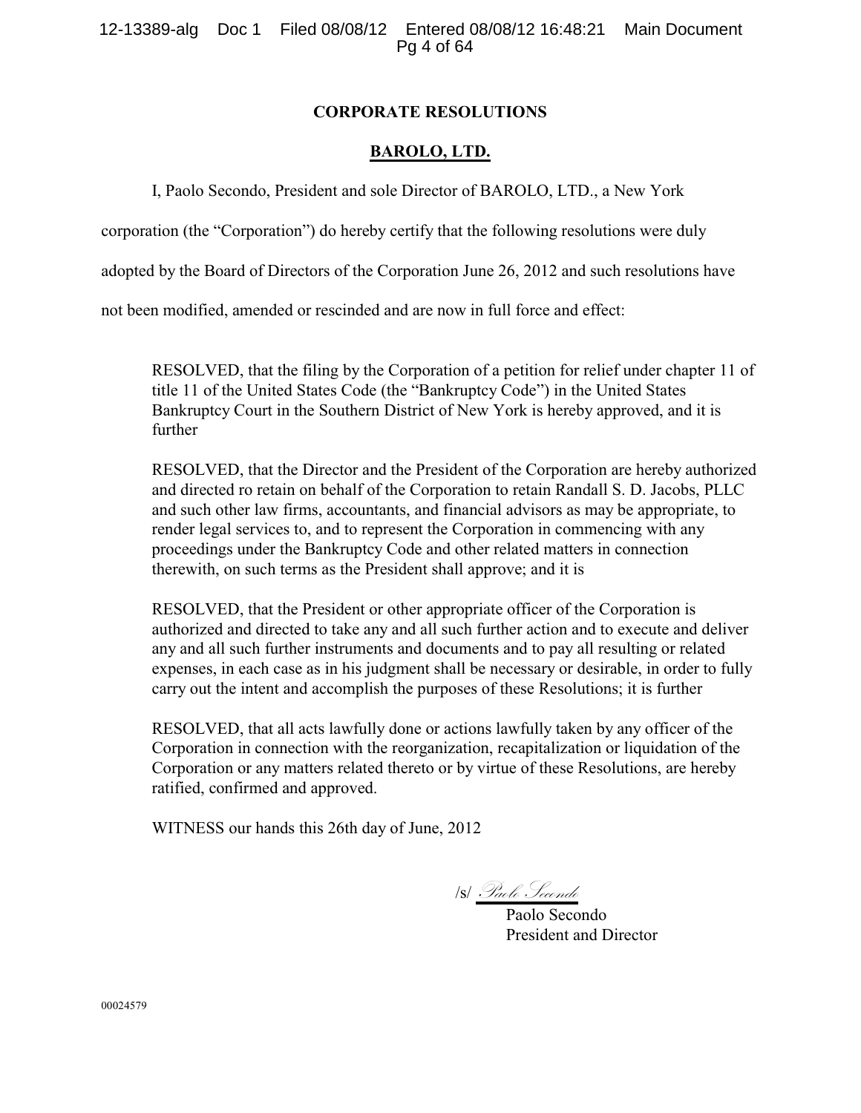# **CORPORATE RESOLUTIONS**

# **BAROLO, LTD.**

I, Paolo Secondo, President and sole Director of BAROLO, LTD., a New York

corporation (the "Corporation") do hereby certify that the following resolutions were duly

adopted by the Board of Directors of the Corporation June 26, 2012 and such resolutions have

not been modified, amended or rescinded and are now in full force and effect:

RESOLVED, that the filing by the Corporation of a petition for relief under chapter 11 of title 11 of the United States Code (the "Bankruptcy Code") in the United States Bankruptcy Court in the Southern District of New York is hereby approved, and it is further

RESOLVED, that the Director and the President of the Corporation are hereby authorized and directed ro retain on behalf of the Corporation to retain Randall S. D. Jacobs, PLLC and such other law firms, accountants, and financial advisors as may be appropriate, to render legal services to, and to represent the Corporation in commencing with any proceedings under the Bankruptcy Code and other related matters in connection therewith, on such terms as the President shall approve; and it is

RESOLVED, that the President or other appropriate officer of the Corporation is authorized and directed to take any and all such further action and to execute and deliver any and all such further instruments and documents and to pay all resulting or related expenses, in each case as in his judgment shall be necessary or desirable, in order to fully carry out the intent and accomplish the purposes of these Resolutions; it is further

RESOLVED, that all acts lawfully done or actions lawfully taken by any officer of the Corporation in connection with the reorganization, recapitalization or liquidation of the Corporation or any matters related thereto or by virtue of these Resolutions, are hereby ratified, confirmed and approved.

WITNESS our hands this 26th day of June, 2012

1 $s/ Paolo Secondo$ 

Paolo Secondo President and Director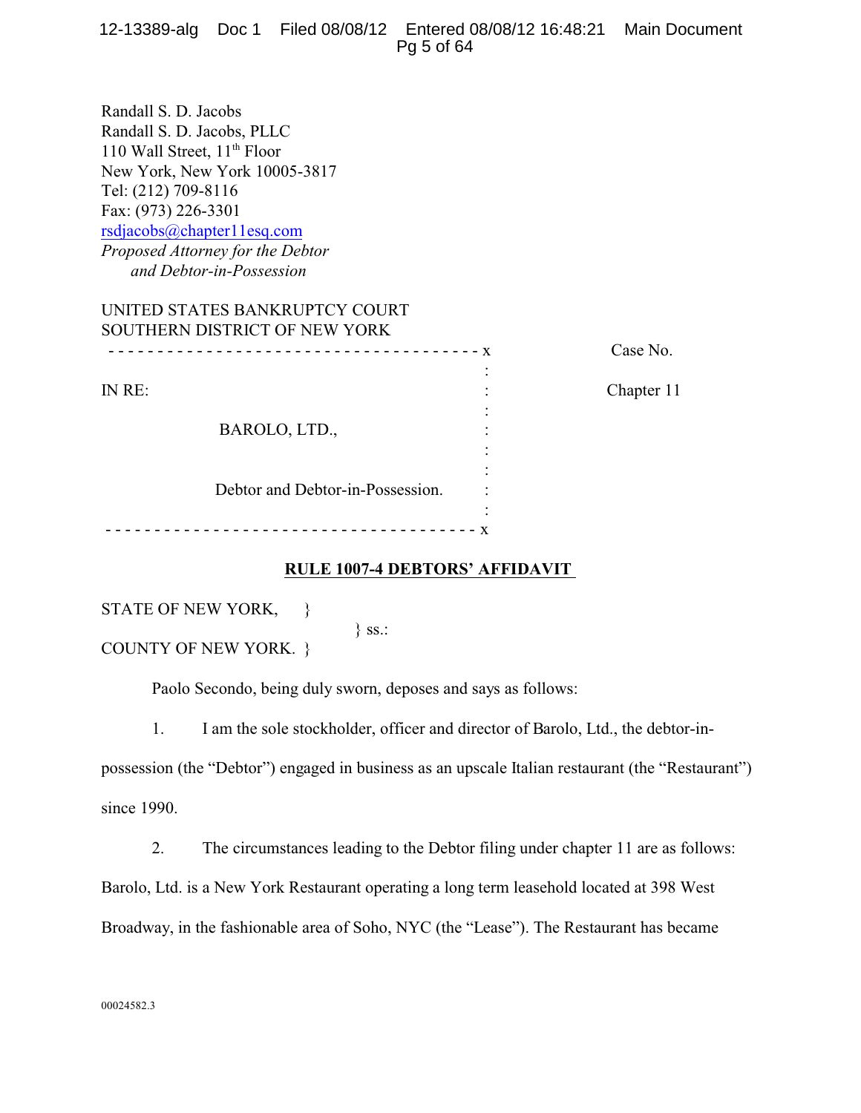|  | 12-13389-alg Doc 1 Filed 08/08/12 Entered 08/08/12 16:48:21 Main Document |  |
|--|---------------------------------------------------------------------------|--|
|  | Pg 5 of 64                                                                |  |

| Randall S. D. Jacobs             |
|----------------------------------|
| Randall S. D. Jacobs, PLLC       |
| 110 Wall Street, $11th$ Floor    |
| New York, New York 10005-3817    |
| Tel: (212) 709-8116              |
| Fax: (973) 226-3301              |
| rsdjacobs@chapter11esq.com       |
| Proposed Attorney for the Debtor |
| and Debtor-in-Possession         |
|                                  |

UNITED STATES BANKRUPTCY COURT

|        |                                  | $\mathbf{x}$ | Case No.   |
|--------|----------------------------------|--------------|------------|
|        |                                  |              |            |
| IN RE: |                                  |              | Chapter 11 |
|        |                                  |              |            |
|        | BAROLO, LTD.,                    |              |            |
|        |                                  |              |            |
|        |                                  |              |            |
|        | Debtor and Debtor-in-Possession. |              |            |
|        |                                  |              |            |

### **RULE 1007-4 DEBTORS' AFFIDAVIT**

| STATE OF NEW YORK, |  |
|--------------------|--|
|--------------------|--|

COUNTY OF NEW YORK. }

Paolo Secondo, being duly sworn, deposes and says as follows:

} ss.:

1. I am the sole stockholder, officer and director of Barolo, Ltd., the debtor-in-

possession (the "Debtor") engaged in business as an upscale Italian restaurant (the "Restaurant") since 1990.

2. The circumstances leading to the Debtor filing under chapter 11 are as follows:

Barolo, Ltd. is a New York Restaurant operating a long term leasehold located at 398 West

Broadway, in the fashionable area of Soho, NYC (the "Lease"). The Restaurant has became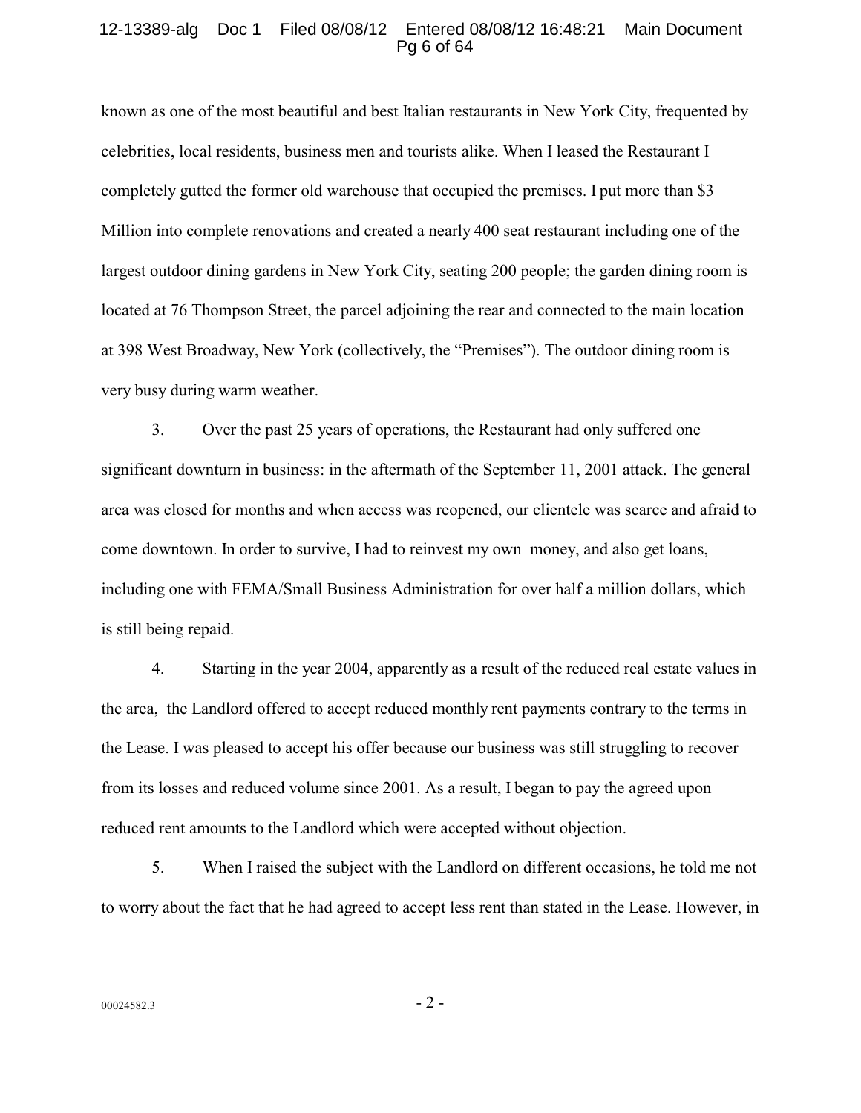### 12-13389-alg Doc 1 Filed 08/08/12 Entered 08/08/12 16:48:21 Main Document Pg 6 of 64

known as one of the most beautiful and best Italian restaurants in New York City, frequented by celebrities, local residents, business men and tourists alike. When I leased the Restaurant I completely gutted the former old warehouse that occupied the premises. I put more than \$3 Million into complete renovations and created a nearly 400 seat restaurant including one of the largest outdoor dining gardens in New York City, seating 200 people; the garden dining room is located at 76 Thompson Street, the parcel adjoining the rear and connected to the main location at 398 West Broadway, New York (collectively, the "Premises"). The outdoor dining room is very busy during warm weather.

3. Over the past 25 years of operations, the Restaurant had only suffered one significant downturn in business: in the aftermath of the September 11, 2001 attack. The general area was closed for months and when access was reopened, our clientele was scarce and afraid to come downtown. In order to survive, I had to reinvest my own money, and also get loans, including one with FEMA/Small Business Administration for over half a million dollars, which is still being repaid.

4. Starting in the year 2004, apparently as a result of the reduced real estate values in the area, the Landlord offered to accept reduced monthly rent payments contrary to the terms in the Lease. I was pleased to accept his offer because our business was still struggling to recover from its losses and reduced volume since 2001. As a result, I began to pay the agreed upon reduced rent amounts to the Landlord which were accepted without objection.

5. When I raised the subject with the Landlord on different occasions, he told me not to worry about the fact that he had agreed to accept less rent than stated in the Lease. However, in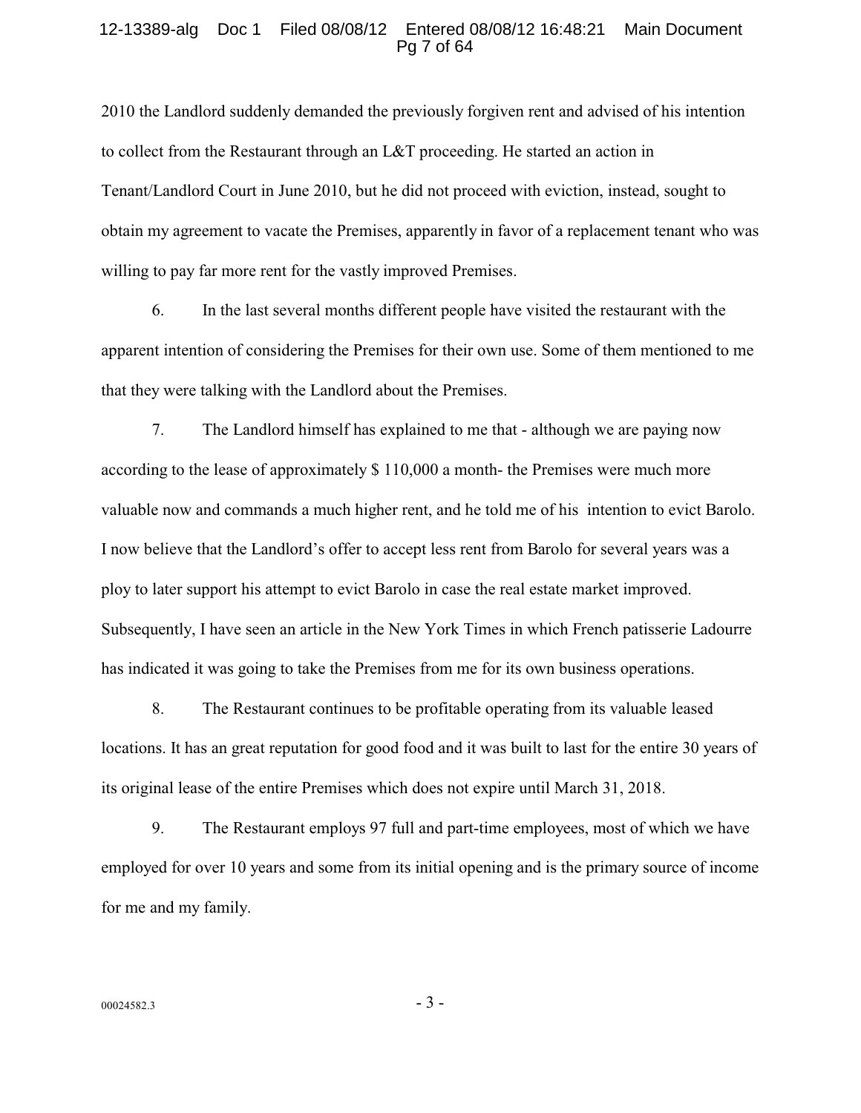### 12-13389-alg Doc 1 Filed 08/08/12 Entered 08/08/12 16:48:21 Main Document Pg 7 of 64

2010 the Landlord suddenly demanded the previously forgiven rent and advised of his intention to collect from the Restaurant through an L&T proceeding. He started an action in Tenant/Landlord Court in June 2010, but he did not proceed with eviction, instead, sought to obtain my agreement to vacate the Premises, apparently in favor of a replacement tenant who was willing to pay far more rent for the vastly improved Premises.

6. In the last several months different people have visited the restaurant with the apparent intention of considering the Premises for their own use. Some of them mentioned to me that they were talking with the Landlord about the Premises.

7. The Landlord himself has explained to me that - although we are paying now according to the lease of approximately \$ 110,000 a month- the Premises were much more valuable now and commands a much higher rent, and he told me of his intention to evict Barolo. I now believe that the Landlord's offer to accept less rent from Barolo for several years was a ploy to later support his attempt to evict Barolo in case the real estate market improved. Subsequently, I have seen an article in the New York Times in which French patisserie Ladourre has indicated it was going to take the Premises from me for its own business operations.

8. The Restaurant continues to be profitable operating from its valuable leased locations. It has an great reputation for good food and it was built to last for the entire 30 years of its original lease of the entire Premises which does not expire until March 31, 2018.

9. The Restaurant employs 97 full and part-time employees, most of which we have employed for over 10 years and some from its initial opening and is the primary source of income for me and my family.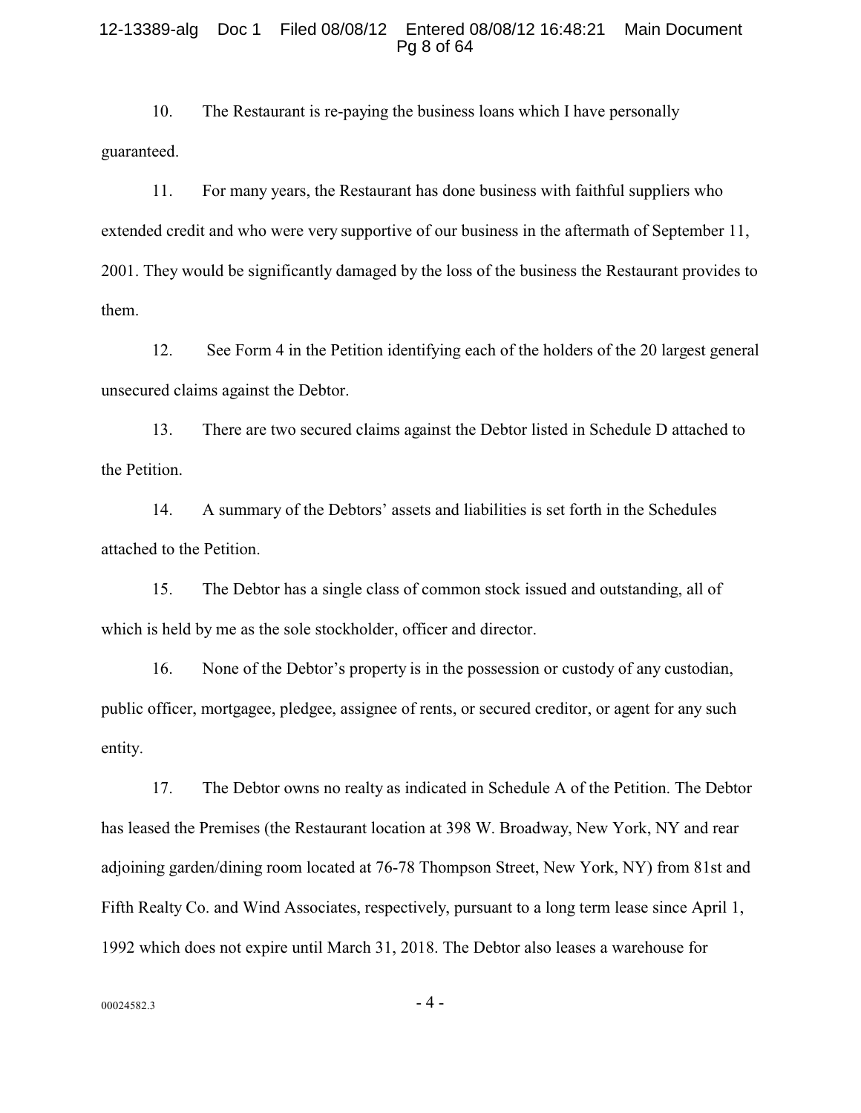### 12-13389-alg Doc 1 Filed 08/08/12 Entered 08/08/12 16:48:21 Main Document Pg 8 of 64

10. The Restaurant is re-paying the business loans which I have personally guaranteed.

11. For many years, the Restaurant has done business with faithful suppliers who extended credit and who were very supportive of our business in the aftermath of September 11, 2001. They would be significantly damaged by the loss of the business the Restaurant provides to them.

12. See Form 4 in the Petition identifying each of the holders of the 20 largest general unsecured claims against the Debtor.

13. There are two secured claims against the Debtor listed in Schedule D attached to the Petition.

14. A summary of the Debtors' assets and liabilities is set forth in the Schedules attached to the Petition.

15. The Debtor has a single class of common stock issued and outstanding, all of which is held by me as the sole stockholder, officer and director.

16. None of the Debtor's property is in the possession or custody of any custodian, public officer, mortgagee, pledgee, assignee of rents, or secured creditor, or agent for any such entity.

17. The Debtor owns no realty as indicated in Schedule A of the Petition. The Debtor has leased the Premises (the Restaurant location at 398 W. Broadway, New York, NY and rear adjoining garden/dining room located at 76-78 Thompson Street, New York, NY) from 81st and Fifth Realty Co. and Wind Associates, respectively, pursuant to a long term lease since April 1, 1992 which does not expire until March 31, 2018. The Debtor also leases a warehouse for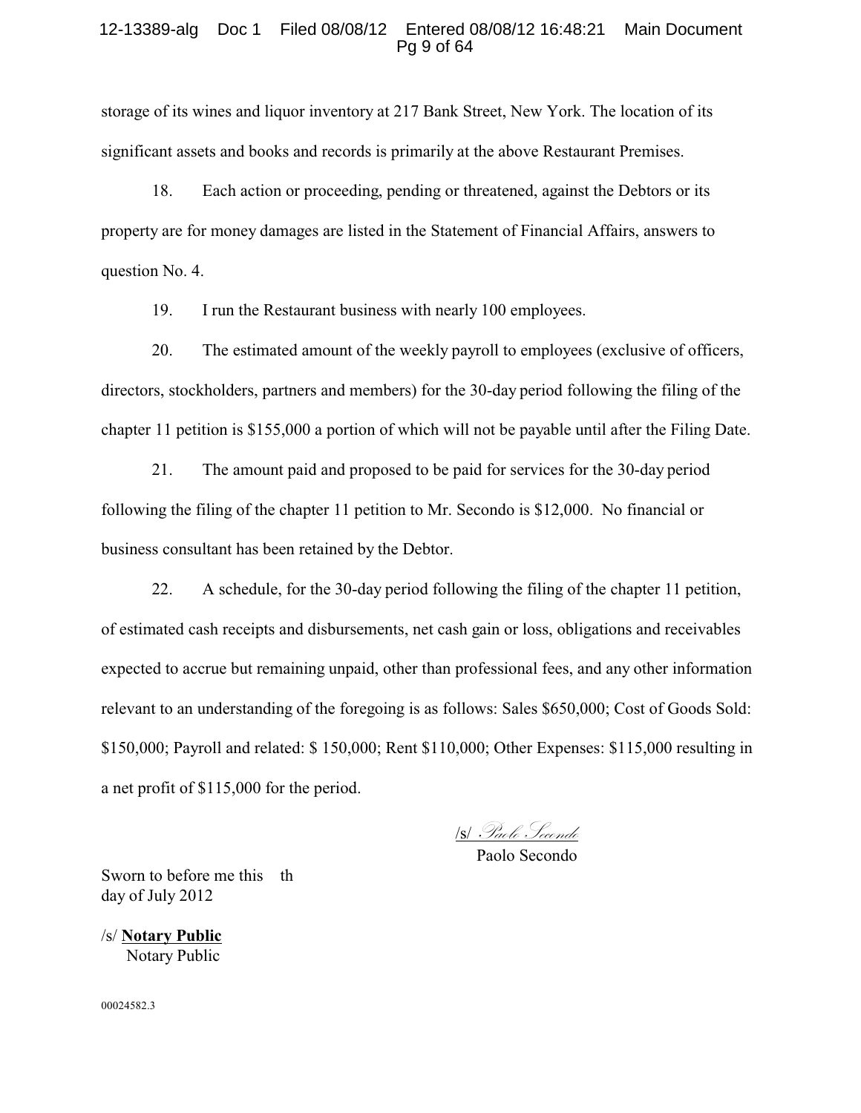### 12-13389-alg Doc 1 Filed 08/08/12 Entered 08/08/12 16:48:21 Main Document Pg 9 of 64

storage of its wines and liquor inventory at 217 Bank Street, New York. The location of its significant assets and books and records is primarily at the above Restaurant Premises.

18. Each action or proceeding, pending or threatened, against the Debtors or its property are for money damages are listed in the Statement of Financial Affairs, answers to question No. 4.

19. I run the Restaurant business with nearly 100 employees.

20. The estimated amount of the weekly payroll to employees (exclusive of officers, directors, stockholders, partners and members) for the 30-day period following the filing of the chapter 11 petition is \$155,000 a portion of which will not be payable until after the Filing Date.

21. The amount paid and proposed to be paid for services for the 30-day period following the filing of the chapter 11 petition to Mr. Secondo is \$12,000. No financial or business consultant has been retained by the Debtor.

22. A schedule, for the 30-day period following the filing of the chapter 11 petition, of estimated cash receipts and disbursements, net cash gain or loss, obligations and receivables expected to accrue but remaining unpaid, other than professional fees, and any other information relevant to an understanding of the foregoing is as follows: Sales \$650,000; Cost of Goods Sold: \$150,000; Payroll and related: \$ 150,000; Rent \$110,000; Other Expenses: \$115,000 resulting in a net profit of \$115,000 for the period.

/s/ Paolo Secondo

Paolo Secondo

Sworn to before me this th day of July 2012

/s/ **Notary Public** Notary Public

00024582.3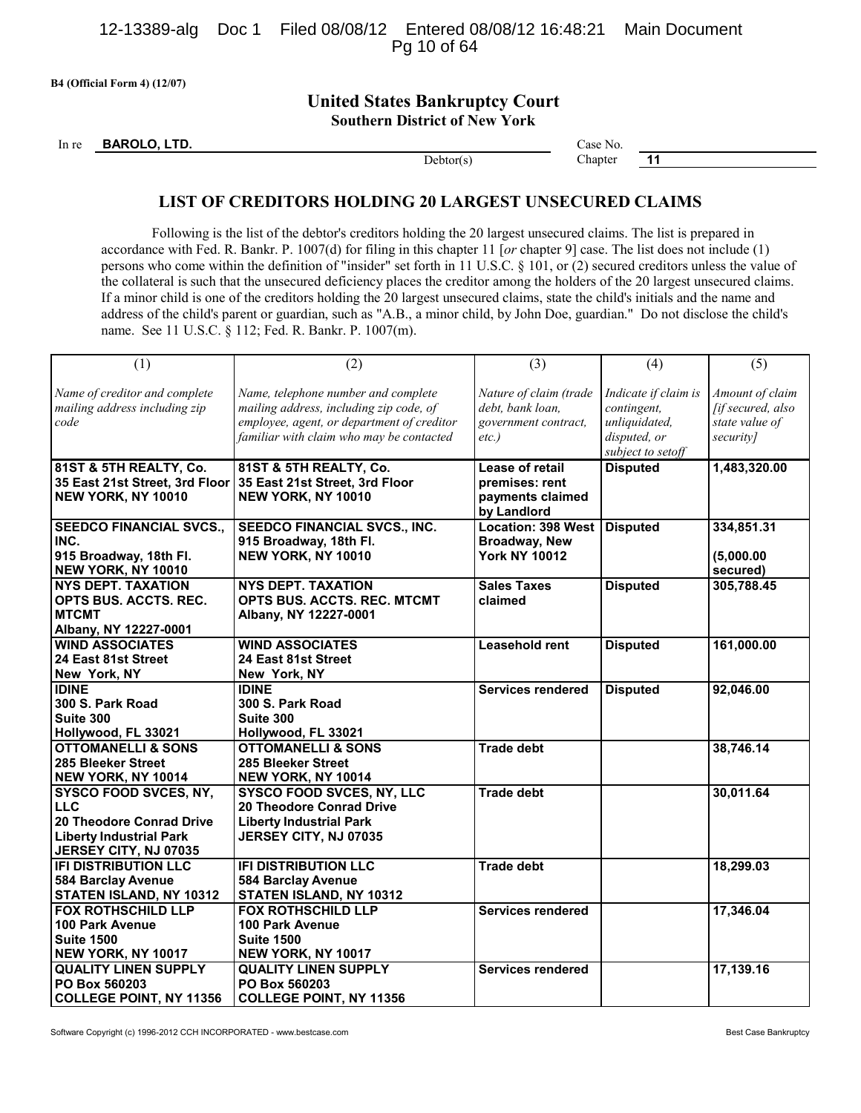|  | 12-13389-alg Doc 1 Filed 08/08/12 Entered 08/08/12 16:48:21 Main Document |  |
|--|---------------------------------------------------------------------------|--|
|  | Pg 10 of 64                                                               |  |

**B4 (Official Form 4) (12/07)**

# **United States Bankruptcy Court Southern District of New York**

In re **BAROLO, LTD.** Case No.

Debtor(s) Chapter **11** 

### **LIST OF CREDITORS HOLDING 20 LARGEST UNSECURED CLAIMS**

Following is the list of the debtor's creditors holding the 20 largest unsecured claims. The list is prepared in accordance with Fed. R. Bankr. P. 1007(d) for filing in this chapter 11 [*or* chapter 9] case. The list does not include (1) persons who come within the definition of "insider" set forth in 11 U.S.C. § 101, or (2) secured creditors unless the value of the collateral is such that the unsecured deficiency places the creditor among the holders of the 20 largest unsecured claims. If a minor child is one of the creditors holding the 20 largest unsecured claims, state the child's initials and the name and address of the child's parent or guardian, such as "A.B., a minor child, by John Doe, guardian." Do not disclose the child's name. See 11 U.S.C. § 112; Fed. R. Bankr. P. 1007(m).

| (1)                                                                                                                               | (2)                                                                                                                                                                      | (3)                                                                            | (4)                                                                                       | (5)                                                                 |
|-----------------------------------------------------------------------------------------------------------------------------------|--------------------------------------------------------------------------------------------------------------------------------------------------------------------------|--------------------------------------------------------------------------------|-------------------------------------------------------------------------------------------|---------------------------------------------------------------------|
| Name of creditor and complete<br>mailing address including zip<br>code                                                            | Name, telephone number and complete<br>mailing address, including zip code, of<br>employee, agent, or department of creditor<br>familiar with claim who may be contacted | Nature of claim (trade<br>debt, bank loan,<br>government contract,<br>$etc.$ ) | Indicate if claim is<br>contingent,<br>unliquidated,<br>disputed, or<br>subject to setoff | Amount of claim<br>[if secured, also<br>state value of<br>security] |
| 81ST & 5TH REALTY, Co.<br>35 East 21st Street, 3rd Floor                                                                          | 81ST & 5TH REALTY, Co.<br>35 East 21st Street, 3rd Floor                                                                                                                 | Lease of retail<br>premises: rent                                              | <b>Disputed</b>                                                                           | 1,483,320.00                                                        |
| NEW YORK, NY 10010                                                                                                                | NEW YORK, NY 10010                                                                                                                                                       | payments claimed<br>by Landlord                                                |                                                                                           |                                                                     |
| <b>SEEDCO FINANCIAL SVCS.,</b><br>INC.                                                                                            | SEEDCO FINANCIAL SVCS., INC.<br>915 Broadway, 18th Fl.                                                                                                                   | Location: 398 West<br>Broadway, New                                            | <b>Disputed</b>                                                                           | 334,851.31                                                          |
| 915 Broadway, 18th Fl.<br>NEW YORK, NY 10010                                                                                      | NEW YORK, NY 10010                                                                                                                                                       | <b>York NY 10012</b>                                                           |                                                                                           | (5,000.00)<br>secured)                                              |
| <b>NYS DEPT. TAXATION</b><br>OPTS BUS. ACCTS. REC.<br><b>MTCMT</b><br>Albany, NY 12227-0001                                       | <b>NYS DEPT. TAXATION</b><br>OPTS BUS. ACCTS. REC. MTCMT<br>Albany, NY 12227-0001                                                                                        | <b>Sales Taxes</b><br>claimed                                                  | <b>Disputed</b>                                                                           | 305,788.45                                                          |
| <b>WIND ASSOCIATES</b><br>24 East 81st Street<br>New York, NY                                                                     | <b>WIND ASSOCIATES</b><br>24 East 81st Street<br>New York, NY                                                                                                            | Leasehold rent                                                                 | <b>Disputed</b>                                                                           | 161,000.00                                                          |
| <b>IDINE</b><br>300 S. Park Road<br>Suite 300<br>Hollywood, FL 33021                                                              | <b>IDINE</b><br>300 S. Park Road<br>Suite 300<br>Hollywood, FL 33021                                                                                                     | <b>Services rendered</b>                                                       | <b>Disputed</b>                                                                           | 92,046.00                                                           |
| <b>OTTOMANELLI &amp; SONS</b><br>285 Bleeker Street<br>NEW YORK, NY 10014                                                         | <b>OTTOMANELLI &amp; SONS</b><br>285 Bleeker Street<br>NEW YORK, NY 10014                                                                                                | <b>Trade debt</b>                                                              |                                                                                           | 38,746.14                                                           |
| <b>SYSCO FOOD SVCES, NY,</b><br><b>LLC</b><br>20 Theodore Conrad Drive<br><b>Liberty Industrial Park</b><br>JERSEY CITY, NJ 07035 | <b>SYSCO FOOD SVCES, NY, LLC</b><br><b>20 Theodore Conrad Drive</b><br><b>Liberty Industrial Park</b><br>JERSEY CITY, NJ 07035                                           | <b>Trade debt</b>                                                              |                                                                                           | 30,011.64                                                           |
| <b>IFI DISTRIBUTION LLC</b><br>584 Barclay Avenue<br>STATEN ISLAND, NY 10312                                                      | <b>IFI DISTRIBUTION LLC</b><br>584 Barclay Avenue<br>STATEN ISLAND, NY 10312                                                                                             | <b>Trade debt</b>                                                              |                                                                                           | 18,299.03                                                           |
| <b>FOX ROTHSCHILD LLP</b><br>100 Park Avenue<br><b>Suite 1500</b><br>NEW YORK, NY 10017                                           | <b>FOX ROTHSCHILD LLP</b><br>100 Park Avenue<br><b>Suite 1500</b><br>NEW YORK, NY 10017                                                                                  | <b>Services rendered</b>                                                       |                                                                                           | 17,346.04                                                           |
| <b>QUALITY LINEN SUPPLY</b><br>PO Box 560203<br><b>COLLEGE POINT, NY 11356</b>                                                    | <b>QUALITY LINEN SUPPLY</b><br>PO Box 560203<br><b>COLLEGE POINT, NY 11356</b>                                                                                           | <b>Services rendered</b>                                                       |                                                                                           | 17,139.16                                                           |

Software Copyright (c) 1996-2012 CCH INCORPORATED - www.bestcase.com Section 1997 1998-2012 CCH INCORPORATED - www.bestcase.com Section 1998-2012 CCH INCORPORATED - www.bestcase.com Section 1998-2012 CCH INCORPORATED - www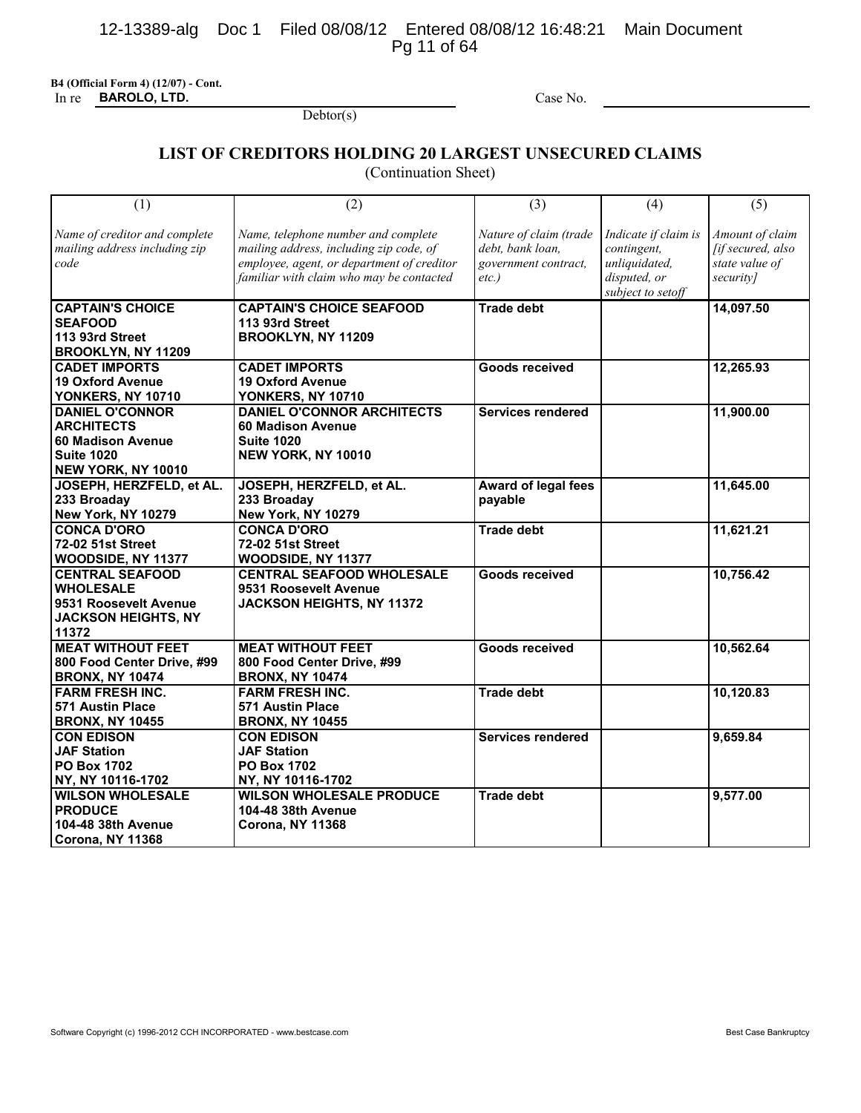12-13389-alg Doc 1 Filed 08/08/12 Entered 08/08/12 16:48:21 Main Document Pg 11 of 64

**B4 (Official Form 4) (12/07) - Cont.** In re **BAROLO, LTD.** Case No.

Debtor(s)

# **LIST OF CREDITORS HOLDING 20 LARGEST UNSECURED CLAIMS**

| (1)                                                                    | (2)                                                                                                                                                                      | (3)                                                                            | (4)                                                                                       | (5)                                                                 |
|------------------------------------------------------------------------|--------------------------------------------------------------------------------------------------------------------------------------------------------------------------|--------------------------------------------------------------------------------|-------------------------------------------------------------------------------------------|---------------------------------------------------------------------|
| Name of creditor and complete<br>mailing address including zip<br>code | Name, telephone number and complete<br>mailing address, including zip code, of<br>employee, agent, or department of creditor<br>familiar with claim who may be contacted | Nature of claim (trade<br>debt, bank loan,<br>government contract,<br>$etc.$ ) | Indicate if claim is<br>contingent,<br>unliquidated,<br>disputed, or<br>subject to setoff | Amount of claim<br>[if secured, also<br>state value of<br>security] |
| <b>CAPTAIN'S CHOICE</b>                                                | <b>CAPTAIN'S CHOICE SEAFOOD</b>                                                                                                                                          | Trade debt                                                                     |                                                                                           | 14,097.50                                                           |
| <b>SEAFOOD</b><br>113 93rd Street<br>BROOKLYN, NY 11209                | 113 93rd Street<br>BROOKLYN, NY 11209                                                                                                                                    |                                                                                |                                                                                           |                                                                     |
| <b>CADET IMPORTS</b>                                                   | <b>CADET IMPORTS</b>                                                                                                                                                     | <b>Goods received</b>                                                          |                                                                                           | 12,265.93                                                           |
| <b>19 Oxford Avenue</b>                                                | <b>19 Oxford Avenue</b>                                                                                                                                                  |                                                                                |                                                                                           |                                                                     |
| YONKERS, NY 10710                                                      | YONKERS, NY 10710                                                                                                                                                        |                                                                                |                                                                                           |                                                                     |
| <b>DANIEL O'CONNOR</b>                                                 | <b>DANIEL O'CONNOR ARCHITECTS</b>                                                                                                                                        | <b>Services rendered</b>                                                       |                                                                                           | 11,900.00                                                           |
| <b>ARCHITECTS</b>                                                      | <b>60 Madison Avenue</b>                                                                                                                                                 |                                                                                |                                                                                           |                                                                     |
| 60 Madison Avenue<br><b>Suite 1020</b>                                 | <b>Suite 1020</b>                                                                                                                                                        |                                                                                |                                                                                           |                                                                     |
| NEW YORK, NY 10010                                                     | NEW YORK, NY 10010                                                                                                                                                       |                                                                                |                                                                                           |                                                                     |
| JOSEPH, HERZFELD, et AL.                                               | JOSEPH, HERZFELD, et AL.                                                                                                                                                 | Award of legal fees                                                            |                                                                                           | 11,645.00                                                           |
| 233 Broaday                                                            | 233 Broaday                                                                                                                                                              | payable                                                                        |                                                                                           |                                                                     |
| New York, NY 10279                                                     | New York, NY 10279                                                                                                                                                       |                                                                                |                                                                                           |                                                                     |
| <b>CONCA D'ORO</b>                                                     | <b>CONCA D'ORO</b>                                                                                                                                                       | <b>Trade debt</b>                                                              |                                                                                           | 11,621.21                                                           |
| 72-02 51st Street                                                      | 72-02 51st Street                                                                                                                                                        |                                                                                |                                                                                           |                                                                     |
| WOODSIDE, NY 11377                                                     | WOODSIDE, NY 11377                                                                                                                                                       |                                                                                |                                                                                           |                                                                     |
| <b>CENTRAL SEAFOOD</b>                                                 | <b>CENTRAL SEAFOOD WHOLESALE</b>                                                                                                                                         | <b>Goods received</b>                                                          |                                                                                           | 10,756.42                                                           |
| <b>WHOLESALE</b>                                                       | 9531 Roosevelt Avenue                                                                                                                                                    |                                                                                |                                                                                           |                                                                     |
| 9531 Roosevelt Avenue                                                  | JACKSON HEIGHTS, NY 11372                                                                                                                                                |                                                                                |                                                                                           |                                                                     |
| <b>JACKSON HEIGHTS, NY</b>                                             |                                                                                                                                                                          |                                                                                |                                                                                           |                                                                     |
| 11372                                                                  |                                                                                                                                                                          |                                                                                |                                                                                           |                                                                     |
| <b>MEAT WITHOUT FEET</b>                                               | <b>MEAT WITHOUT FEET</b>                                                                                                                                                 | <b>Goods received</b>                                                          |                                                                                           | 10,562.64                                                           |
| 800 Food Center Drive, #99                                             | 800 Food Center Drive, #99                                                                                                                                               |                                                                                |                                                                                           |                                                                     |
| <b>BRONX, NY 10474</b><br><b>FARM FRESH INC.</b>                       | <b>BRONX, NY 10474</b><br><b>FARM FRESH INC.</b>                                                                                                                         | <b>Trade debt</b>                                                              |                                                                                           |                                                                     |
| 571 Austin Place                                                       | 571 Austin Place                                                                                                                                                         |                                                                                |                                                                                           | 10,120.83                                                           |
| <b>BRONX, NY 10455</b>                                                 | <b>BRONX, NY 10455</b>                                                                                                                                                   |                                                                                |                                                                                           |                                                                     |
| <b>CON EDISON</b>                                                      | <b>CON EDISON</b>                                                                                                                                                        | Services rendered                                                              |                                                                                           | 9,659.84                                                            |
| <b>JAF Station</b>                                                     | <b>JAF Station</b>                                                                                                                                                       |                                                                                |                                                                                           |                                                                     |
| <b>PO Box 1702</b>                                                     | <b>PO Box 1702</b>                                                                                                                                                       |                                                                                |                                                                                           |                                                                     |
| NY, NY 10116-1702                                                      | NY, NY 10116-1702                                                                                                                                                        |                                                                                |                                                                                           |                                                                     |
| <b>WILSON WHOLESALE</b>                                                | <b>WILSON WHOLESALE PRODUCE</b>                                                                                                                                          | <b>Trade debt</b>                                                              |                                                                                           | 9,577.00                                                            |
| <b>PRODUCE</b>                                                         | 104-48 38th Avenue                                                                                                                                                       |                                                                                |                                                                                           |                                                                     |
| 104-48 38th Avenue                                                     | <b>Corona, NY 11368</b>                                                                                                                                                  |                                                                                |                                                                                           |                                                                     |
| Corona, NY 11368                                                       |                                                                                                                                                                          |                                                                                |                                                                                           |                                                                     |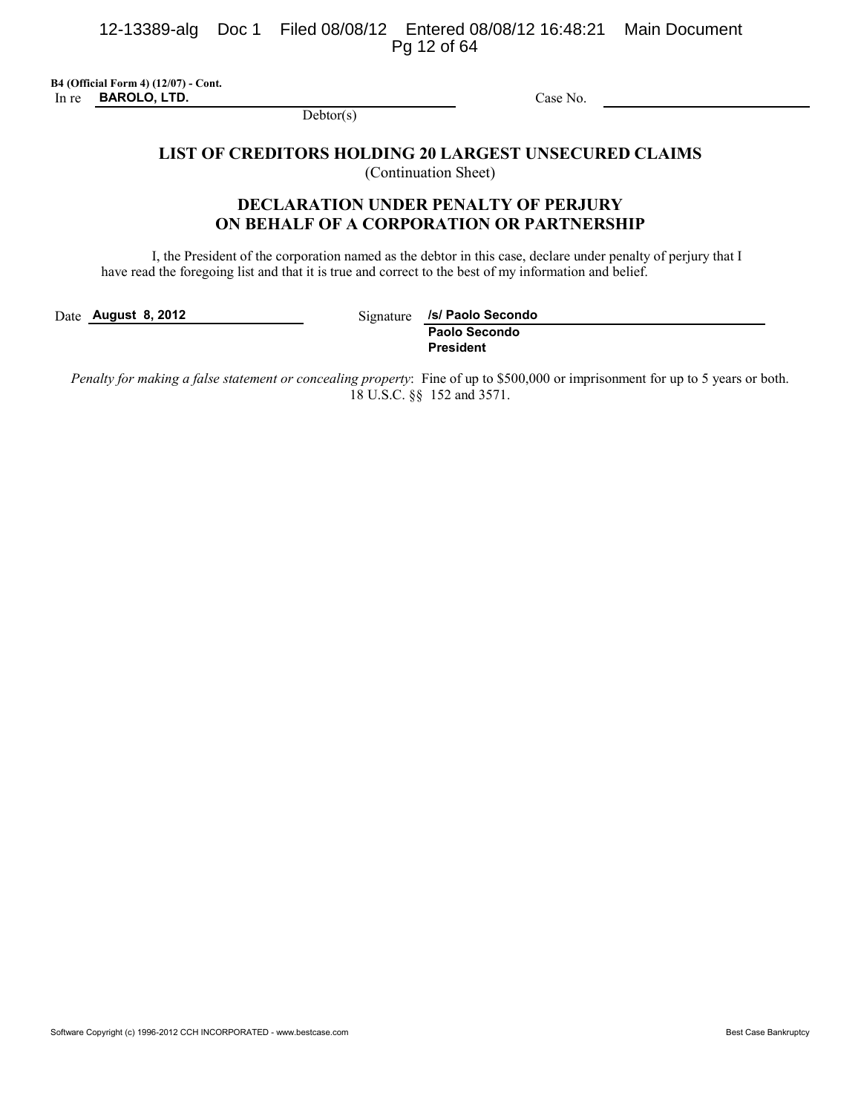12-13389-alg Doc 1 Filed 08/08/12 Entered 08/08/12 16:48:21 Main Document Pg 12 of 64

**B4 (Official Form 4) (12/07) - Cont.** In re **BAROLO, LTD.** Case No.

Debtor(s)

#### **LIST OF CREDITORS HOLDING 20 LARGEST UNSECURED CLAIMS** (Continuation Sheet)

# **DECLARATION UNDER PENALTY OF PERJURY ON BEHALF OF A CORPORATION OR PARTNERSHIP**

I, the President of the corporation named as the debtor in this case, declare under penalty of perjury that I have read the foregoing list and that it is true and correct to the best of my information and belief.

Date **August 8, 2012** Signature */s/ Paolo Secondo* **Paolo Secondo President**

*Penalty for making a false statement or concealing property*: Fine of up to \$500,000 or imprisonment for up to 5 years or both. 18 U.S.C. §§ 152 and 3571.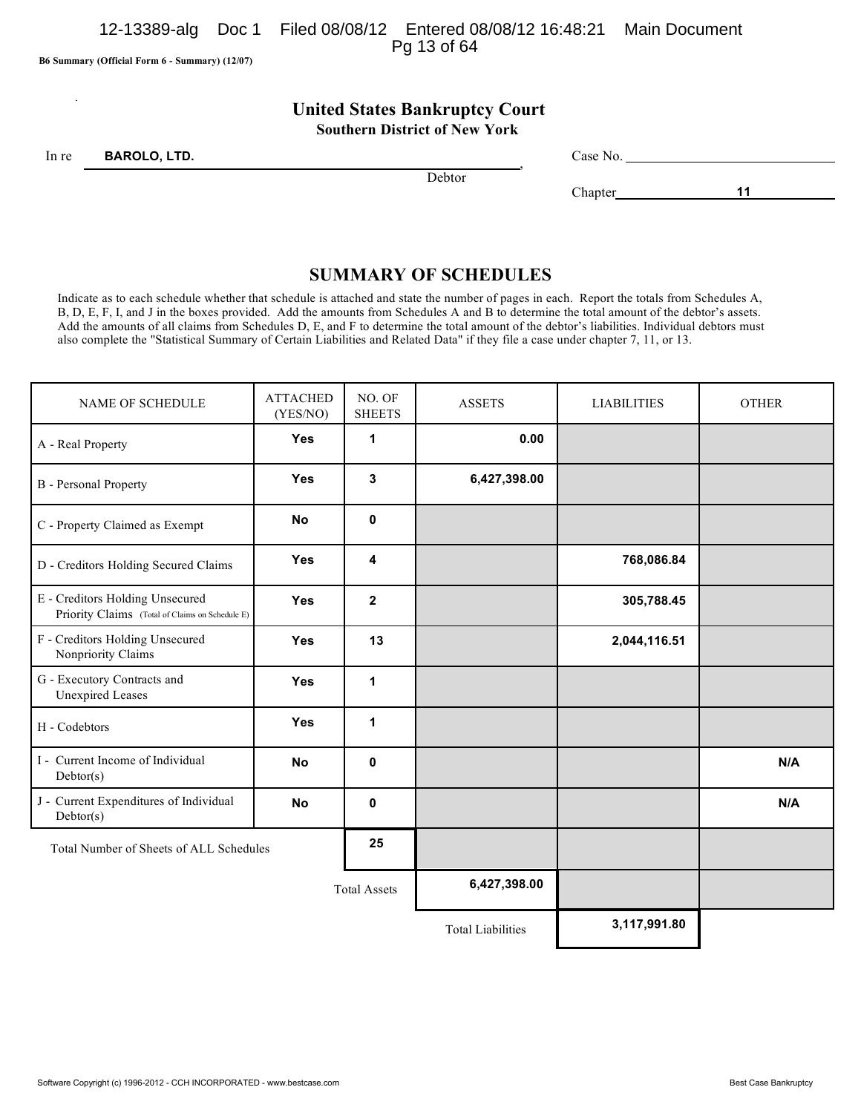### **B6 Summary (Official Form 6 - Summary) (12/07)**

**BAROLO, LTD.**

# **United States Bankruptcy Court Southern District of New York**

 $\overline{\phantom{a}}$ 

In re

Debtor

,

Case No.

Chapter **11**

# **SUMMARY OF SCHEDULES**

Indicate as to each schedule whether that schedule is attached and state the number of pages in each. Report the totals from Schedules A, B, D, E, F, I, and J in the boxes provided. Add the amounts from Schedules A and B to determine the total amount of the debtor's assets. Add the amounts of all claims from Schedules D, E, and F to determine the total amount of the debtor's liabilities. Individual debtors must also complete the "Statistical Summary of Certain Liabilities and Related Data" if they file a case under chapter 7, 11, or 13.

| NAME OF SCHEDULE                                                                   | <b>ATTACHED</b><br>(YES/NO) | NO. OF<br><b>SHEETS</b> | <b>ASSETS</b>            | <b>LIABILITIES</b> | <b>OTHER</b> |
|------------------------------------------------------------------------------------|-----------------------------|-------------------------|--------------------------|--------------------|--------------|
| A - Real Property                                                                  | Yes                         | 1                       | 0.00                     |                    |              |
| <b>B</b> - Personal Property                                                       | Yes                         | 3                       | 6,427,398.00             |                    |              |
| C - Property Claimed as Exempt                                                     | <b>No</b>                   | 0                       |                          |                    |              |
| D - Creditors Holding Secured Claims                                               | Yes                         | 4                       |                          | 768,086.84         |              |
| E - Creditors Holding Unsecured<br>Priority Claims (Total of Claims on Schedule E) | Yes                         | $\mathbf{2}$            |                          | 305,788.45         |              |
| F - Creditors Holding Unsecured<br>Nonpriority Claims                              | <b>Yes</b>                  | 13                      |                          | 2,044,116.51       |              |
| G - Executory Contracts and<br><b>Unexpired Leases</b>                             | <b>Yes</b>                  | 1                       |                          |                    |              |
| H - Codebtors                                                                      | Yes                         | 1                       |                          |                    |              |
| I - Current Income of Individual<br>Debtor(s)                                      | <b>No</b>                   | 0                       |                          |                    | N/A          |
| J - Current Expenditures of Individual<br>Debtor(s)                                | <b>No</b>                   | 0                       |                          |                    | N/A          |
| Total Number of Sheets of ALL Schedules                                            |                             | 25                      |                          |                    |              |
|                                                                                    |                             | <b>Total Assets</b>     | 6,427,398.00             |                    |              |
|                                                                                    |                             |                         | <b>Total Liabilities</b> | 3,117,991.80       |              |

12-13389-alg Doc 1 Filed 08/08/12 Entered 08/08/12 16:48:21 Main Document

Pg 13 of 64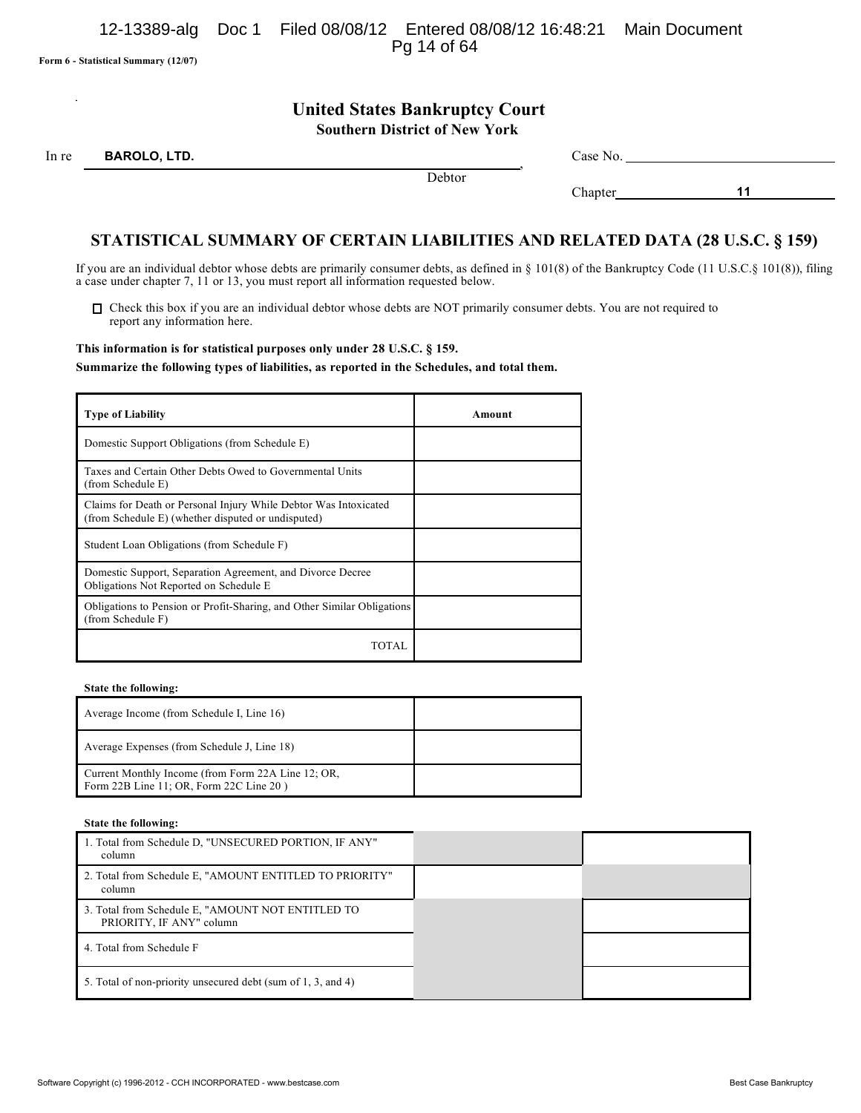**Form 6 - Statistical Summary (12/07)**

# **United States Bankruptcy Court Southern District of New York**

In re **BAROLO, LTD.**

Debtor

,

Case No.

Chapter **11**

# **STATISTICAL SUMMARY OF CERTAIN LIABILITIES AND RELATED DATA (28 U.S.C. § 159)**

If you are an individual debtor whose debts are primarily consumer debts, as defined in § 101(8) of the Bankruptcy Code (11 U.S.C.§ 101(8)), filing a case under chapter 7, 11 or 13, you must report all information requested below.

 $\Box$  Check this box if you are an individual debtor whose debts are NOT primarily consumer debts. You are not required to report any information here.

**This information is for statistical purposes only under 28 U.S.C. § 159.**

#### **Summarize the following types of liabilities, as reported in the Schedules, and total them.**

| <b>Type of Liability</b>                                                                                               | Amount |
|------------------------------------------------------------------------------------------------------------------------|--------|
| Domestic Support Obligations (from Schedule E)                                                                         |        |
| Taxes and Certain Other Debts Owed to Governmental Units<br>(from Schedule E)                                          |        |
| Claims for Death or Personal Injury While Debtor Was Intoxicated<br>(from Schedule E) (whether disputed or undisputed) |        |
| Student Loan Obligations (from Schedule F)                                                                             |        |
| Domestic Support, Separation Agreement, and Divorce Decree<br>Obligations Not Reported on Schedule E                   |        |
| Obligations to Pension or Profit-Sharing, and Other Similar Obligations<br>(from Schedule F)                           |        |
| TOTAI                                                                                                                  |        |

#### **State the following:**

| Average Income (from Schedule I, Line 16)                                                     |  |
|-----------------------------------------------------------------------------------------------|--|
| Average Expenses (from Schedule J, Line 18)                                                   |  |
| Current Monthly Income (from Form 22A Line 12; OR,<br>Form 22B Line 11; OR, Form 22C Line 20) |  |

#### **State the following:**

| 1. Total from Schedule D, "UNSECURED PORTION, IF ANY"<br>column               |  |
|-------------------------------------------------------------------------------|--|
| 2. Total from Schedule E, "AMOUNT ENTITLED TO PRIORITY"<br>column             |  |
| 3. Total from Schedule E, "AMOUNT NOT ENTITLED TO<br>PRIORITY, IF ANY" column |  |
| 4. Total from Schedule F                                                      |  |
| 5. Total of non-priority unsecured debt (sum of 1, 3, and 4)                  |  |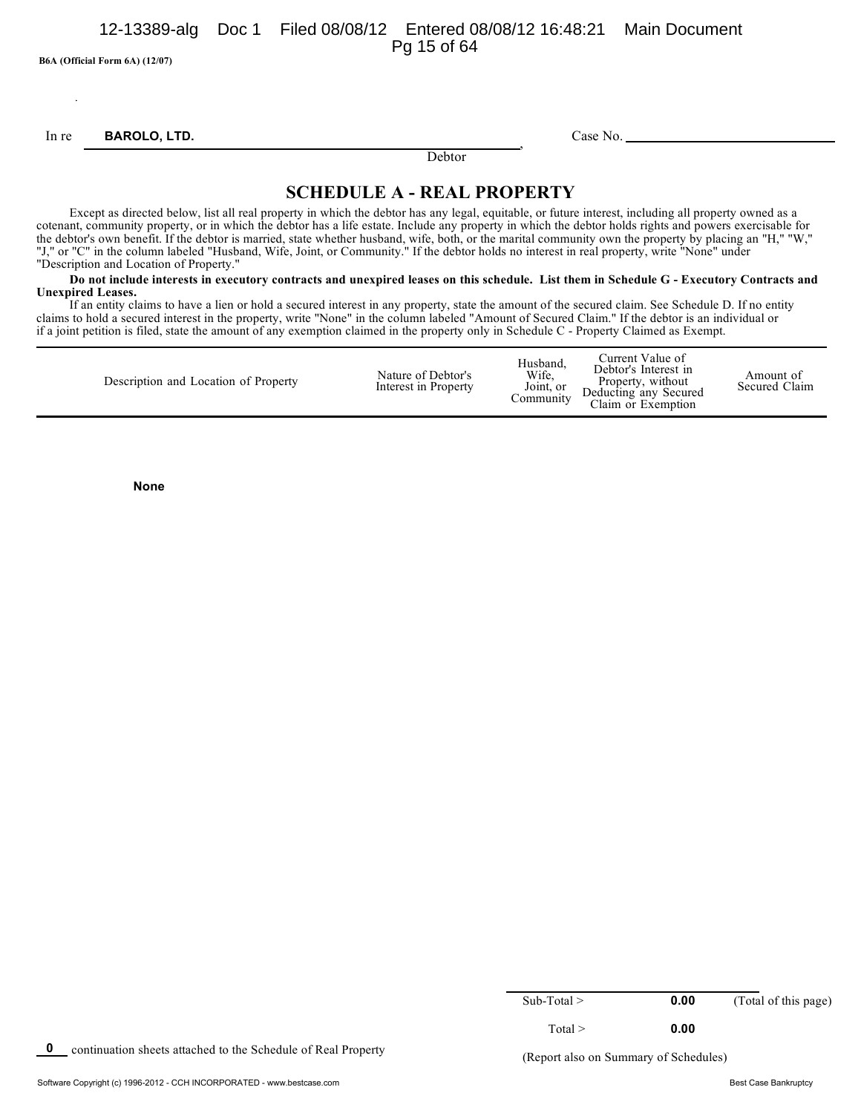12-13389-alg Doc 1 Filed 08/08/12 Entered 08/08/12 16:48:21 Main Document Pg 15 of 64

,

**B6A (Official Form 6A) (12/07)**

In re

**BAROLO, LTD.** Case No.

# **SCHEDULE A - REAL PROPERTY**

Debtor

Except as directed below, list all real property in which the debtor has any legal, equitable, or future interest, including all property owned as a cotenant, community property, or in which the debtor has a life estate. Include any property in which the debtor holds rights and powers exercisable for the debtor's own benefit. If the debtor is married, state whether husband, wife, both, or the marital community own the property by placing an "H," "W," "J," or "C" in the column labeled "Husband, Wife, Joint, or Community." If the debtor holds no interest in real property, write "None" under "Description and Location of Property."

**Do not include interests in executory contracts and unexpired leases on this schedule. List them in Schedule G - Executory Contracts and Unexpired Leases.**

If an entity claims to have a lien or hold a secured interest in any property, state the amount of the secured claim. See Schedule D. If no entity claims to hold a secured interest in the property, write "None" in the column labeled "Amount of Secured Claim." If the debtor is an individual or if a joint petition is filed, state the amount of any exemption claimed in the property only in Schedule C - Property Claimed as Exempt.

| Description and Location of Property | Nature of Debtor's<br>Interest in Property | Husband,<br>Wife,<br>Joint, or<br>Community | Current Value of<br>Debtor's Interest in<br>Property, without<br>Deducting any Secured<br>Claim or Exemption | Amount of<br>Secured Claim |
|--------------------------------------|--------------------------------------------|---------------------------------------------|--------------------------------------------------------------------------------------------------------------|----------------------------|
|--------------------------------------|--------------------------------------------|---------------------------------------------|--------------------------------------------------------------------------------------------------------------|----------------------------|

**None**

| $Sub-Total$ | 0.00 | (Total of this page) |
|-------------|------|----------------------|
|             |      |                      |

**0.00**

Total >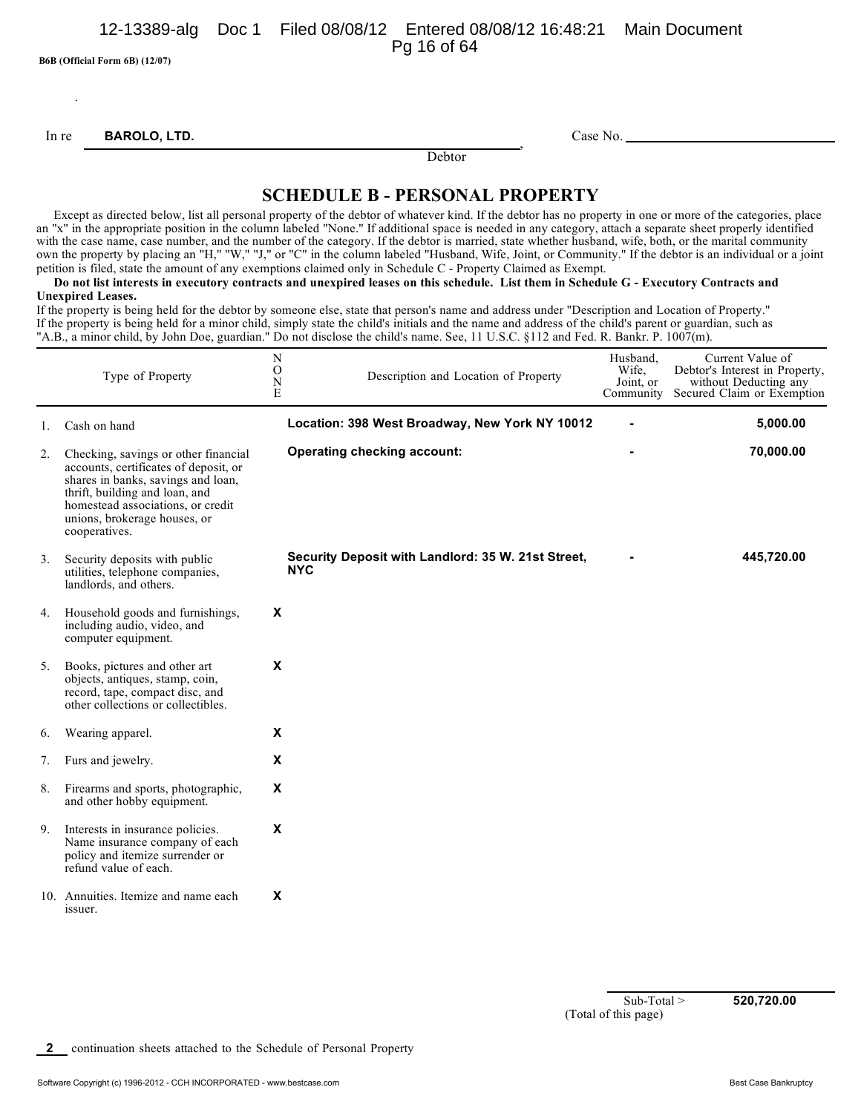12-13389-alg Doc 1 Filed 08/08/12 Entered 08/08/12 16:48:21 Main Document Pg 16 of 64

,

**B6B (Official Form 6B) (12/07)**

In re

#### **BAROLO, LTD.** Case No.

**Debtor** 

# **SCHEDULE B - PERSONAL PROPERTY**

Except as directed below, list all personal property of the debtor of whatever kind. If the debtor has no property in one or more of the categories, place an "x" in the appropriate position in the column labeled "None." If additional space is needed in any category, attach a separate sheet properly identified with the case name, case number, and the number of the category. If the debtor is married, state whether husband, wife, both, or the marital community own the property by placing an "H," "W," "J," or "C" in the column labeled "Husband, Wife, Joint, or Community." If the debtor is an individual or a joint petition is filed, state the amount of any exemptions claimed only in Schedule C - Property Claimed as Exempt.

**Do not list interests in executory contracts and unexpired leases on this schedule. List them in Schedule G - Executory Contracts and Unexpired Leases.**

If the property is being held for the debtor by someone else, state that person's name and address under "Description and Location of Property." If the property is being held for a minor child, simply state the child's initials and the name and address of the child's parent or guardian, such as "A.B., a minor child, by John Doe, guardian." Do not disclose the child's name. See, 11 U.S.C. §112 and Fed. R. Bankr. P. 1007(m).

|                | Type of Property                                                                                                                                                                                                                            | N<br>O<br>N<br>E          | Description and Location of Property                             | Husband.<br>Wife.<br>Joint. or | Current Value of<br>Debtor's Interest in Property,<br>without Deducting any<br>Community Secured Claim or Exemption |
|----------------|---------------------------------------------------------------------------------------------------------------------------------------------------------------------------------------------------------------------------------------------|---------------------------|------------------------------------------------------------------|--------------------------------|---------------------------------------------------------------------------------------------------------------------|
| 1.             | Cash on hand                                                                                                                                                                                                                                |                           | Location: 398 West Broadway, New York NY 10012                   |                                | 5,000.00                                                                                                            |
| 2.             | Checking, savings or other financial<br>accounts, certificates of deposit, or<br>shares in banks, savings and loan,<br>thrift, building and loan, and<br>homestead associations, or credit<br>unions, brokerage houses, or<br>cooperatives. |                           | <b>Operating checking account:</b>                               | ٠                              | 70,000.00                                                                                                           |
| 3 <sub>1</sub> | Security deposits with public<br>utilities, telephone companies,<br>landlords, and others.                                                                                                                                                  |                           | Security Deposit with Landlord: 35 W. 21st Street,<br><b>NYC</b> |                                | 445,720.00                                                                                                          |
| 4.             | Household goods and furnishings,<br>including audio, video, and<br>computer equipment.                                                                                                                                                      | X                         |                                                                  |                                |                                                                                                                     |
| 5.             | Books, pictures and other art<br>objects, antiques, stamp, coin,<br>record, tape, compact disc, and<br>other collections or collectibles.                                                                                                   | X                         |                                                                  |                                |                                                                                                                     |
| 6.             | Wearing apparel.                                                                                                                                                                                                                            | $\boldsymbol{\mathsf{x}}$ |                                                                  |                                |                                                                                                                     |
| 7.             | Furs and jewelry.                                                                                                                                                                                                                           | $\mathbf x$               |                                                                  |                                |                                                                                                                     |
| 8.             | Firearms and sports, photographic,<br>and other hobby equipment.                                                                                                                                                                            | X                         |                                                                  |                                |                                                                                                                     |
| 9.             | Interests in insurance policies.<br>Name insurance company of each<br>policy and itemize surrender or<br>refund value of each.                                                                                                              | X                         |                                                                  |                                |                                                                                                                     |
|                | 10. Annuities. Itemize and name each<br>issuer.                                                                                                                                                                                             | $\mathbf x$               |                                                                  |                                |                                                                                                                     |

**520,720.00**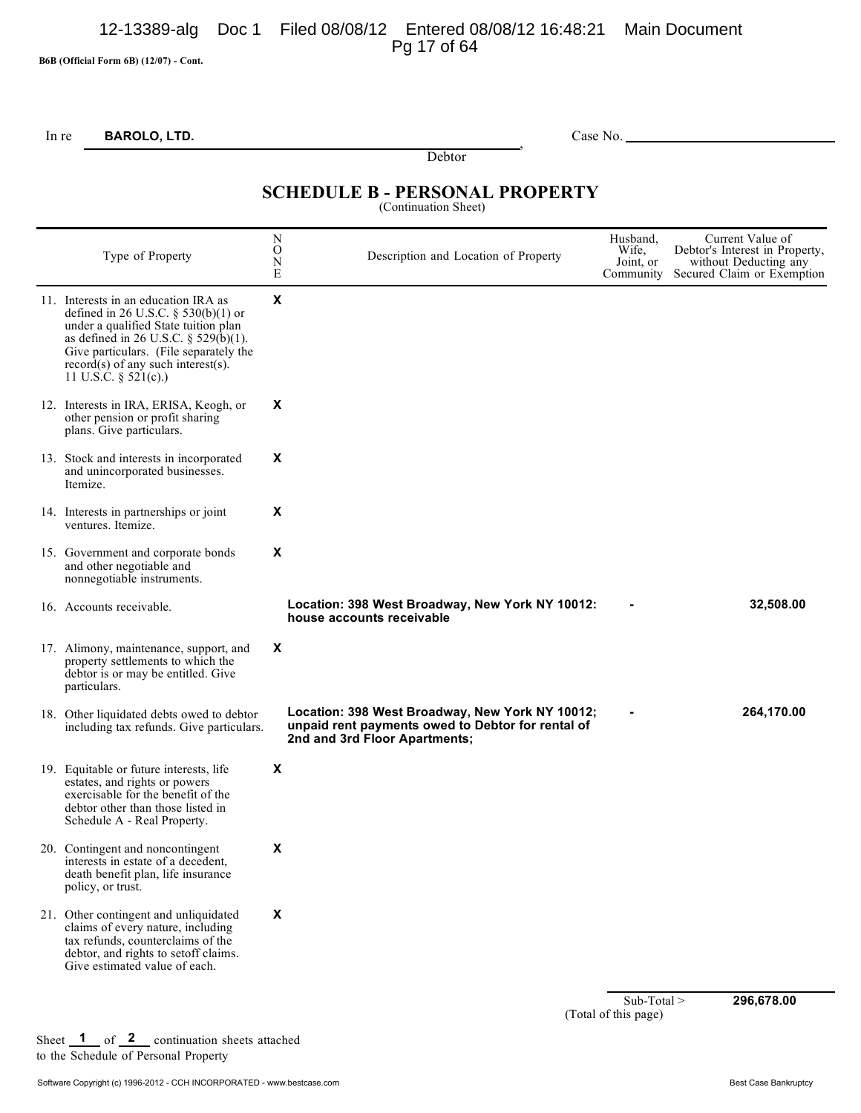### 12-13389-alg Doc 1 Filed 08/08/12 Entered 08/08/12 16:48:21 Main Document Pg 17 of 64

,

**B6B (Official Form 6B) (12/07) - Cont.**

In re

**BAROLO, LTD.** Case No. 2008. **Case No. 2008.** Case No. 2008. Case No. 2008. Case No. 2008. Case No. 2008. Case No. 2008. Case No. 2008. Case No. 2008. Case No. 2008. Case No. 2008. Case No. 2008. Case No. 2008. Case No. 2

Debtor

# **SCHEDULE B - PERSONAL PROPERTY**

(Continuation Sheet)

| Type of Property                                                                                                                                                                                                                                                               | N<br>$\mathcal{O}$<br>$_{\rm E}^{\rm N}$ | Description and Location of Property                                                                                                  | Husband.<br>Wife.<br>Joint, or<br>Community | Current Value of<br>Debtor's Interest in Property,<br>without Deducting any<br>Secured Claim or Exemption |
|--------------------------------------------------------------------------------------------------------------------------------------------------------------------------------------------------------------------------------------------------------------------------------|------------------------------------------|---------------------------------------------------------------------------------------------------------------------------------------|---------------------------------------------|-----------------------------------------------------------------------------------------------------------|
| 11. Interests in an education IRA as<br>defined in 26 U.S.C. $\S$ 530(b)(1) or<br>under a qualified State tuition plan<br>as defined in 26 U.S.C. $\S$ 529(b)(1).<br>Give particulars. (File separately the<br>$record(s)$ of any such interest(s).<br>11 U.S.C. $\S$ 521(c).) | X                                        |                                                                                                                                       |                                             |                                                                                                           |
| 12. Interests in IRA, ERISA, Keogh, or<br>other pension or profit sharing<br>plans. Give particulars.                                                                                                                                                                          | X                                        |                                                                                                                                       |                                             |                                                                                                           |
| 13. Stock and interests in incorporated<br>and unincorporated businesses.<br>Itemize.                                                                                                                                                                                          | X                                        |                                                                                                                                       |                                             |                                                                                                           |
| 14. Interests in partnerships or joint<br>ventures. Itemize.                                                                                                                                                                                                                   | X                                        |                                                                                                                                       |                                             |                                                                                                           |
| 15. Government and corporate bonds<br>and other negotiable and<br>nonnegotiable instruments.                                                                                                                                                                                   | X                                        |                                                                                                                                       |                                             |                                                                                                           |
| 16. Accounts receivable.                                                                                                                                                                                                                                                       |                                          | Location: 398 West Broadway, New York NY 10012:<br>house accounts receivable                                                          |                                             | 32,508.00                                                                                                 |
| 17. Alimony, maintenance, support, and<br>property settlements to which the<br>debtor is or may be entitled. Give<br>particulars.                                                                                                                                              | X                                        |                                                                                                                                       |                                             |                                                                                                           |
| 18. Other liquidated debts owed to debtor<br>including tax refunds. Give particulars.                                                                                                                                                                                          |                                          | Location: 398 West Broadway, New York NY 10012;<br>unpaid rent payments owed to Debtor for rental of<br>2nd and 3rd Floor Apartments; |                                             | 264,170.00                                                                                                |
| 19. Equitable or future interests, life<br>estates, and rights or powers<br>exercisable for the benefit of the<br>debtor other than those listed in<br>Schedule A - Real Property.                                                                                             | X                                        |                                                                                                                                       |                                             |                                                                                                           |
| 20. Contingent and noncontingent<br>interests in estate of a decedent,<br>death benefit plan, life insurance<br>policy, or trust.                                                                                                                                              | X                                        |                                                                                                                                       |                                             |                                                                                                           |
| 21. Other contingent and unliquidated<br>claims of every nature, including<br>tax refunds, counterclaims of the<br>debtor, and rights to set off claims.<br>Give estimated value of each.                                                                                      | X                                        |                                                                                                                                       |                                             |                                                                                                           |
|                                                                                                                                                                                                                                                                                |                                          |                                                                                                                                       | $Sub-Total >$                               | 296,678.00                                                                                                |

Sheet  $\frac{1}{\sqrt{2}}$  of  $\frac{2}{\sqrt{2}}$  continuation sheets attached to the Schedule of Personal Property

(Total of this page)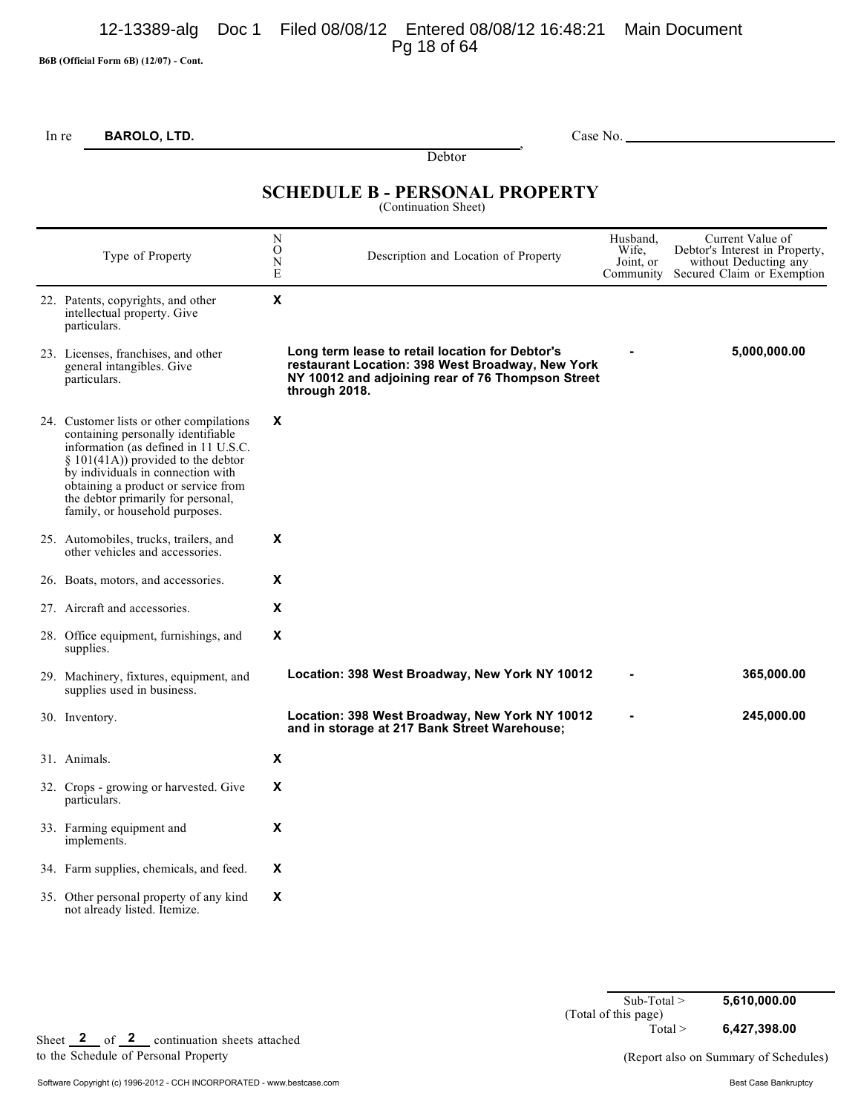12-13389-alg Doc 1 Filed 08/08/12 Entered 08/08/12 16:48:21 Main Document Pg 18 of 64

**B6B (Official Form 6B) (12/07) - Cont.**

| <b>BAROLO, LTD.</b><br>In re                                                                                                                                                                                                                                                                                       |                           |                                                                                                                                                                           | Case No.                       |                                                                                                                     |
|--------------------------------------------------------------------------------------------------------------------------------------------------------------------------------------------------------------------------------------------------------------------------------------------------------------------|---------------------------|---------------------------------------------------------------------------------------------------------------------------------------------------------------------------|--------------------------------|---------------------------------------------------------------------------------------------------------------------|
|                                                                                                                                                                                                                                                                                                                    |                           | Debtor                                                                                                                                                                    |                                |                                                                                                                     |
|                                                                                                                                                                                                                                                                                                                    |                           | <b>SCHEDULE B - PERSONAL PROPERTY</b><br>(Continuation Sheet)                                                                                                             |                                |                                                                                                                     |
| Type of Property                                                                                                                                                                                                                                                                                                   | N<br>0<br>N<br>E          | Description and Location of Property                                                                                                                                      | Husband,<br>Wife,<br>Joint, or | Current Value of<br>Debtor's Interest in Property,<br>without Deducting any<br>Community Secured Claim or Exemption |
| 22. Patents, copyrights, and other<br>intellectual property. Give<br>particulars.                                                                                                                                                                                                                                  | $\boldsymbol{\mathsf{X}}$ |                                                                                                                                                                           |                                |                                                                                                                     |
| 23. Licenses, franchises, and other<br>general intangibles. Give<br>particulars.                                                                                                                                                                                                                                   |                           | Long term lease to retail location for Debtor's<br>restaurant Location: 398 West Broadway, New York<br>NY 10012 and adjoining rear of 76 Thompson Street<br>through 2018. |                                | 5,000,000.00                                                                                                        |
| 24. Customer lists or other compilations<br>containing personally identifiable<br>information (as defined in 11 U.S.C.<br>$§ 101(41A))$ provided to the debtor<br>by individuals in connection with<br>obtaining a product or service from<br>the debtor primarily for personal,<br>family, or household purposes. | X                         |                                                                                                                                                                           |                                |                                                                                                                     |
| 25. Automobiles, trucks, trailers, and<br>other vehicles and accessories.                                                                                                                                                                                                                                          | X                         |                                                                                                                                                                           |                                |                                                                                                                     |
| 26. Boats, motors, and accessories.                                                                                                                                                                                                                                                                                | X                         |                                                                                                                                                                           |                                |                                                                                                                     |
| 27. Aircraft and accessories.                                                                                                                                                                                                                                                                                      | $\mathbf x$               |                                                                                                                                                                           |                                |                                                                                                                     |
| 28. Office equipment, furnishings, and<br>supplies.                                                                                                                                                                                                                                                                | X                         |                                                                                                                                                                           |                                |                                                                                                                     |
| 29. Machinery, fixtures, equipment, and<br>supplies used in business.                                                                                                                                                                                                                                              |                           | Location: 398 West Broadway, New York NY 10012                                                                                                                            |                                | 365,000.00                                                                                                          |
| 30. Inventory.                                                                                                                                                                                                                                                                                                     |                           | Location: 398 West Broadway, New York NY 10012<br>and in storage at 217 Bank Street Warehouse;                                                                            |                                | 245,000.00                                                                                                          |
| 31. Animals.                                                                                                                                                                                                                                                                                                       | X                         |                                                                                                                                                                           |                                |                                                                                                                     |
| 32. Crops - growing or harvested. Give<br>particulars.                                                                                                                                                                                                                                                             | X                         |                                                                                                                                                                           |                                |                                                                                                                     |
| 33. Farming equipment and<br>implements.                                                                                                                                                                                                                                                                           | $\pmb{\mathsf{X}}$        |                                                                                                                                                                           |                                |                                                                                                                     |
| 34. Farm supplies, chemicals, and feed.                                                                                                                                                                                                                                                                            | $\boldsymbol{\mathsf{x}}$ |                                                                                                                                                                           |                                |                                                                                                                     |
| 35. Other personal property of any kind<br>not already listed. Itemize.                                                                                                                                                                                                                                            | $\boldsymbol{\mathsf{x}}$ |                                                                                                                                                                           |                                |                                                                                                                     |

**5,610,000.00**

**6,427,398.00**

(Report also on Summary of Schedules)

 $Sub-Total >$ 

 $Total >$ 

(Total of this page)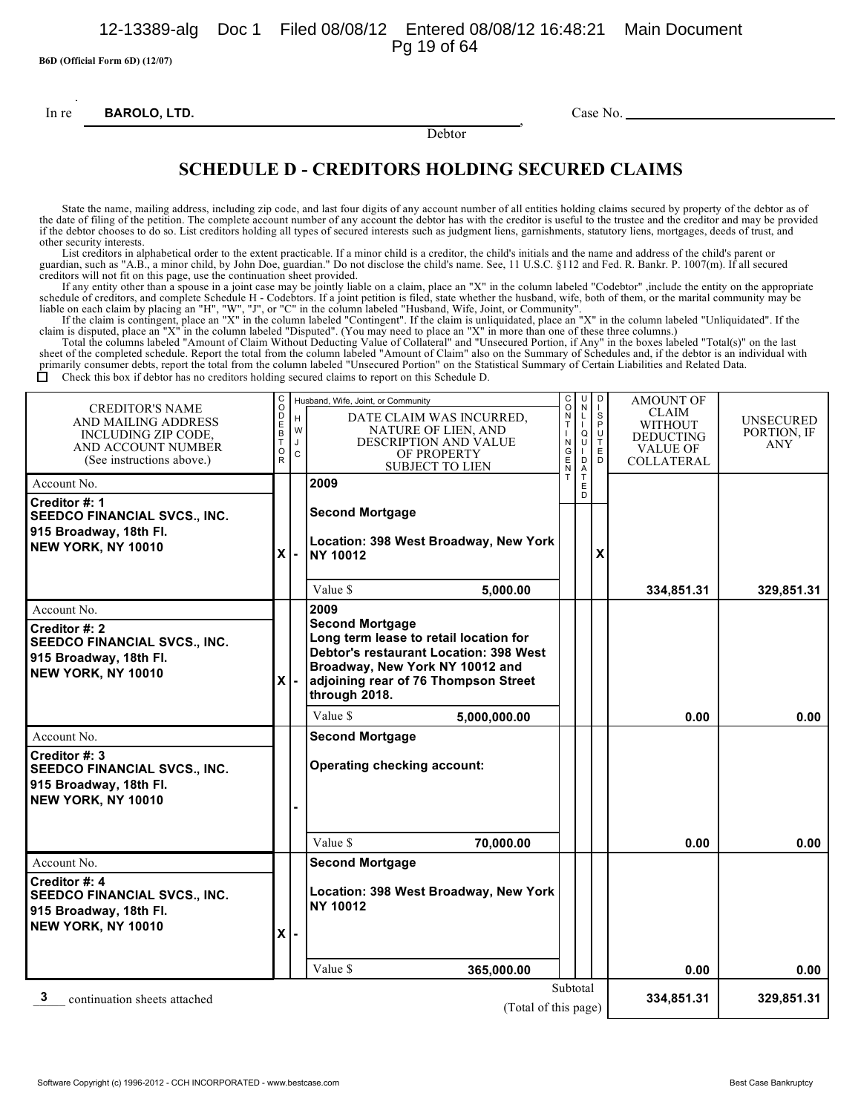12-13389-alg Doc 1 Filed 08/08/12 Entered 08/08/12 16:48:21 Main Document Pg 19 of 64

,

**B6D (Official Form 6D) (12/07)**

In re

**BAROLO, LTD.** Case No. 2008. **Case No. 2008.** Case No. 2008. Case No. 2008. Case No. 2008. Case No. 2008. 2009.

Debtor

# **SCHEDULE D - CREDITORS HOLDING SECURED CLAIMS**

State the name, mailing address, including zip code, and last four digits of any account number of all entities holding claims secured by property of the debtor as of the date of filing of the petition. The complete accoun if the debtor chooses to do so. List creditors holding all types of secured interests such as judgment liens, garnishments, statutory liens, mortgages, deeds of trust, and other security interests.

List creditors in alphabetical order to the extent practicable. If a minor child is a creditor, the child's initials and the name and address of the child's parent or guardian, such as "A.B., a minor child, by John Doe, gu creditors will not fit on this page, use the continuation sheet provided.

If any entity other than a spouse in a joint case may be jointly liable on a claim, place an "X" in the column labeled "Codebtor", include the entity on the appropriate schedule of creditors, and complete Schedule H - Code

Check this box if debtor has no creditors holding secured claims to report on this Schedule D.

| <b>CREDITOR'S NAME</b><br>AND MAILING ADDRESS<br><b>INCLUDING ZIP CODE.</b><br>AND ACCOUNT NUMBER<br>(See instructions above.)<br>Account No.<br>Creditor #: 1<br><b>SEEDCO FINANCIAL SVCS., INC.</b><br>915 Broadway, 18th Fl.<br>NEW YORK, NY 10010 | С<br>$\circ$<br>D<br>E<br>B<br>T<br>$\frac{0}{R}$<br>$\mathbf{x}$ | $\mathsf{H}% _{\mathsf{H}}^{\ast}=\mathsf{H}_{\mathsf{H}}^{\ast}$<br>W<br>J<br>$\mathsf{C}$ | Husband, Wife, Joint, or Community<br>DATE CLAIM WAS INCURRED.<br>NATURE OF LIEN, AND<br>DESCRIPTION AND VALUE<br>OF PROPERTY<br><b>SUBJECT TO LIEN</b><br>2009<br><b>Second Mortgage</b><br>Location: 398 West Broadway, New York<br>NY 10012 | $\overline{c}$<br>$\frac{N}{T}$<br>N<br>G<br>E<br>N | $\geq$<br>$\frac{L}{L}$<br>$\overline{a}$<br>$\mathbf{I}$<br>D<br>A<br>T<br>$_{\rm D}^{\rm E}$ | D<br>$\mathbf{1}$<br>$_{\rm P}^{\rm S}$<br>$\frac{1}{T}$<br>Ε<br>D<br>X | <b>AMOUNT OF</b><br><b>CLAIM</b><br>WITHOUT<br><b>DEDUCTING</b><br>VALUE OF<br><b>COLLATERAL</b> | UNSECURED<br>PORTION, IF<br>ANY |
|-------------------------------------------------------------------------------------------------------------------------------------------------------------------------------------------------------------------------------------------------------|-------------------------------------------------------------------|---------------------------------------------------------------------------------------------|------------------------------------------------------------------------------------------------------------------------------------------------------------------------------------------------------------------------------------------------|-----------------------------------------------------|------------------------------------------------------------------------------------------------|-------------------------------------------------------------------------|--------------------------------------------------------------------------------------------------|---------------------------------|
|                                                                                                                                                                                                                                                       |                                                                   |                                                                                             | Value \$<br>5,000.00                                                                                                                                                                                                                           |                                                     |                                                                                                |                                                                         | 334,851.31                                                                                       | 329,851.31                      |
| Account No.<br>Creditor #: 2<br>SEEDCO FINANCIAL SVCS., INC.<br>915 Broadway, 18th Fl.<br>NEW YORK, NY 10010                                                                                                                                          |                                                                   | x   -                                                                                       | 2009<br><b>Second Mortgage</b><br>Long term lease to retail location for<br><b>Debtor's restaurant Location: 398 West</b><br>Broadway, New York NY 10012 and<br>adjoining rear of 76 Thompson Street<br>through 2018.                          |                                                     |                                                                                                |                                                                         |                                                                                                  |                                 |
|                                                                                                                                                                                                                                                       |                                                                   |                                                                                             | Value \$<br>5,000,000.00                                                                                                                                                                                                                       |                                                     |                                                                                                |                                                                         | 0.00                                                                                             | 0.00                            |
| Account No.<br>Creditor #: 3<br>SEEDCO FINANCIAL SVCS., INC.<br>915 Broadway, 18th Fl.<br>NEW YORK, NY 10010                                                                                                                                          |                                                                   |                                                                                             | <b>Second Mortgage</b><br><b>Operating checking account:</b>                                                                                                                                                                                   |                                                     |                                                                                                |                                                                         |                                                                                                  |                                 |
|                                                                                                                                                                                                                                                       |                                                                   |                                                                                             | Value \$<br>70,000.00                                                                                                                                                                                                                          |                                                     |                                                                                                |                                                                         | 0.00                                                                                             | 0.00                            |
| Account No.<br>Creditor #: 4<br>SEEDCO FINANCIAL SVCS., INC.<br>915 Broadway, 18th Fl.<br>NEW YORK, NY 10010                                                                                                                                          | $x$  -                                                            |                                                                                             | <b>Second Mortgage</b><br>Location: 398 West Broadway, New York<br>NY 10012<br>Value \$<br>365,000.00                                                                                                                                          |                                                     |                                                                                                |                                                                         | 0.00                                                                                             | 0.00                            |
|                                                                                                                                                                                                                                                       |                                                                   |                                                                                             |                                                                                                                                                                                                                                                | Subtotal                                            |                                                                                                |                                                                         |                                                                                                  |                                 |
| 3<br>continuation sheets attached                                                                                                                                                                                                                     |                                                                   |                                                                                             | (Total of this page)                                                                                                                                                                                                                           |                                                     |                                                                                                |                                                                         | 334,851.31                                                                                       | 329,851.31                      |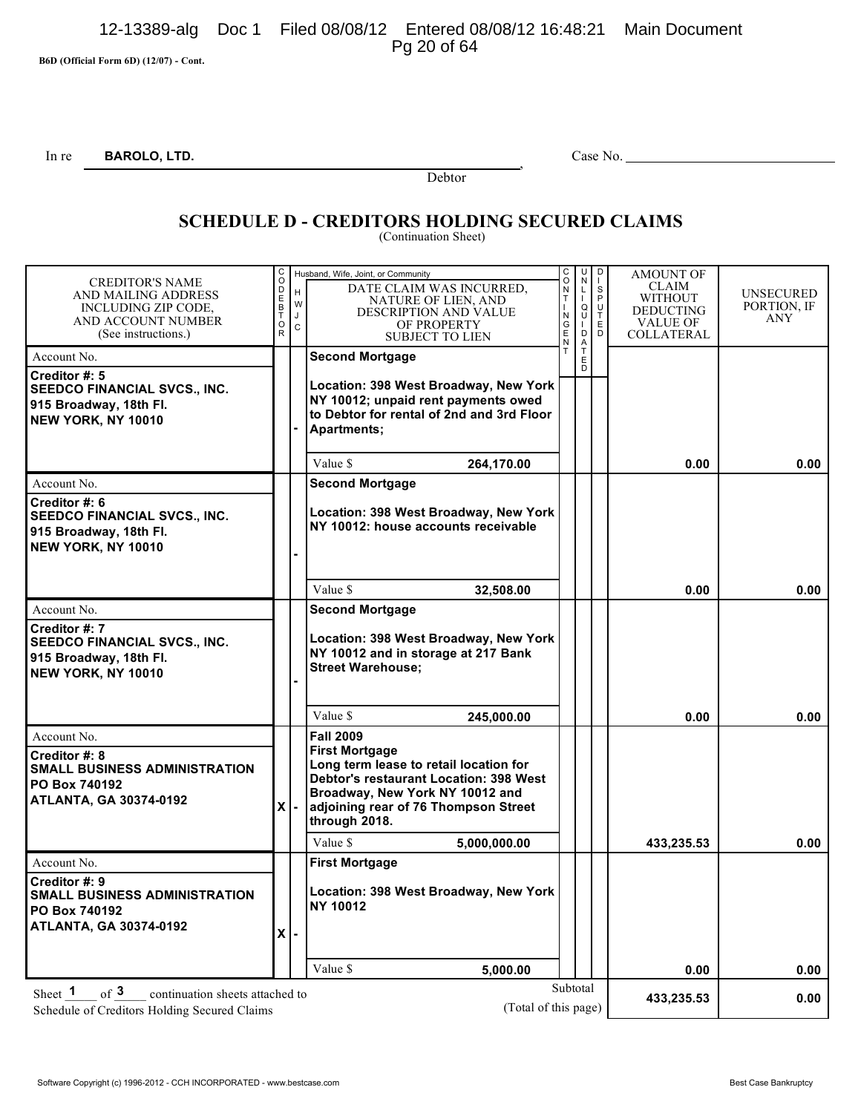In re **BAROLO, LTD.** Case No. 2008 **Case No. 2008** 

,

# **SCHEDULE D - CREDITORS HOLDING SECURED CLAIMS**

Debtor

| <b>CREDITOR'S NAME</b><br>AND MAILING ADDRESS<br>INCLUDING ZIP CODE,<br>AND ACCOUNT NUMBER<br>(See instructions.) | C<br>O<br>D<br>B<br>B<br>T<br>$\frac{0}{R}$ | $\mathsf H$<br>W<br>$\mathsf J$<br>$\mathbf C$ | Husband, Wife, Joint, or Community<br>DATE CLAIM WAS INCURRED,<br>NATURE OF LIEN, AND<br><b>DESCRIPTION AND VALUE</b><br>OF PROPERTY<br><b>SUBJECT TO LIEN</b>                                        | $\rm ^c_{\rm O}$<br>$_{\rm T}^{\rm N}$<br>N<br>$rac{G}{E}$ | U<br>N<br>L<br>$\mathbf{L}$<br>$\rm _U^Q$<br>D | D<br>$\mathbf{I}$<br>$\frac{S}{P}$<br>$\frac{1}{T}$<br>E<br>D | <b>AMOUNT OF</b><br><b>CLAIM</b><br><b>WITHOUT</b><br><b>DEDUCTING</b><br><b>VALUE OF</b><br><b>COLLATERAL</b> | UNSECURED<br>PORTION, IF<br><b>ANY</b> |
|-------------------------------------------------------------------------------------------------------------------|---------------------------------------------|------------------------------------------------|-------------------------------------------------------------------------------------------------------------------------------------------------------------------------------------------------------|------------------------------------------------------------|------------------------------------------------|---------------------------------------------------------------|----------------------------------------------------------------------------------------------------------------|----------------------------------------|
| Account No.                                                                                                       |                                             |                                                | <b>Second Mortgage</b>                                                                                                                                                                                |                                                            | $\frac{A}{T}$<br>$_{\rm D}^{\rm E}$            |                                                               |                                                                                                                |                                        |
| Creditor #: 5<br>SEEDCO FINANCIAL SVCS., INC.<br>915 Broadway, 18th Fl.<br>NEW YORK, NY 10010                     |                                             |                                                | Location: 398 West Broadway, New York<br>NY 10012; unpaid rent payments owed<br>to Debtor for rental of 2nd and 3rd Floor<br><b>Apartments;</b>                                                       |                                                            |                                                |                                                               |                                                                                                                |                                        |
|                                                                                                                   |                                             |                                                | Value \$<br>264,170.00                                                                                                                                                                                |                                                            |                                                |                                                               | 0.00                                                                                                           | 0.00                                   |
| Account No.                                                                                                       |                                             |                                                | <b>Second Mortgage</b>                                                                                                                                                                                |                                                            |                                                |                                                               |                                                                                                                |                                        |
| Creditor #: 6<br><b>SEEDCO FINANCIAL SVCS., INC.</b><br>915 Broadway, 18th Fl.<br>NEW YORK, NY 10010              |                                             |                                                | Location: 398 West Broadway, New York<br>NY 10012: house accounts receivable                                                                                                                          |                                                            |                                                |                                                               |                                                                                                                |                                        |
|                                                                                                                   |                                             |                                                | Value \$<br>32,508.00                                                                                                                                                                                 |                                                            |                                                |                                                               | 0.00                                                                                                           | 0.00                                   |
| Account No.                                                                                                       |                                             |                                                | <b>Second Mortgage</b>                                                                                                                                                                                |                                                            |                                                |                                                               |                                                                                                                |                                        |
| Creditor #: 7<br><b>SEEDCO FINANCIAL SVCS., INC.</b><br>915 Broadway, 18th Fl.<br>NEW YORK, NY 10010              |                                             |                                                | Location: 398 West Broadway, New York<br>NY 10012 and in storage at 217 Bank<br><b>Street Warehouse;</b>                                                                                              |                                                            |                                                |                                                               |                                                                                                                |                                        |
|                                                                                                                   |                                             |                                                | Value \$<br>245,000.00                                                                                                                                                                                |                                                            |                                                |                                                               | 0.00                                                                                                           | 0.00                                   |
| Account No.                                                                                                       |                                             |                                                | <b>Fall 2009</b>                                                                                                                                                                                      |                                                            |                                                |                                                               |                                                                                                                |                                        |
| Creditor #: 8<br><b>SMALL BUSINESS ADMINISTRATION</b><br>PO Box 740192<br><b>ATLANTA, GA 30374-0192</b>           | $x$  .                                      |                                                | <b>First Mortgage</b><br>Long term lease to retail location for<br>Debtor's restaurant Location: 398 West<br>Broadway, New York NY 10012 and<br>adjoining rear of 76 Thompson Street<br>through 2018. |                                                            |                                                |                                                               |                                                                                                                |                                        |
|                                                                                                                   |                                             |                                                | Value \$<br>5,000,000.00                                                                                                                                                                              |                                                            |                                                |                                                               | 433,235.53                                                                                                     | 0.00                                   |
| Account No.                                                                                                       |                                             |                                                | <b>First Mortgage</b>                                                                                                                                                                                 |                                                            |                                                |                                                               |                                                                                                                |                                        |
| Creditor #: 9<br>SMALL BUSINESS ADMINISTRATION<br>PO Box 740192<br><b>ATLANTA, GA 30374-0192</b>                  |                                             | $x$ .                                          | Location: 398 West Broadway, New York<br>NY 10012                                                                                                                                                     |                                                            |                                                |                                                               |                                                                                                                |                                        |
|                                                                                                                   |                                             |                                                | Value \$<br>5,000.00                                                                                                                                                                                  |                                                            |                                                |                                                               | 0.00                                                                                                           | 0.00                                   |
| Sheet 1<br>of $3$<br>continuation sheets attached to<br>Schedule of Creditors Holding Secured Claims              |                                             |                                                | (Total of this page)                                                                                                                                                                                  | Subtotal                                                   |                                                |                                                               | 433,235.53                                                                                                     | 0.00                                   |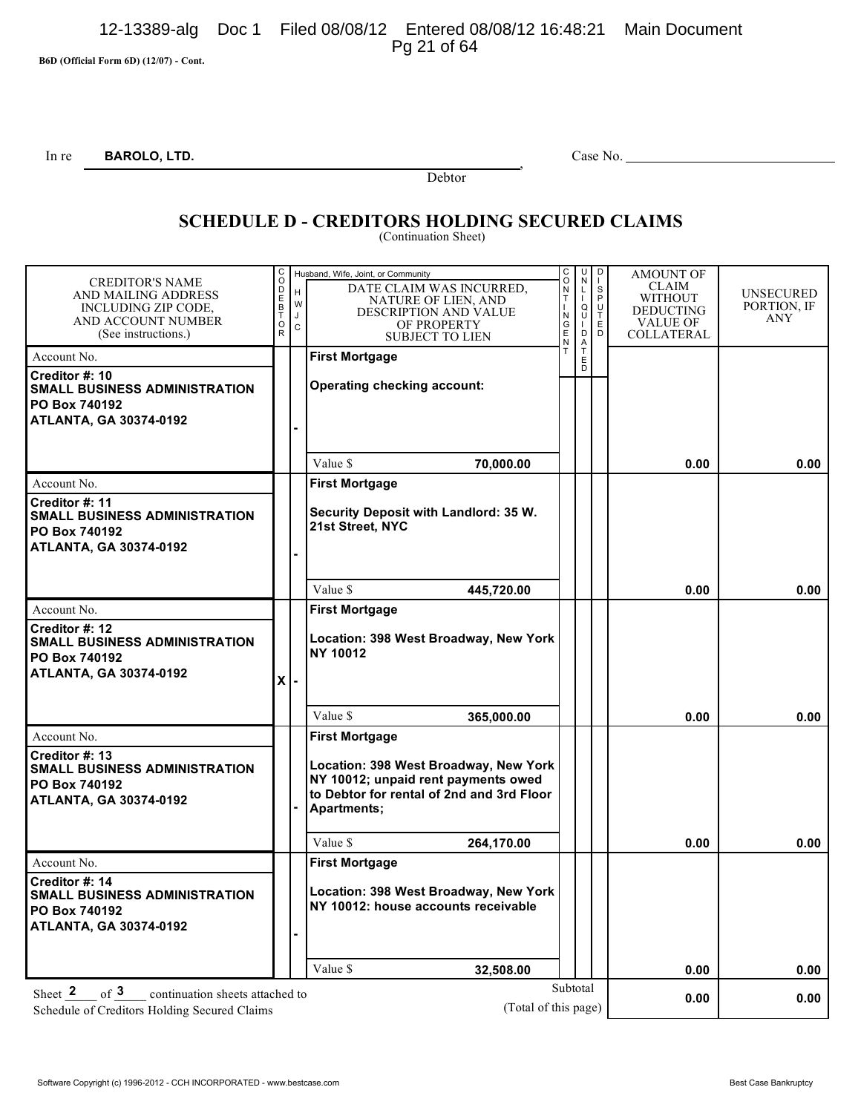In re **BAROLO, LTD.** Case No. 2008 **Case No. 2008** 

Debtor

,

# **SCHEDULE D - CREDITORS HOLDING SECURED CLAIMS**

| <b>CREDITOR'S NAME</b><br>AND MAILING ADDRESS<br>INCLUDING ZIP CODE,<br>AND ACCOUNT NUMBER<br>(See instructions.) | С<br>$\circ$<br>D<br>E<br>B<br>T<br>$\circ$<br>$\mathsf R$ | H<br>W<br>J<br>C | Husband, Wife, Joint, or Community<br>DATE CLAIM WAS INCURRED,<br>NATURE OF LIEN, AND<br><b>DESCRIPTION AND VALUE</b><br>OF PROPERTY<br><b>SUBJECT TO LIEN</b> | C<br>$\circ$<br>$_{\rm T}^{\rm N}$<br>N<br>2F | U<br>N<br>旧<br>Q<br>U<br>D<br>A | D<br>$\perp$<br>S<br>P<br>$_{\rm T}^{\rm U}$<br>Ε<br>D | <b>AMOUNT OF</b><br>CLAIM<br><b>WITHOUT</b><br><b>DEDUCTING</b><br>VALUE OF<br><b>COLLATERAL</b> | <b>UNSECURED</b><br>PORTION, IF<br>ANY |
|-------------------------------------------------------------------------------------------------------------------|------------------------------------------------------------|------------------|----------------------------------------------------------------------------------------------------------------------------------------------------------------|-----------------------------------------------|---------------------------------|--------------------------------------------------------|--------------------------------------------------------------------------------------------------|----------------------------------------|
| Account No.                                                                                                       |                                                            |                  | <b>First Mortgage</b>                                                                                                                                          |                                               | T.<br>E<br>D                    |                                                        |                                                                                                  |                                        |
| Creditor #: 10<br><b>SMALL BUSINESS ADMINISTRATION</b><br>PO Box 740192<br>ATLANTA, GA 30374-0192                 |                                                            |                  | <b>Operating checking account:</b>                                                                                                                             |                                               |                                 |                                                        |                                                                                                  |                                        |
|                                                                                                                   |                                                            |                  | Value \$<br>70,000.00                                                                                                                                          |                                               |                                 |                                                        | 0.00                                                                                             | 0.00                                   |
| Account No.                                                                                                       |                                                            |                  | <b>First Mortgage</b>                                                                                                                                          |                                               |                                 |                                                        |                                                                                                  |                                        |
| Creditor #: 11<br><b>SMALL BUSINESS ADMINISTRATION</b><br><b>PO Box 740192</b><br>ATLANTA, GA 30374-0192          |                                                            |                  | Security Deposit with Landlord: 35 W.<br>21st Street, NYC                                                                                                      |                                               |                                 |                                                        |                                                                                                  |                                        |
|                                                                                                                   |                                                            |                  | Value \$<br>445.720.00                                                                                                                                         |                                               |                                 |                                                        | 0.00                                                                                             | 0.00                                   |
| Account No.                                                                                                       |                                                            |                  | <b>First Mortgage</b>                                                                                                                                          |                                               |                                 |                                                        |                                                                                                  |                                        |
| Creditor #: 12<br><b>SMALL BUSINESS ADMINISTRATION</b><br>PO Box 740192<br>ATLANTA, GA 30374-0192                 |                                                            | <b>x</b>   -     | Location: 398 West Broadway, New York<br><b>NY 10012</b>                                                                                                       |                                               |                                 |                                                        |                                                                                                  |                                        |
|                                                                                                                   |                                                            |                  | Value \$<br>365,000.00                                                                                                                                         |                                               |                                 |                                                        | 0.00                                                                                             | 0.00                                   |
| Account No.                                                                                                       |                                                            |                  | <b>First Mortgage</b>                                                                                                                                          |                                               |                                 |                                                        |                                                                                                  |                                        |
| Creditor #: 13<br><b>SMALL BUSINESS ADMINISTRATION</b><br>PO Box 740192<br>ATLANTA, GA 30374-0192                 |                                                            |                  | Location: 398 West Broadway, New York<br>NY 10012; unpaid rent payments owed<br>to Debtor for rental of 2nd and 3rd Floor<br><b>Apartments;</b>                |                                               |                                 |                                                        |                                                                                                  |                                        |
|                                                                                                                   |                                                            |                  | Value \$<br>264,170.00                                                                                                                                         |                                               |                                 |                                                        | 0.00                                                                                             | 0.00                                   |
| Account No.                                                                                                       |                                                            |                  | <b>First Mortgage</b>                                                                                                                                          |                                               |                                 |                                                        |                                                                                                  |                                        |
| Creditor #: 14<br>SMALL BUSINESS ADMINISTRATION<br>PO Box 740192<br><b>ATLANTA, GA 30374-0192</b>                 |                                                            |                  | Location: 398 West Broadway, New York<br>NY 10012: house accounts receivable                                                                                   |                                               |                                 |                                                        |                                                                                                  |                                        |
|                                                                                                                   |                                                            |                  | Value \$<br>32,508.00                                                                                                                                          |                                               |                                 |                                                        | 0.00                                                                                             | 0.00                                   |
| Sheet 2<br>$_{\rm of}$ 3<br>continuation sheets attached to<br>Schedule of Creditors Holding Secured Claims       |                                                            |                  | (Total of this page)                                                                                                                                           | Subtotal                                      |                                 |                                                        | 0.00                                                                                             | 0.00                                   |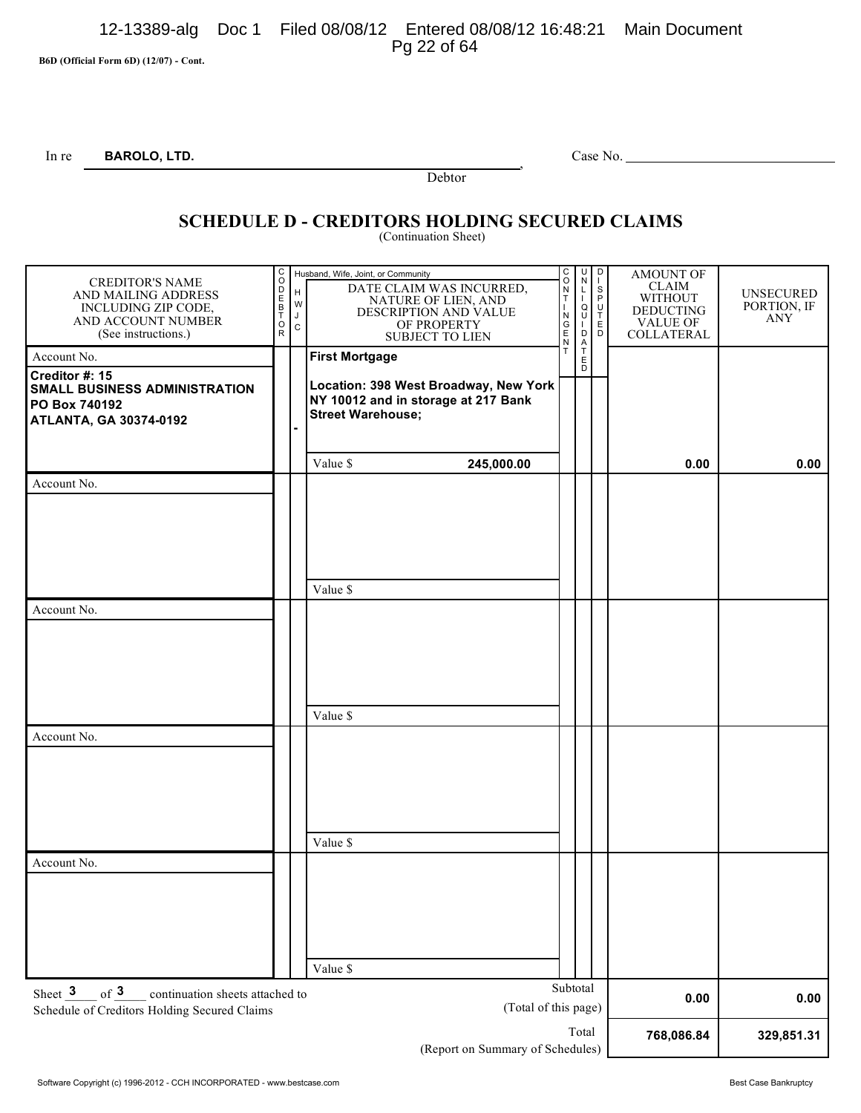In re

**BAROLO, LTD.** Case No. 2008 **Case No. 2008** 

,

Debtor

# **SCHEDULE D - CREDITORS HOLDING SECURED CLAIMS**

| <b>CREDITOR'S NAME</b><br>AND MAILING ADDRESS<br>INCLUDING ZIP CODE,<br>AND ACCOUNT NUMBER<br>(See instructions.) | CONDON<br>ROH<br>B<br>T<br>O<br>R | $\begin{array}{c}\nH \\ W \\ J\n\end{array}$<br>$\mathsf C$ | Husband, Wife, Joint, or Community<br>DATE CLAIM WAS INCURRED,<br>NATURE OF LIEN, AND<br>DESCRIPTION AND VALUE<br>OF PROPERTY<br><b>SUBJECT TO LIEN</b> | $O$<br>$N$<br>$T$<br>200Z | $\begin{array}{c}\nC \\ D\n\end{array}$<br>$\mathbf{I}$ | E<br>D | <b>AMOUNT OF</b><br>CLAIM<br><b>WITHOUT</b><br><b>DEDUCTING</b><br><b>VALUE OF</b><br>COLLATERAL | <b>UNSECURED</b><br>PORTION, IF<br><b>ANY</b> |
|-------------------------------------------------------------------------------------------------------------------|-----------------------------------|-------------------------------------------------------------|---------------------------------------------------------------------------------------------------------------------------------------------------------|---------------------------|---------------------------------------------------------|--------|--------------------------------------------------------------------------------------------------|-----------------------------------------------|
| Account No.                                                                                                       |                                   |                                                             | <b>First Mortgage</b>                                                                                                                                   |                           | D<br>A<br>T<br>E<br>D                                   |        |                                                                                                  |                                               |
| Creditor #: 15<br><b>SMALL BUSINESS ADMINISTRATION</b><br>PO Box 740192<br>ATLANTA, GA 30374-0192                 |                                   |                                                             | Location: 398 West Broadway, New York<br>NY 10012 and in storage at 217 Bank<br><b>Street Warehouse;</b>                                                |                           |                                                         |        |                                                                                                  |                                               |
|                                                                                                                   |                                   |                                                             | Value \$<br>245,000.00                                                                                                                                  |                           |                                                         |        | 0.00                                                                                             | 0.00                                          |
| Account No.                                                                                                       |                                   |                                                             |                                                                                                                                                         |                           |                                                         |        |                                                                                                  |                                               |
| Account No.                                                                                                       |                                   |                                                             | Value \$                                                                                                                                                |                           |                                                         |        |                                                                                                  |                                               |
|                                                                                                                   |                                   |                                                             | Value \$                                                                                                                                                |                           |                                                         |        |                                                                                                  |                                               |
| Account No.                                                                                                       |                                   |                                                             |                                                                                                                                                         |                           |                                                         |        |                                                                                                  |                                               |
|                                                                                                                   |                                   |                                                             | Value \$                                                                                                                                                |                           |                                                         |        |                                                                                                  |                                               |
| Account No.                                                                                                       |                                   |                                                             |                                                                                                                                                         |                           |                                                         |        |                                                                                                  |                                               |
|                                                                                                                   |                                   |                                                             | Value \$                                                                                                                                                |                           |                                                         |        |                                                                                                  |                                               |
| Sheet 3<br>of $3$<br>continuation sheets attached to                                                              |                                   |                                                             |                                                                                                                                                         | Subtotal                  |                                                         |        | 0.00                                                                                             | 0.00                                          |
| Schedule of Creditors Holding Secured Claims                                                                      |                                   |                                                             | (Total of this page)                                                                                                                                    |                           |                                                         |        |                                                                                                  |                                               |
|                                                                                                                   |                                   |                                                             | (Report on Summary of Schedules)                                                                                                                        |                           | Total                                                   |        | 768,086.84                                                                                       | 329,851.31                                    |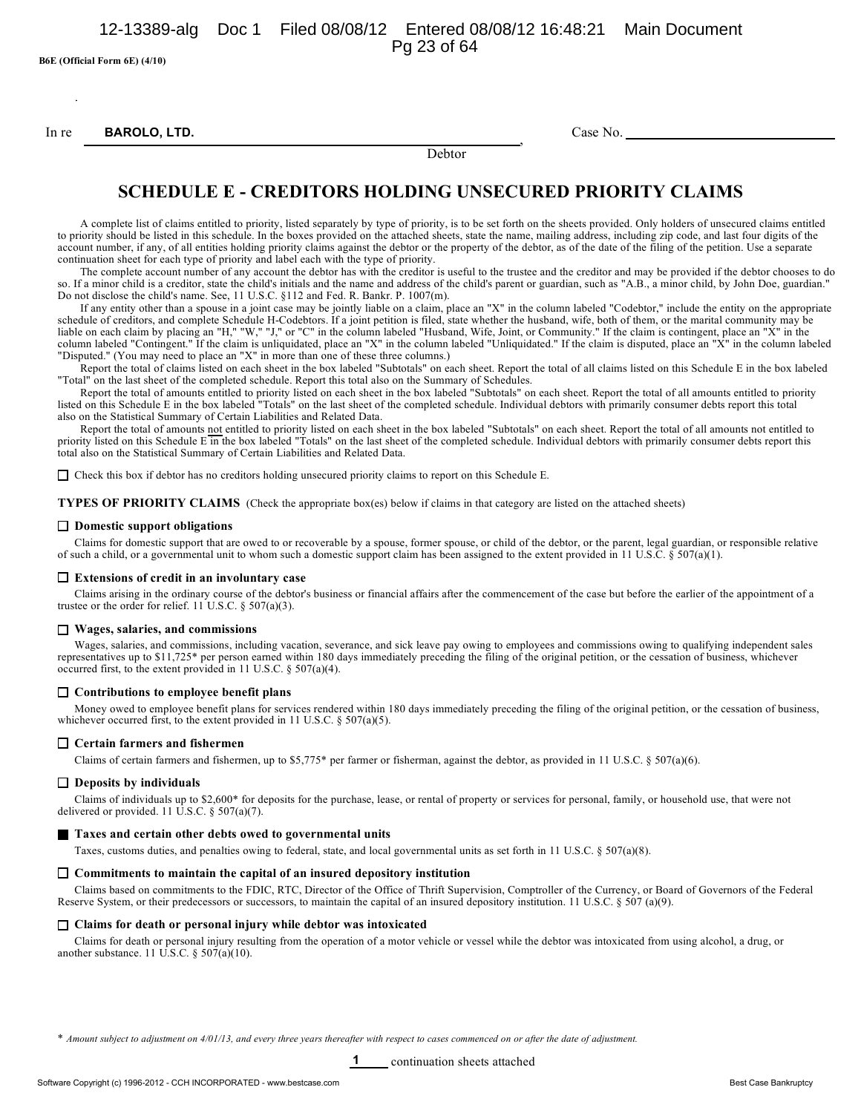12-13389-alg Doc 1 Filed 08/08/12 Entered 08/08/12 16:48:21 Main Document Pg 23 of 64

**B6E (Official Form 6E) (4/10)**

In re

,

**BAROLO, LTD.** Case No.

# **SCHEDULE E - CREDITORS HOLDING UNSECURED PRIORITY CLAIMS**

Debtor

A complete list of claims entitled to priority, listed separately by type of priority, is to be set forth on the sheets provided. Only holders of unsecured claims entitled to priority should be listed in this schedule. In the boxes provided on the attached sheets, state the name, mailing address, including zip code, and last four digits of the account number, if any, of all entities holding priority claims against the debtor or the property of the debtor, as of the date of the filing of the petition. Use a separate continuation sheet for each type of priority and label each with the type of priority.

The complete account number of any account the debtor has with the creditor is useful to the trustee and the creditor and may be provided if the debtor chooses to do so. If a minor child is a creditor, state the child's initials and the name and address of the child's parent or guardian, such as "A.B., a minor child, by John Doe, guardian." Do not disclose the child's name. See, 11 U.S.C. §112 and Fed. R. Bankr. P. 1007(m).

If any entity other than a spouse in a joint case may be jointly liable on a claim, place an "X" in the column labeled "Codebtor," include the entity on the appropriate schedule of creditors, and complete Schedule H-Codebtors. If a joint petition is filed, state whether the husband, wife, both of them, or the marital community may be liable on each claim by placing an "H," "W," "J," or "C" in the column labeled "Husband, Wife, Joint, or Community." If the claim is contingent, place an "X" in the column labeled "Contingent." If the claim is unliquidated, place an "X" in the column labeled "Unliquidated." If the claim is disputed, place an "X" in the column labeled "Disputed." (You may need to place an "X" in more than one of these three columns.)

Report the total of claims listed on each sheet in the box labeled "Subtotals" on each sheet. Report the total of all claims listed on this Schedule E in the box labeled "Total" on the last sheet of the completed schedule. Report this total also on the Summary of Schedules.

Report the total of amounts entitled to priority listed on each sheet in the box labeled "Subtotals" on each sheet. Report the total of all amounts entitled to priority listed on this Schedule E in the box labeled "Totals" on the last sheet of the completed schedule. Individual debtors with primarily consumer debts report this total also on the Statistical Summary of Certain Liabilities and Related Data.

Report the total of amounts not entitled to priority listed on each sheet in the box labeled "Subtotals" on each sheet. Report the total of all amounts not entitled to priority listed on this Schedule E in the box labeled "Totals" on the last sheet of the completed schedule. Individual debtors with primarily consumer debts report this total also on the Statistical Summary of Certain Liabilities and Related Data.

 $\Box$  Check this box if debtor has no creditors holding unsecured priority claims to report on this Schedule E.

**TYPES OF PRIORITY CLAIMS** (Check the appropriate box(es) below if claims in that category are listed on the attached sheets)

#### **Domestic support obligations**

Claims for domestic support that are owed to or recoverable by a spouse, former spouse, or child of the debtor, or the parent, legal guardian, or responsible relative of such a child, or a governmental unit to whom such a domestic support claim has been assigned to the extent provided in 11 U.S.C. § 507(a)(1).

#### **Extensions of credit in an involuntary case**

Claims arising in the ordinary course of the debtor's business or financial affairs after the commencement of the case but before the earlier of the appointment of a trustee or the order for relief. 11 U.S.C.  $\S$  507(a)(3).

#### **Wages, salaries, and commissions**

Wages, salaries, and commissions, including vacation, severance, and sick leave pay owing to employees and commissions owing to qualifying independent sales representatives up to \$11,725\* per person earned within 180 days immediately preceding the filing of the original petition, or the cessation of business, whichever occurred first, to the extent provided in 11 U.S.C. § 507(a)(4).

#### **Contributions to employee benefit plans**

Money owed to employee benefit plans for services rendered within 180 days immediately preceding the filing of the original petition, or the cessation of business, whichever occurred first, to the extent provided in 11 U.S.C. § 507(a)(5).

#### **Certain farmers and fishermen**

Claims of certain farmers and fishermen, up to \$5,775\* per farmer or fisherman, against the debtor, as provided in 11 U.S.C. § 507(a)(6).

#### **Deposits by individuals**

Claims of individuals up to \$2,600\* for deposits for the purchase, lease, or rental of property or services for personal, family, or household use, that were not delivered or provided. 11 U.S.C.  $\S$  507(a)(7).

#### **Taxes and certain other debts owed to governmental units**

Taxes, customs duties, and penalties owing to federal, state, and local governmental units as set forth in 11 U.S.C. § 507(a)(8).

#### **Commitments to maintain the capital of an insured depository institution**

Claims based on commitments to the FDIC, RTC, Director of the Office of Thrift Supervision, Comptroller of the Currency, or Board of Governors of the Federal Reserve System, or their predecessors or successors, to maintain the capital of an insured depository institution. 11 U.S.C. § 507 (a)(9).

#### **Claims for death or personal injury while debtor was intoxicated**

Claims for death or personal injury resulting from the operation of a motor vehicle or vessel while the debtor was intoxicated from using alcohol, a drug, or another substance. 11 U.S.C.  $\S 507(a)(10)$ .

\* *Amount subject to adjustment on 4/01/13, and every three years thereafter with respect to cases commenced on or after the date of adjustment.*

continuation sheets attached **1**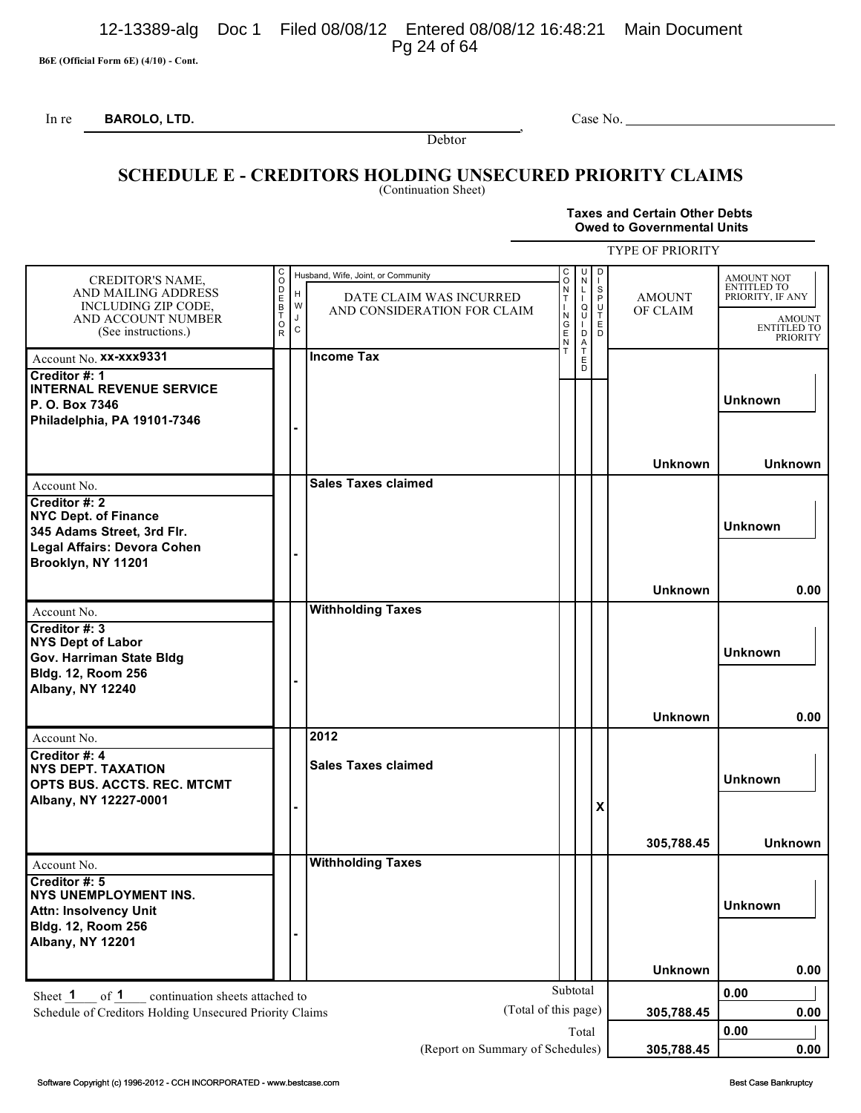### 12-13389-alg Doc 1 Filed 08/08/12 Entered 08/08/12 16:48:21 Main Document Pg 24 of 64

**B6E (Official Form 6E) (4/10) - Cont.**

In re **BAROLO, LTD.** Case No.

Debtor

,

# **SCHEDULE E - CREDITORS HOLDING UNSECURED PRIORITY CLAIMS**

(Continuation Sheet)

**Taxes and Certain Other Debts Owed to Governmental Units**

|                                                                                                                                                |                                      |                            |                                                                                              |                                                                                                                            |                    |                                     | TYPE OF PRIORITY          |                                                                                                                       |
|------------------------------------------------------------------------------------------------------------------------------------------------|--------------------------------------|----------------------------|----------------------------------------------------------------------------------------------|----------------------------------------------------------------------------------------------------------------------------|--------------------|-------------------------------------|---------------------------|-----------------------------------------------------------------------------------------------------------------------|
| CREDITOR'S NAME,<br>AND MAILING ADDRESS<br>INCLUDING ZIP CODE,<br>AND ACCOUNT NUMBER<br>(See instructions.)                                    | C<br>O<br>D<br>E<br>B<br>T<br>O<br>R | H<br>W<br>J<br>$\mathsf C$ | Husband, Wife, Joint, or Community<br>DATE CLAIM WAS INCURRED<br>AND CONSIDERATION FOR CLAIM | U<br>$\overline{z-iz}$ oo<br>N<br>$\frac{L}{L}$<br>$_{\rm o}^{\rm o}$<br>G<br>E<br>N<br>$\mathbf{L}$<br>D<br>$\frac{A}{T}$ |                    | $\overline{I}$<br>$S_{P}$<br>Е<br>D | <b>AMOUNT</b><br>OF CLAIM | <b>AMOUNT NOT</b><br><b>ENTITLED TO</b><br>PRIORITY, IF ANY<br><b>AMOUNT</b><br><b>ENTITLED TO</b><br><b>PRIORITY</b> |
| Account No. XX-XXX9331                                                                                                                         |                                      |                            | <b>Income Tax</b>                                                                            | T                                                                                                                          | $_{\rm D}^{\rm E}$ |                                     |                           |                                                                                                                       |
| Creditor #: 1<br><b>INTERNAL REVENUE SERVICE</b><br>P. O. Box 7346<br>Philadelphia, PA 19101-7346                                              |                                      |                            |                                                                                              |                                                                                                                            |                    |                                     |                           | <b>Unknown</b>                                                                                                        |
|                                                                                                                                                |                                      |                            |                                                                                              |                                                                                                                            |                    |                                     | <b>Unknown</b>            | <b>Unknown</b>                                                                                                        |
| Account No.<br>Creditor #: 2<br><b>NYC Dept. of Finance</b><br>345 Adams Street, 3rd Flr.<br>Legal Affairs: Devora Cohen<br>Brooklyn, NY 11201 |                                      |                            | <b>Sales Taxes claimed</b>                                                                   |                                                                                                                            |                    |                                     | <b>Unknown</b>            | <b>Unknown</b><br>0.00                                                                                                |
| Account No.                                                                                                                                    |                                      |                            | <b>Withholding Taxes</b>                                                                     |                                                                                                                            |                    |                                     |                           |                                                                                                                       |
| Creditor #: 3<br><b>NYS Dept of Labor</b><br>Gov. Harriman State Bldg<br>Bldg. 12, Room 256<br>Albany, NY 12240                                |                                      |                            |                                                                                              |                                                                                                                            |                    |                                     | <b>Unknown</b>            | <b>Unknown</b><br>0.00                                                                                                |
| Account No.                                                                                                                                    |                                      |                            | 2012                                                                                         |                                                                                                                            |                    |                                     |                           |                                                                                                                       |
| Creditor #: 4<br><b>NYS DEPT. TAXATION</b><br><b>OPTS BUS, ACCTS, REC, MTCMT</b><br>Albany, NY 12227-0001                                      |                                      |                            | <b>Sales Taxes claimed</b>                                                                   |                                                                                                                            |                    | $\pmb{\mathsf{X}}$                  |                           | <b>Unknown</b>                                                                                                        |
|                                                                                                                                                |                                      |                            |                                                                                              |                                                                                                                            |                    |                                     | 305,788.45                | <b>Unknown</b>                                                                                                        |
| Account No.<br>Creditor #: 5<br>NYS UNEMPLOYMENT INS.<br><b>Attn: Insolvency Unit</b><br>Bldg. 12, Room 256<br>Albany, NY 12201                |                                      |                            | <b>Withholding Taxes</b>                                                                     |                                                                                                                            |                    |                                     | <b>Unknown</b>            | <b>Unknown</b><br>0.00                                                                                                |
| of 1<br>Sheet 1<br>continuation sheets attached to                                                                                             |                                      |                            |                                                                                              | Subtotal                                                                                                                   |                    |                                     |                           | 0.00                                                                                                                  |
| Schedule of Creditors Holding Unsecured Priority Claims                                                                                        |                                      |                            | (Total of this page)                                                                         |                                                                                                                            |                    |                                     | 305,788.45                | 0.00                                                                                                                  |
|                                                                                                                                                |                                      |                            |                                                                                              |                                                                                                                            | Total              |                                     |                           | 0.00                                                                                                                  |
|                                                                                                                                                |                                      |                            | (Report on Summary of Schedules)                                                             |                                                                                                                            |                    |                                     | 305,788.45                | 0.00                                                                                                                  |

(Report on Summary of Schedules)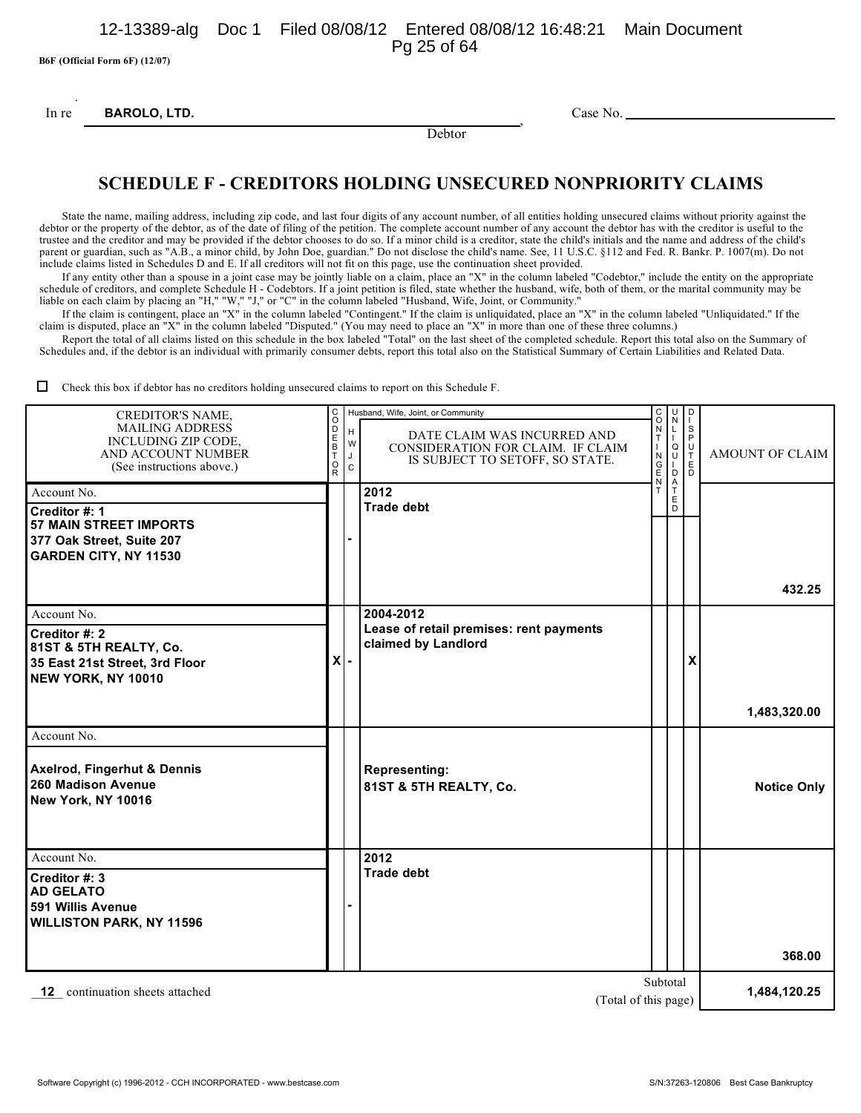12-13389-alg Doc 1 Filed 08/08/12 Entered 08/08/12 16:48:21 Main Document Pg 25 of 64

,

**B6F (Official Form 6F) (12/07)**

In re

**BAROLO, LTD.** Case No. 2008. **Case No. 2008.** Case No. 2008. Case No. 2008. Case No. 2008. Case No. 2008. Case No. 2014. 2015. Case No. 2014. 2015. Case No. 2016. 2017. 2018. 2016. 2017. 2018. 2016. 2017. 2018. 2017. 2018

Debtor

# **SCHEDULE F - CREDITORS HOLDING UNSECURED NONPRIORITY CLAIMS**

State the name, mailing address, including zip code, and last four digits of any account number, of all entities holding unsecured claims without priority against the debtor or the property of the debtor, as of the date of filing of the petition. The complete account number of any account the debtor has with the creditor is useful to the trustee and the creditor and may be provided if the debtor chooses to do so. If a minor child is a creditor, state the child's initials and the name and address of the child's parent or guardian, such as "A.B., a minor child, by John Doe, guardian." Do not disclose the child's name. See, 11 U.S.C. §112 and Fed. R. Bankr. P. 1007(m). Do not include claims listed in Schedules D and E. If all creditors will not fit on this page, use the continuation sheet provided.

If any entity other than a spouse in a joint case may be jointly liable on a claim, place an "X" in the column labeled "Codebtor," include the entity on the appropriate schedule of creditors, and complete Schedule H - Codebtors. If a joint petition is filed, state whether the husband, wife, both of them, or the marital community may be liable on each claim by placing an "H," "W," "J," or "C" in the column labeled "Husband, Wife, Joint, or Community."

If the claim is contingent, place an "X" in the column labeled "Contingent." If the claim is unliquidated, place an "X" in the column labeled "Unliquidated." If the claim is disputed, place an "X" in the column labeled "Disputed." (You may need to place an "X" in more than one of these three columns.)

Report the total of all claims listed on this schedule in the box labeled "Total" on the last sheet of the completed schedule. Report this total also on the Summary of Schedules and, if the debtor is an individual with primarily consumer debts, report this total also on the Statistical Summary of Certain Liabilities and Related Data.

 $\Box$ Check this box if debtor has no creditors holding unsecured claims to report on this Schedule F.

| <b>CREDITOR'S NAME,</b><br><b>MAILING ADDRESS</b><br>INCLUDING ZIP CODE,<br>AND ACCOUNT NUMBER<br>(See instructions above.) | C<br>O<br>D<br>E<br>B<br>T<br>$\circ$<br>$\overline{R}$ | H.<br>W<br>J<br>$\mathsf{C}$ | Husband, Wife, Joint, or Community<br>DATE CLAIM WAS INCURRED AND<br>CONSIDERATION FOR CLAIM. IF CLAIM<br>IS SUBJECT TO SETOFF, SO STATE. | $_{\rm O}^{\rm C}$<br>N<br>T.<br>$\mathbf{L}$<br>N<br>G<br>E<br>N | U<br>$-72$<br>$\overline{Q}$<br>Ť<br>$\overline{R}$<br>$\overline{R}$<br>$\overline{T}$ | D<br>$\mathsf I$<br>$\frac{S}{P}$<br>$T$ + $C$<br>D | <b>AMOUNT OF CLAIM</b> |
|-----------------------------------------------------------------------------------------------------------------------------|---------------------------------------------------------|------------------------------|-------------------------------------------------------------------------------------------------------------------------------------------|-------------------------------------------------------------------|-----------------------------------------------------------------------------------------|-----------------------------------------------------|------------------------|
| Account No.<br>Creditor #: 1                                                                                                |                                                         |                              | 2012<br><b>Trade debt</b>                                                                                                                 | T.                                                                | Ε<br>D                                                                                  |                                                     |                        |
| <b>57 MAIN STREET IMPORTS</b><br>377 Oak Street, Suite 207<br><b>GARDEN CITY, NY 11530</b>                                  |                                                         |                              |                                                                                                                                           |                                                                   |                                                                                         |                                                     | 432.25                 |
| Account No.                                                                                                                 |                                                         |                              | 2004-2012                                                                                                                                 |                                                                   |                                                                                         |                                                     |                        |
| Creditor #: 2<br>81ST & 5TH REALTY, Co.<br>35 East 21st Street, 3rd Floor<br>NEW YORK, NY 10010                             |                                                         | $x$ .                        | Lease of retail premises: rent payments<br>claimed by Landlord                                                                            |                                                                   |                                                                                         | х                                                   |                        |
|                                                                                                                             |                                                         |                              |                                                                                                                                           |                                                                   |                                                                                         |                                                     | 1,483,320.00           |
| Account No.<br><b>Axelrod, Fingerhut &amp; Dennis</b><br>260 Madison Avenue<br>New York, NY 10016                           |                                                         |                              | <b>Representing:</b><br>81ST & 5TH REALTY, Co.                                                                                            |                                                                   |                                                                                         |                                                     | <b>Notice Only</b>     |
| Account No.<br>Creditor #: 3<br><b>AD GELATO</b><br>591 Willis Avenue<br><b>WILLISTON PARK, NY 11596</b>                    |                                                         |                              | 2012<br><b>Trade debt</b>                                                                                                                 |                                                                   |                                                                                         |                                                     |                        |
|                                                                                                                             |                                                         |                              |                                                                                                                                           |                                                                   |                                                                                         |                                                     | 368.00                 |
| <b>12</b> continuation sheets attached                                                                                      |                                                         |                              | (Total of this page)                                                                                                                      | Subtotal                                                          |                                                                                         |                                                     | 1,484,120.25           |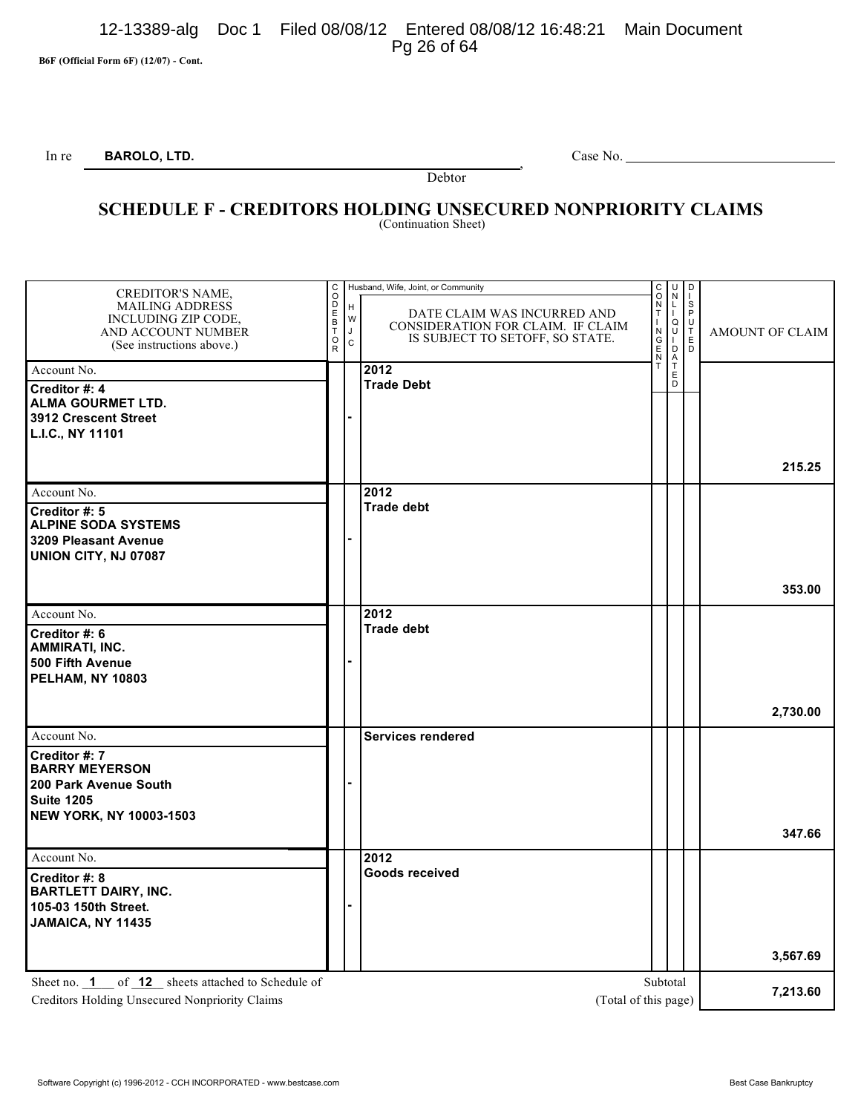In re

Debtor

#### **SCHEDULE F - CREDITORS HOLDING UNSECURED NONPRIORITY CLAIMS** (Continuation Sheet)

|                                                                                                                          |          |                            | Husband, Wife, Joint, or Community                                                                  |                                                      |                                                                                                                          | D                              |                 |
|--------------------------------------------------------------------------------------------------------------------------|----------|----------------------------|-----------------------------------------------------------------------------------------------------|------------------------------------------------------|--------------------------------------------------------------------------------------------------------------------------|--------------------------------|-----------------|
| CREDITOR'S NAME,<br><b>MAILING ADDRESS</b><br>INCLUDING ZIP CODE,<br>AND ACCOUNT NUMBER<br>(See instructions above.)     | CODEBTOR | Н<br>W<br>J<br>$\mathbf C$ | DATE CLAIM WAS INCURRED AND<br>CONSIDERATION FOR CLAIM. IF CLAIM<br>IS SUBJECT TO SETOFF, SO STATE. | C<br>O<br>T<br>T<br>$\mathbf{I}$<br>N<br>G<br>E<br>T | $\begin{array}{c}\n\overline{C} \\ \overline{C} \\ \overline{C}\n\end{array}$<br>$\overline{a}$<br>I<br>D<br>A<br>T<br>E | $\frac{1}{P}$<br>¦ ⊦<br>Ε<br>D | AMOUNT OF CLAIM |
| Account No.                                                                                                              |          |                            | 2012                                                                                                |                                                      |                                                                                                                          |                                |                 |
| Creditor #: 4<br><b>ALMA GOURMET LTD.</b><br>3912 Crescent Street<br>L.I.C., NY 11101                                    |          |                            | <b>Trade Debt</b>                                                                                   |                                                      | D                                                                                                                        |                                | 215.25          |
| Account No.                                                                                                              |          |                            | 2012                                                                                                |                                                      |                                                                                                                          |                                |                 |
| Creditor #: 5<br><b>ALPINE SODA SYSTEMS</b><br>3209 Pleasant Avenue<br>UNION CITY, NJ 07087                              |          |                            | <b>Trade debt</b>                                                                                   |                                                      |                                                                                                                          |                                |                 |
|                                                                                                                          |          |                            |                                                                                                     |                                                      |                                                                                                                          |                                | 353.00          |
| Account No.<br>Creditor #: 6<br>AMMIRATI, INC.<br>500 Fifth Avenue<br>PELHAM, NY 10803                                   |          |                            | 2012<br><b>Trade debt</b>                                                                           |                                                      |                                                                                                                          |                                | 2,730.00        |
| Account No.                                                                                                              |          |                            | <b>Services rendered</b>                                                                            |                                                      |                                                                                                                          |                                |                 |
| Creditor #: 7<br><b>BARRY MEYERSON</b><br>l 200 Park Avenue South<br><b>Suite 1205</b><br><b>NEW YORK, NY 10003-1503</b> |          |                            |                                                                                                     |                                                      |                                                                                                                          |                                | 347.66          |
| Account No.                                                                                                              |          |                            | 2012                                                                                                |                                                      |                                                                                                                          |                                |                 |
| Creditor #: 8<br><b>BARTLETT DAIRY, INC.</b><br>105-03 150th Street.<br>JAMAICA, NY 11435                                |          |                            | <b>Goods received</b>                                                                               |                                                      |                                                                                                                          |                                | 3,567.69        |
| Sheet no. 1 of 12 sheets attached to Schedule of                                                                         |          |                            |                                                                                                     | Subtotal                                             |                                                                                                                          |                                | 7,213.60        |
| Creditors Holding Unsecured Nonpriority Claims                                                                           |          |                            | (Total of this page)                                                                                |                                                      |                                                                                                                          |                                |                 |

,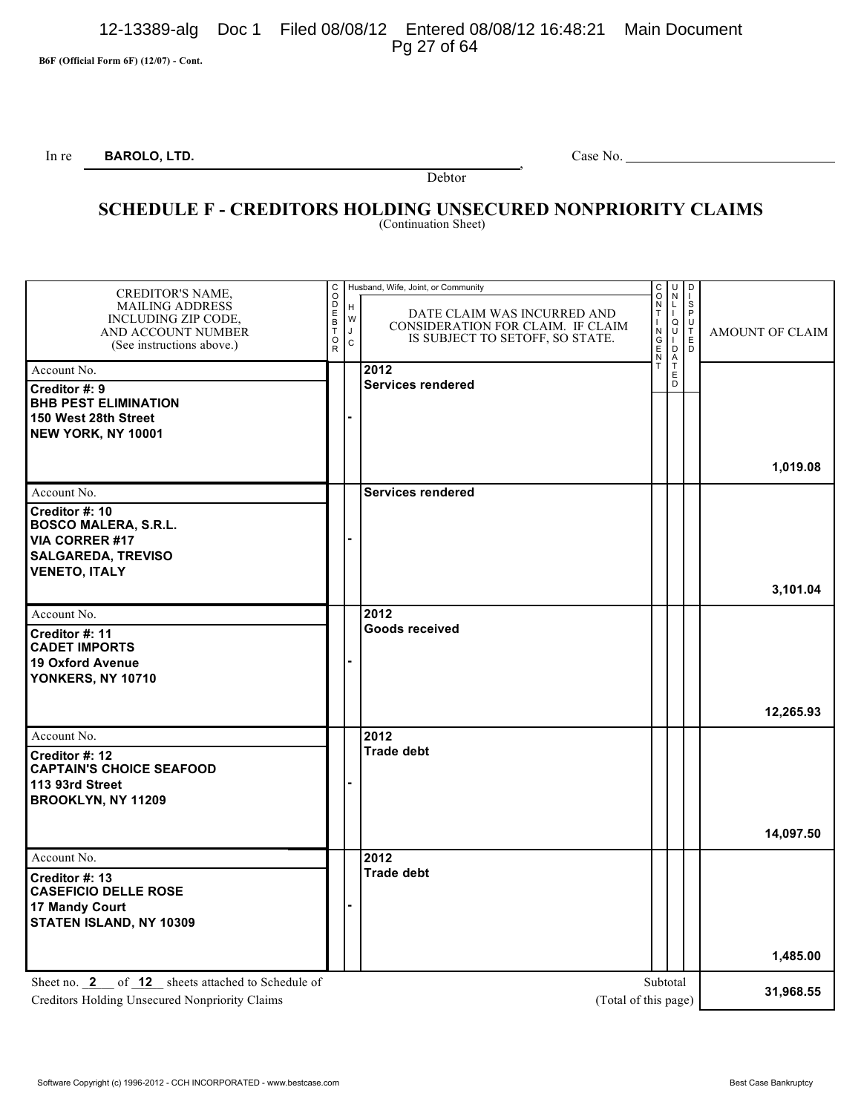In re

Debtor

,

#### **SCHEDULE F - CREDITORS HOLDING UNSECURED NONPRIORITY CLAIMS** (Continuation Sheet)

| CREDITOR'S NAME,                                                                                                           |                      |                            | Husband, Wife, Joint, or Community                                                                  |                          |                                          | D                                          |                 |
|----------------------------------------------------------------------------------------------------------------------------|----------------------|----------------------------|-----------------------------------------------------------------------------------------------------|--------------------------|------------------------------------------|--------------------------------------------|-----------------|
| <b>MAILING ADDRESS</b><br>INCLUDING ZIP CODE,<br>AND ACCOUNT NUMBER<br>(See instructions above.)                           | CODEBTO<br>${\sf R}$ | H<br>W<br>J<br>$\mathsf C$ | DATE CLAIM WAS INCURRED AND<br>CONSIDERATION FOR CLAIM. IF CLAIM<br>IS SUBJECT TO SETOFF, SO STATE. | C<br>O<br>T<br>T<br>2mQZ | $-rz =$<br>$\overline{a}$<br>$\mathsf I$ | $\frac{1}{9}$<br>$T$ $\overline{T}$<br>l D | AMOUNT OF CLAIM |
| Account No.                                                                                                                |                      |                            | 2012                                                                                                | $\top$                   | D<br>A<br>T<br>E<br>D                    |                                            |                 |
| Creditor #: 9<br><b>BHB PEST ELIMINATION</b><br>150 West 28th Street<br>NEW YORK, NY 10001                                 |                      |                            | <b>Services rendered</b>                                                                            |                          |                                          |                                            | 1,019.08        |
| Account No.                                                                                                                |                      |                            | <b>Services rendered</b>                                                                            |                          |                                          |                                            |                 |
| Creditor #: 10<br><b>BOSCO MALERA, S.R.L.</b><br><b>VIA CORRER#17</b><br><b>SALGAREDA, TREVISO</b><br><b>VENETO, ITALY</b> |                      |                            |                                                                                                     |                          |                                          |                                            | 3,101.04        |
| Account No.                                                                                                                |                      |                            | 2012                                                                                                |                          |                                          |                                            |                 |
| Creditor #: 11<br><b>CADET IMPORTS</b><br><b>19 Oxford Avenue</b><br>YONKERS, NY 10710                                     |                      |                            | <b>Goods received</b>                                                                               |                          |                                          |                                            | 12,265.93       |
| Account No.                                                                                                                |                      |                            | 2012                                                                                                |                          |                                          |                                            |                 |
| Creditor #: 12<br><b>CAPTAIN'S CHOICE SEAFOOD</b><br>113 93rd Street<br>BROOKLYN, NY 11209                                 |                      |                            | <b>Trade debt</b>                                                                                   |                          |                                          |                                            | 14,097.50       |
| Account No.                                                                                                                |                      |                            | 2012                                                                                                |                          |                                          |                                            |                 |
| Creditor #: 13<br><b>CASEFICIO DELLE ROSE</b><br>17 Mandy Court<br>STATEN ISLAND, NY 10309                                 |                      |                            | <b>Trade debt</b>                                                                                   |                          |                                          |                                            | 1,485.00        |
| Sheet no. 2 of 12 sheets attached to Schedule of                                                                           |                      |                            |                                                                                                     | Subtotal                 |                                          |                                            | 31,968.55       |
| Creditors Holding Unsecured Nonpriority Claims                                                                             |                      |                            | $(Totolofthienool)$                                                                                 |                          |                                          |                                            |                 |

Creditors Holding Unsecured Nonpriority Claims (Total of this page) and Creditors Holding Unsecured Nonpriority Claims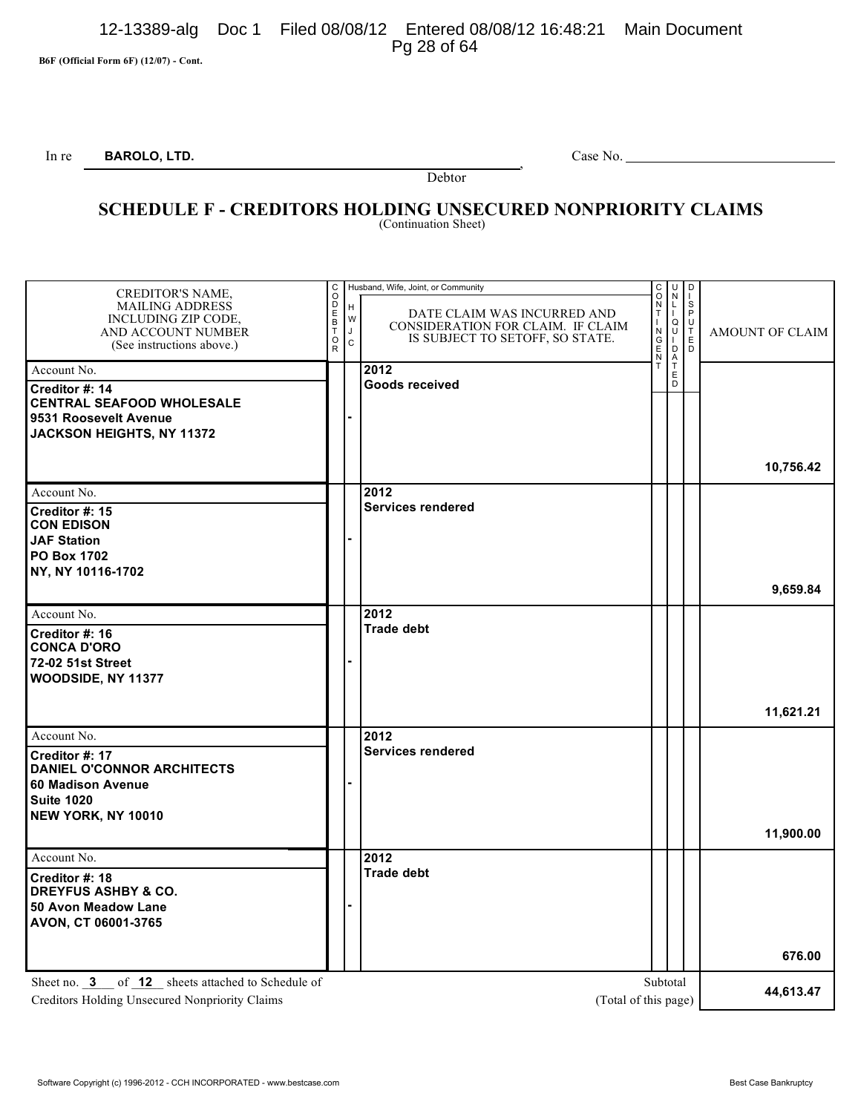In re

Debtor

,

#### **SCHEDULE F - CREDITORS HOLDING UNSECURED NONPRIORITY CLAIMS** (Continuation Sheet)

|                                                                                                                                           |          |                            | Husband, Wife, Joint, or Community                                                                  |                                                                                |                                                                               | D                                                                                                                                                                                    |                 |
|-------------------------------------------------------------------------------------------------------------------------------------------|----------|----------------------------|-----------------------------------------------------------------------------------------------------|--------------------------------------------------------------------------------|-------------------------------------------------------------------------------|--------------------------------------------------------------------------------------------------------------------------------------------------------------------------------------|-----------------|
| CREDITOR'S NAME,<br><b>MAILING ADDRESS</b><br><b>INCLUDING ZIP CODE,</b><br>AND ACCOUNT NUMBER<br>(See instructions above.)               | CODEBTOR | H<br>W<br>J<br>$\mathsf C$ | DATE CLAIM WAS INCURRED AND<br>CONSIDERATION FOR CLAIM. IF CLAIM<br>IS SUBJECT TO SETOFF, SO STATE. | $\begin{array}{c}\nC \\ C \\ T\n\end{array}$<br>$\frac{1}{2}$<br>$\frac{1}{2}$ | $\begin{array}{c}\n\overline{C} \\ \overline{C} \\ \overline{C}\n\end{array}$ | $\mathbf{I}$<br>$\frac{1}{p}$<br>$\begin{bmatrix} 0 \\ 0 \\ 0 \\ 1 \end{bmatrix} \begin{bmatrix} 1 \\ 1 \\ 1 \end{bmatrix}$<br>$\begin{bmatrix} 1 \\ 0 \\ 1 \\ 0 \\ 0 \end{bmatrix}$ | AMOUNT OF CLAIM |
| Account No.                                                                                                                               |          |                            | 2012                                                                                                | $\mathsf{T}$                                                                   |                                                                               |                                                                                                                                                                                      |                 |
| Creditor #: 14<br><b>CENTRAL SEAFOOD WHOLESALE</b><br>9531 Roosevelt Avenue<br><b>JACKSON HEIGHTS, NY 11372</b>                           |          |                            | Goods received                                                                                      |                                                                                |                                                                               |                                                                                                                                                                                      | 10,756.42       |
| Account No.                                                                                                                               |          |                            | 2012                                                                                                |                                                                                |                                                                               |                                                                                                                                                                                      |                 |
| Creditor #: 15<br><b>CON EDISON</b><br><b>JAF Station</b><br><b>PO Box 1702</b><br>NY, NY 10116-1702                                      |          |                            | <b>Services rendered</b>                                                                            |                                                                                |                                                                               |                                                                                                                                                                                      |                 |
|                                                                                                                                           |          |                            |                                                                                                     |                                                                                |                                                                               |                                                                                                                                                                                      | 9,659.84        |
| Account No.                                                                                                                               |          |                            | 2012                                                                                                |                                                                                |                                                                               |                                                                                                                                                                                      |                 |
| Creditor #: 16<br><b>CONCA D'ORO</b><br>72-02 51st Street<br>WOODSIDE, NY 11377                                                           |          |                            | <b>Trade debt</b>                                                                                   |                                                                                |                                                                               |                                                                                                                                                                                      |                 |
|                                                                                                                                           |          |                            |                                                                                                     |                                                                                |                                                                               |                                                                                                                                                                                      | 11,621.21       |
| Account No.<br>Creditor #: 17<br><b>DANIEL O'CONNOR ARCHITECTS</b><br><b>60 Madison Avenue</b><br><b>Suite 1020</b><br>NEW YORK, NY 10010 |          |                            | 2012<br><b>Services rendered</b>                                                                    |                                                                                |                                                                               |                                                                                                                                                                                      |                 |
| Account No.                                                                                                                               |          |                            | 2012                                                                                                |                                                                                |                                                                               |                                                                                                                                                                                      | 11,900.00       |
| Creditor #: 18<br><b>DREYFUS ASHBY &amp; CO.</b><br>50 Avon Meadow Lane<br>AVON, CT 06001-3765                                            |          |                            | <b>Trade debt</b>                                                                                   |                                                                                |                                                                               |                                                                                                                                                                                      |                 |
|                                                                                                                                           |          |                            |                                                                                                     |                                                                                |                                                                               |                                                                                                                                                                                      | 676.00          |
| Sheet no. 3 of 12 sheets attached to Schedule of                                                                                          |          |                            |                                                                                                     |                                                                                | Subtotal                                                                      |                                                                                                                                                                                      | 44.613.47       |
|                                                                                                                                           |          |                            |                                                                                                     |                                                                                |                                                                               |                                                                                                                                                                                      |                 |

Creditors Holding Unsecured Nonpriority Claims (Total of this page)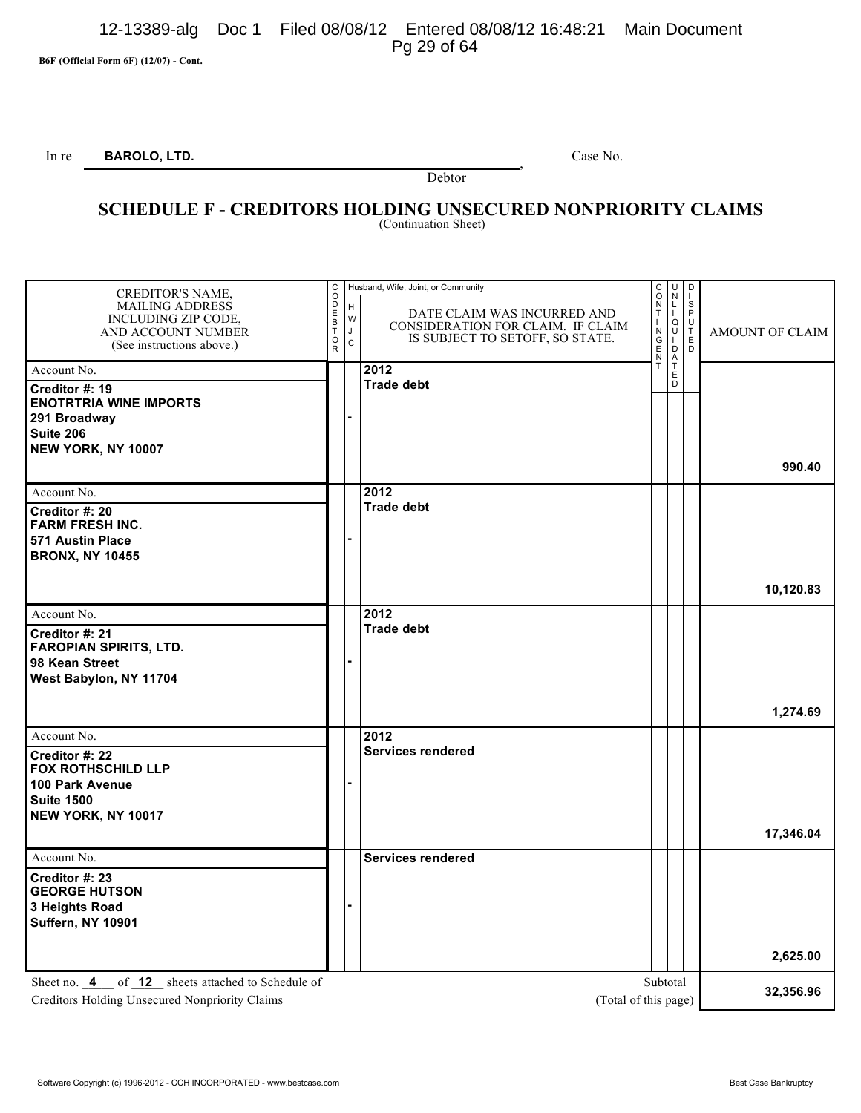In re

Debtor

,

#### **SCHEDULE F - CREDITORS HOLDING UNSECURED NONPRIORITY CLAIMS** (Continuation Sheet)

| <b>CREDITOR'S NAME,</b><br><b>MAILING ADDRESS</b>                                                             |                           |                             | Husband, Wife, Joint, or Community                                                                  | C<br>D<br>O<br>T | $\overline{C}$                                                                                              | D<br>S |                 |
|---------------------------------------------------------------------------------------------------------------|---------------------------|-----------------------------|-----------------------------------------------------------------------------------------------------|------------------|-------------------------------------------------------------------------------------------------------------|--------|-----------------|
| INCLUDING ZIP CODE,<br>AND ACCOUNT NUMBER<br>(See instructions above.)                                        | CODEBTO<br>$\overline{R}$ | H<br>W<br>J<br>$\mathsf{C}$ | DATE CLAIM WAS INCURRED AND<br>CONSIDERATION FOR CLAIM. IF CLAIM<br>IS SUBJECT TO SETOFF, SO STATE. | N<br>G<br>T<br>T | $\begin{array}{c} \n - C \cap P \\  \hline\n \vdash C \cap P \\  \hline\n \vdash P\n \end{array}$<br>D<br>Α |        | AMOUNT OF CLAIM |
| Account No.                                                                                                   |                           |                             | 2012                                                                                                |                  | T<br>Ε                                                                                                      |        |                 |
| Creditor #: 19<br><b>ENOTRTRIA WINE IMPORTS</b>                                                               |                           |                             | <b>Trade debt</b>                                                                                   |                  | D                                                                                                           |        |                 |
| 291 Broadway                                                                                                  |                           |                             |                                                                                                     |                  |                                                                                                             |        |                 |
| Suite 206                                                                                                     |                           |                             |                                                                                                     |                  |                                                                                                             |        |                 |
| NEW YORK, NY 10007                                                                                            |                           |                             |                                                                                                     |                  |                                                                                                             |        | 990.40          |
| Account No.                                                                                                   |                           |                             | 2012                                                                                                |                  |                                                                                                             |        |                 |
| Creditor #: 20                                                                                                |                           |                             | <b>Trade debt</b>                                                                                   |                  |                                                                                                             |        |                 |
| <b>FARM FRESH INC.</b><br>571 Austin Place                                                                    |                           |                             |                                                                                                     |                  |                                                                                                             |        |                 |
| <b>BRONX, NY 10455</b>                                                                                        |                           |                             |                                                                                                     |                  |                                                                                                             |        |                 |
|                                                                                                               |                           |                             |                                                                                                     |                  |                                                                                                             |        | 10,120.83       |
| Account No.                                                                                                   |                           |                             | 2012                                                                                                |                  |                                                                                                             |        |                 |
| Creditor #: 21                                                                                                |                           |                             | <b>Trade debt</b>                                                                                   |                  |                                                                                                             |        |                 |
| <b>FAROPIAN SPIRITS, LTD.</b><br>98 Kean Street                                                               |                           |                             |                                                                                                     |                  |                                                                                                             |        |                 |
| West Babylon, NY 11704                                                                                        |                           |                             |                                                                                                     |                  |                                                                                                             |        |                 |
|                                                                                                               |                           |                             |                                                                                                     |                  |                                                                                                             |        |                 |
|                                                                                                               |                           |                             |                                                                                                     |                  |                                                                                                             |        | 1,274.69        |
| Account No.                                                                                                   |                           |                             | 2012                                                                                                |                  |                                                                                                             |        |                 |
| Creditor #: 22<br><b>FOX ROTHSCHILD LLP</b>                                                                   |                           |                             | <b>Services rendered</b>                                                                            |                  |                                                                                                             |        |                 |
| 100 Park Avenue                                                                                               |                           |                             |                                                                                                     |                  |                                                                                                             |        |                 |
| <b>Suite 1500</b>                                                                                             |                           |                             |                                                                                                     |                  |                                                                                                             |        |                 |
| NEW YORK, NY 10017                                                                                            |                           |                             |                                                                                                     |                  |                                                                                                             |        | 17,346.04       |
| Account No.                                                                                                   |                           |                             |                                                                                                     |                  |                                                                                                             |        |                 |
| Creditor #: 23                                                                                                |                           |                             | <b>Services rendered</b>                                                                            |                  |                                                                                                             |        |                 |
| <b>GEORGE HUTSON</b>                                                                                          |                           |                             |                                                                                                     |                  |                                                                                                             |        |                 |
| 3 Heights Road                                                                                                |                           |                             |                                                                                                     |                  |                                                                                                             |        |                 |
| Suffern, NY 10901                                                                                             |                           |                             |                                                                                                     |                  |                                                                                                             |        |                 |
|                                                                                                               |                           |                             |                                                                                                     |                  |                                                                                                             |        | 2,625.00        |
| Sheet no. 4 of 12 sheets attached to Schedule of                                                              |                           |                             |                                                                                                     | Subtotal         |                                                                                                             |        | 32,356.96       |
| $Q_{\text{tot}}$ 12. $\sim$ 11. 11. $\sim$ 11. $\sim$ 1. $\sim$ 1. $\sim$ 1. $\sim$ $\sim$ $Q_{\text{tot}}$ . |                           |                             | (T <sub>1</sub> , 1, 1, 0, 1)                                                                       |                  |                                                                                                             |        |                 |

Creditors Holding Unsecured Nonpriority Claims (Total of this page)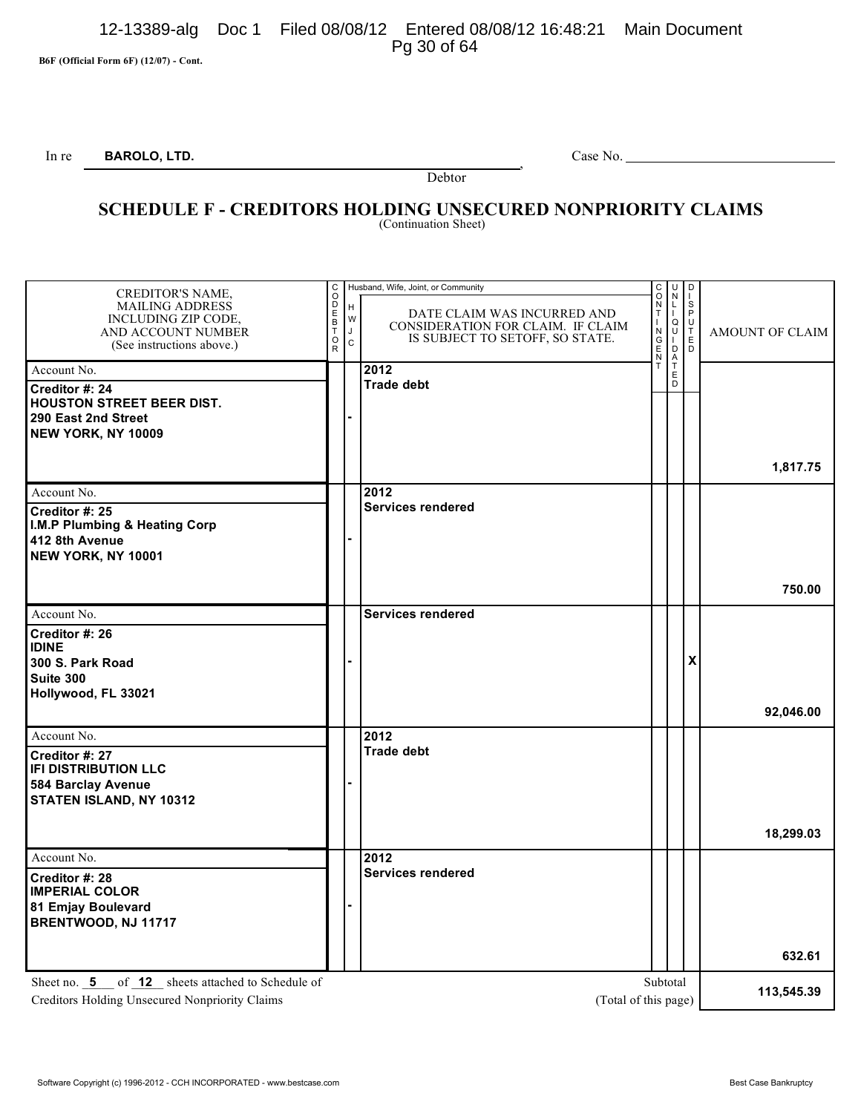In re

Debtor

,

#### **SCHEDULE F - CREDITORS HOLDING UNSECURED NONPRIORITY CLAIMS** (Continuation Sheet)

| <b>CREDITOR'S NAME,</b>                                                                                 |                                              |                            | Husband, Wife, Joint, or Community                                                                  | $\overline{0}$        | $\overline{r}$ $\overline{z}$                                   | $\boxed{D}$                                                                       |   |                 |
|---------------------------------------------------------------------------------------------------------|----------------------------------------------|----------------------------|-----------------------------------------------------------------------------------------------------|-----------------------|-----------------------------------------------------------------|-----------------------------------------------------------------------------------|---|-----------------|
| <b>MAILING ADDRESS</b><br><b>INCLUDING ZIP CODE,</b><br>AND ACCOUNT NUMBER<br>(See instructions above.) | C<br>O<br>D<br>E<br>B<br>T<br>$\overline{R}$ | H<br>W<br>J<br>$\mathbf C$ | DATE CLAIM WAS INCURRED AND<br>CONSIDERATION FOR CLAIM. IF CLAIM<br>IS SUBJECT TO SETOFF, SO STATE. | T<br>N<br>G<br>E<br>N | $\mathbf{L}$<br>$\overline{a}$<br>$\mathbf{L}$<br>$\frac{D}{A}$ | $\left  \begin{array}{c} 1 \\ 8 \\ P \end{array} \right $<br>│ Y<br>$\frac{E}{D}$ |   | AMOUNT OF CLAIM |
| Account No.                                                                                             |                                              |                            | 2012                                                                                                |                       | Ė                                                               |                                                                                   |   |                 |
| Creditor #: 24<br><b>HOUSTON STREET BEER DIST.</b><br>290 East 2nd Street<br>NEW YORK, NY 10009         |                                              |                            | <b>Trade debt</b>                                                                                   |                       | D                                                               |                                                                                   |   | 1,817.75        |
| Account No.                                                                                             |                                              |                            | 2012                                                                                                |                       |                                                                 |                                                                                   |   |                 |
| Creditor #: 25<br>I.M.P Plumbing & Heating Corp<br>412 8th Avenue<br>NEW YORK, NY 10001                 |                                              |                            | <b>Services rendered</b>                                                                            |                       |                                                                 |                                                                                   |   | 750.00          |
|                                                                                                         |                                              |                            |                                                                                                     |                       |                                                                 |                                                                                   |   |                 |
| Account No.<br>Creditor #: 26<br><b>IDINE</b><br>300 S. Park Road<br>Suite 300<br>Hollywood, FL 33021   |                                              |                            | <b>Services rendered</b>                                                                            |                       |                                                                 |                                                                                   | X | 92,046.00       |
| Account No.                                                                                             |                                              |                            | 2012                                                                                                |                       |                                                                 |                                                                                   |   |                 |
| Creditor #: 27<br>IFI DISTRIBUTION LLC<br><b>584 Barclay Avenue</b><br>STATEN ISLAND, NY 10312          |                                              |                            | <b>Trade debt</b>                                                                                   |                       |                                                                 |                                                                                   |   | 18,299.03       |
| Account No.                                                                                             |                                              |                            | 2012                                                                                                |                       |                                                                 |                                                                                   |   |                 |
| Creditor #: 28<br><b>IMPERIAL COLOR</b><br>81 Emjay Boulevard<br>BRENTWOOD, NJ 11717                    |                                              |                            | <b>Services rendered</b>                                                                            |                       |                                                                 |                                                                                   |   | 632.61          |
| Sheet no. 5 of 12 sheets attached to Schedule of                                                        |                                              |                            |                                                                                                     | Subtotal              |                                                                 |                                                                                   |   | 113,545.39      |
| Creditors Holding Hasseyrad Monumenter Claims                                                           |                                              |                            | $(Tet10fth10$                                                                                       |                       |                                                                 |                                                                                   |   |                 |

Creditors Holding Unsecured Nonpriority Claims (Total of this page) and Creditors Holding Unsecured Nonpriority Claims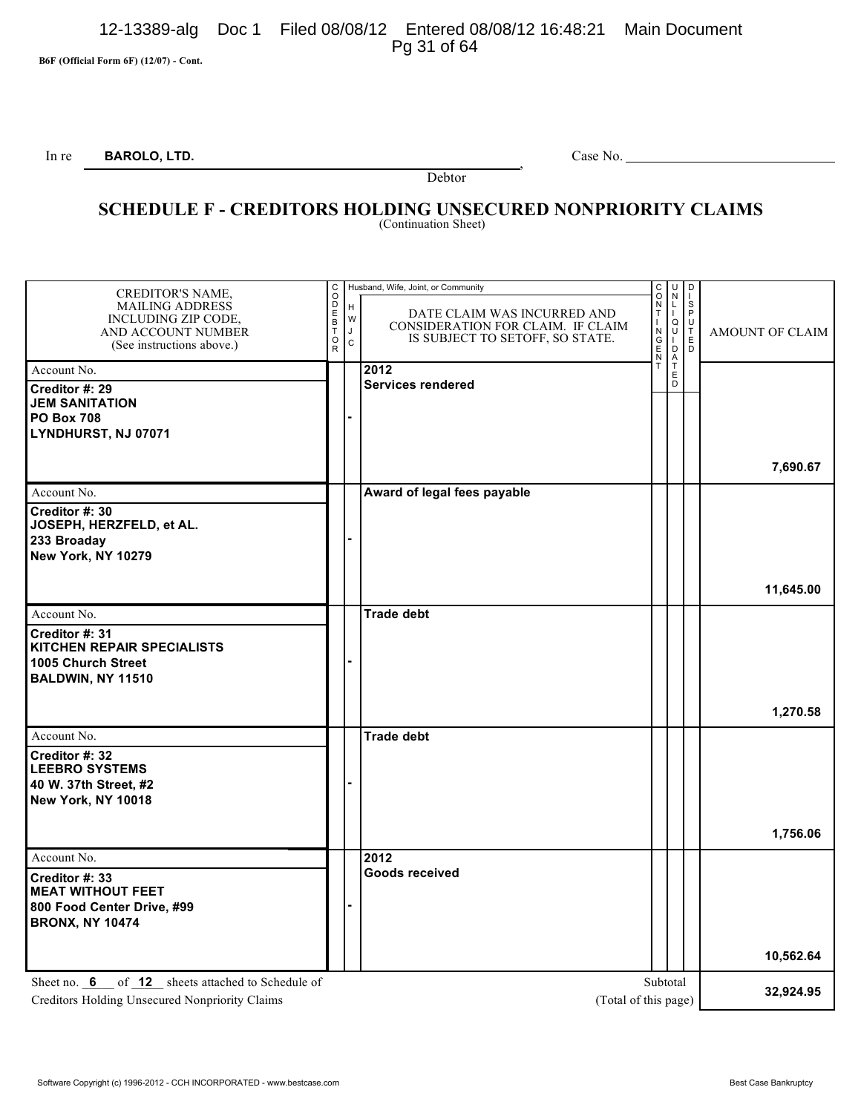In re

Debtor

,

#### **SCHEDULE F - CREDITORS HOLDING UNSECURED NONPRIORITY CLAIMS** (Continuation Sheet)

|                                                                                                                      |                           |                             | Husband, Wife, Joint, or Community                                                                  |                                                 |                                                                             | D                               |                 |
|----------------------------------------------------------------------------------------------------------------------|---------------------------|-----------------------------|-----------------------------------------------------------------------------------------------------|-------------------------------------------------|-----------------------------------------------------------------------------|---------------------------------|-----------------|
| CREDITOR'S NAME,<br><b>MAILING ADDRESS</b><br>INCLUDING ZIP CODE,<br>AND ACCOUNT NUMBER<br>(See instructions above.) | CODEBTO<br>$\overline{R}$ | H<br>W<br>J<br>$\mathsf{C}$ | DATE CLAIM WAS INCURRED AND<br>CONSIDERATION FOR CLAIM. IF CLAIM<br>IS SUBJECT TO SETOFF, SO STATE. | $\overline{C}$<br>T<br>${\sf N}$<br>G<br>N<br>N | PZC<br>$\mathbf{L}$<br>$\overline{a}$<br>$\mathbf{L}$<br>D<br>$\frac{A}{T}$ | $\overline{S}$<br>╎┙<br>E<br>۱ō | AMOUNT OF CLAIM |
| Account No.                                                                                                          |                           |                             | 2012                                                                                                |                                                 | E                                                                           |                                 |                 |
| Creditor #: 29<br><b>JEM SANITATION</b><br><b>PO Box 708</b><br>LYNDHURST, NJ 07071                                  |                           |                             | <b>Services rendered</b>                                                                            |                                                 | D                                                                           |                                 | 7,690.67        |
| Account No.                                                                                                          |                           |                             | Award of legal fees payable                                                                         |                                                 |                                                                             |                                 |                 |
| Creditor #: 30<br>JOSEPH, HERZFELD, et AL.<br>233 Broaday<br>New York, NY 10279                                      |                           |                             |                                                                                                     |                                                 |                                                                             |                                 | 11,645.00       |
| Account No.                                                                                                          |                           |                             | <b>Trade debt</b>                                                                                   |                                                 |                                                                             |                                 |                 |
| Creditor #: 31<br>KITCHEN REPAIR SPECIALISTS<br>1005 Church Street<br>BALDWIN, NY 11510                              |                           |                             |                                                                                                     |                                                 |                                                                             |                                 | 1,270.58        |
| Account No.                                                                                                          |                           |                             | <b>Trade debt</b>                                                                                   |                                                 |                                                                             |                                 |                 |
| Creditor #: 32<br><b>LEEBRO SYSTEMS</b><br>40 W. 37th Street, #2<br>New York, NY 10018                               |                           |                             |                                                                                                     |                                                 |                                                                             |                                 | 1,756.06        |
| Account No.                                                                                                          |                           |                             | 2012                                                                                                |                                                 |                                                                             |                                 |                 |
| Creditor #: 33<br><b>IMEAT WITHOUT FEET</b><br>800 Food Center Drive, #99<br><b>BRONX, NY 10474</b>                  |                           |                             | <b>Goods received</b>                                                                               |                                                 |                                                                             |                                 | 10,562.64       |
| Sheet no. 6 of 12 sheets attached to Schedule of                                                                     |                           |                             |                                                                                                     |                                                 | Subtotal                                                                    |                                 | 32,924.95       |
| Creditors Holding Unsecured Nonpriority Claims                                                                       |                           |                             | $(T \nphi)$ of this name                                                                            |                                                 |                                                                             |                                 |                 |

Creditors Holding Unsecured Nonpriority Claims (Total of this page) and Creditors Holding Unsecured Nonpriority Claims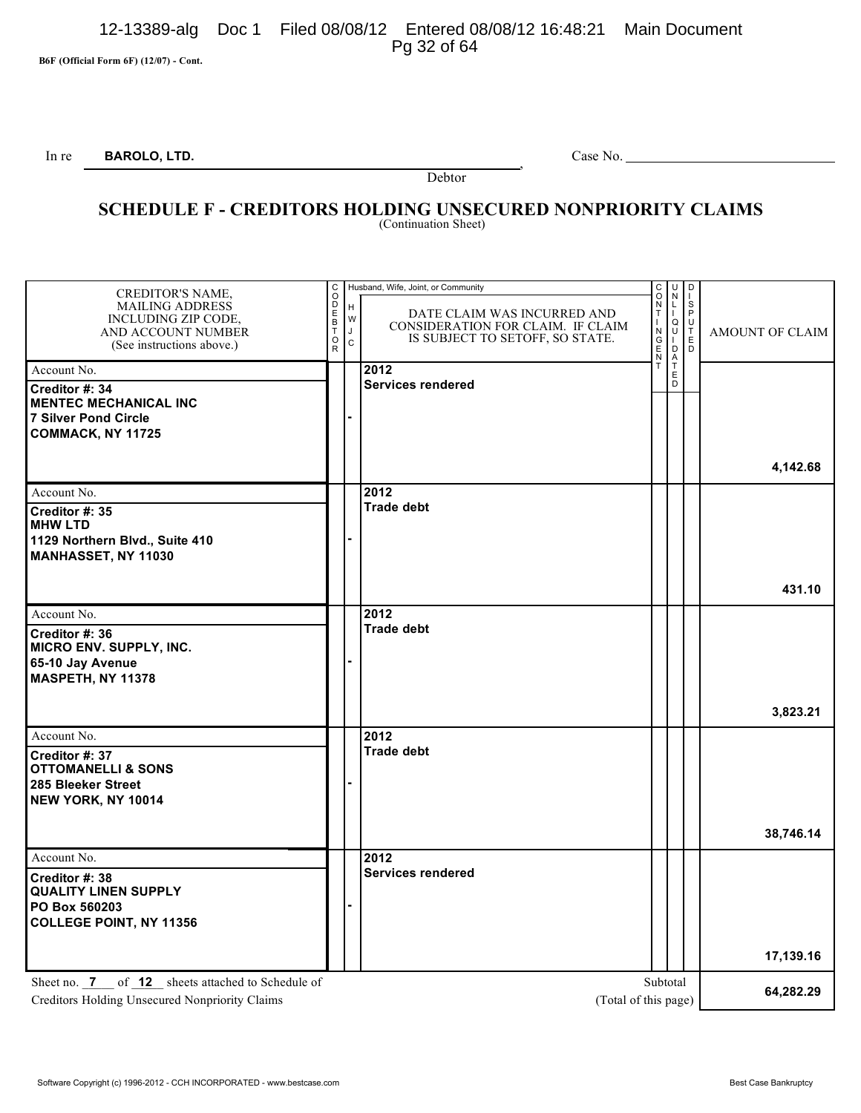In re

Debtor

,

#### **SCHEDULE F - CREDITORS HOLDING UNSECURED NONPRIORITY CLAIMS** (Continuation Sheet)

| <b>CREDITOR'S NAME,</b><br><b>MAILING ADDRESS</b>                                                                                                                                                                                                                                                                                            |          |                             | Husband, Wife, Joint, or Community                                                                  | $C$<br>$T$    |              | $\begin{array}{ c c c }\n\hline\nU & D & D \\ \hline\nL & S & D \\ \hline\nL & D & D \\ \hline\n\end{array}$ |                 |
|----------------------------------------------------------------------------------------------------------------------------------------------------------------------------------------------------------------------------------------------------------------------------------------------------------------------------------------------|----------|-----------------------------|-----------------------------------------------------------------------------------------------------|---------------|--------------|--------------------------------------------------------------------------------------------------------------|-----------------|
| <b>INCLUDING ZIP CODE.</b><br>AND ACCOUNT NUMBER<br>(See instructions above.)                                                                                                                                                                                                                                                                | CODEBTOR | H<br>W<br>J<br>$\mathsf{C}$ | DATE CLAIM WAS INCURRED AND<br>CONSIDERATION FOR CLAIM. IF CLAIM<br>IS SUBJECT TO SETOFF, SO STATE. | $\frac{1}{2}$ | $\mathbf{L}$ | $\begin{bmatrix} 0 \\ 0 \end{bmatrix}$<br>E<br>$\begin{bmatrix} D & D \\ A & D \\ T & T \end{bmatrix}$       | AMOUNT OF CLAIM |
| Account No.                                                                                                                                                                                                                                                                                                                                  |          |                             | 2012                                                                                                |               | Ε<br>D       |                                                                                                              |                 |
| Creditor #: 34<br><b>MENTEC MECHANICAL INC</b>                                                                                                                                                                                                                                                                                               |          |                             | <b>Services rendered</b>                                                                            |               |              |                                                                                                              |                 |
| <b>7 Silver Pond Circle</b>                                                                                                                                                                                                                                                                                                                  |          |                             |                                                                                                     |               |              |                                                                                                              |                 |
| COMMACK, NY 11725                                                                                                                                                                                                                                                                                                                            |          |                             |                                                                                                     |               |              |                                                                                                              |                 |
|                                                                                                                                                                                                                                                                                                                                              |          |                             |                                                                                                     |               |              |                                                                                                              | 4,142.68        |
| Account No.                                                                                                                                                                                                                                                                                                                                  |          |                             | 2012                                                                                                |               |              |                                                                                                              |                 |
| Creditor #: 35<br><b>MHW LTD</b>                                                                                                                                                                                                                                                                                                             |          |                             | <b>Trade debt</b>                                                                                   |               |              |                                                                                                              |                 |
| 1129 Northern Blvd., Suite 410                                                                                                                                                                                                                                                                                                               |          |                             |                                                                                                     |               |              |                                                                                                              |                 |
| MANHASSET, NY 11030                                                                                                                                                                                                                                                                                                                          |          |                             |                                                                                                     |               |              |                                                                                                              |                 |
|                                                                                                                                                                                                                                                                                                                                              |          |                             |                                                                                                     |               |              |                                                                                                              | 431.10          |
| Account No.                                                                                                                                                                                                                                                                                                                                  |          |                             | 2012                                                                                                |               |              |                                                                                                              |                 |
| Creditor #: 36<br>MICRO ENV. SUPPLY, INC.                                                                                                                                                                                                                                                                                                    |          |                             | <b>Trade debt</b>                                                                                   |               |              |                                                                                                              |                 |
| 65-10 Jay Avenue                                                                                                                                                                                                                                                                                                                             |          |                             |                                                                                                     |               |              |                                                                                                              |                 |
| <b>MASPETH, NY 11378</b>                                                                                                                                                                                                                                                                                                                     |          |                             |                                                                                                     |               |              |                                                                                                              |                 |
|                                                                                                                                                                                                                                                                                                                                              |          |                             |                                                                                                     |               |              |                                                                                                              | 3,823.21        |
| Account No.                                                                                                                                                                                                                                                                                                                                  |          |                             | 2012                                                                                                |               |              |                                                                                                              |                 |
| Creditor #: 37                                                                                                                                                                                                                                                                                                                               |          |                             | <b>Trade debt</b>                                                                                   |               |              |                                                                                                              |                 |
| <b>OTTOMANELLI &amp; SONS</b><br>285 Bleeker Street                                                                                                                                                                                                                                                                                          |          |                             |                                                                                                     |               |              |                                                                                                              |                 |
| NEW YORK, NY 10014                                                                                                                                                                                                                                                                                                                           |          |                             |                                                                                                     |               |              |                                                                                                              |                 |
|                                                                                                                                                                                                                                                                                                                                              |          |                             |                                                                                                     |               |              |                                                                                                              |                 |
|                                                                                                                                                                                                                                                                                                                                              |          |                             |                                                                                                     |               |              |                                                                                                              | 38,746.14       |
| Account No.                                                                                                                                                                                                                                                                                                                                  |          |                             | 2012<br><b>Services rendered</b>                                                                    |               |              |                                                                                                              |                 |
| Creditor #: 38<br><b>QUALITY LINEN SUPPLY</b>                                                                                                                                                                                                                                                                                                |          |                             |                                                                                                     |               |              |                                                                                                              |                 |
| PO Box 560203                                                                                                                                                                                                                                                                                                                                |          |                             |                                                                                                     |               |              |                                                                                                              |                 |
| <b>COLLEGE POINT, NY 11356</b>                                                                                                                                                                                                                                                                                                               |          |                             |                                                                                                     |               |              |                                                                                                              |                 |
|                                                                                                                                                                                                                                                                                                                                              |          |                             |                                                                                                     |               |              |                                                                                                              | 17,139.16       |
| Sheet no. 7 of 12 sheets attached to Schedule of                                                                                                                                                                                                                                                                                             |          |                             |                                                                                                     |               | Subtotal     |                                                                                                              | 64,282.29       |
| $\alpha$ is $\alpha$ if $\alpha$ is $\alpha$ if $\alpha$ is $\alpha$ if $\alpha$ if $\alpha$ if $\alpha$ if $\alpha$ if $\alpha$ if $\alpha$ if $\alpha$ if $\alpha$ if $\alpha$ if $\alpha$ if $\alpha$ if $\alpha$ if $\alpha$ if $\alpha$ if $\alpha$ if $\alpha$ if $\alpha$ if $\alpha$ if $\alpha$ if $\alpha$ if $\alpha$ if $\alpha$ |          |                             | $\sigma$ $\sigma$ $\sigma$ $\sigma$                                                                 |               |              |                                                                                                              |                 |

Creditors Holding Unsecured Nonpriority Claims (Total of this page)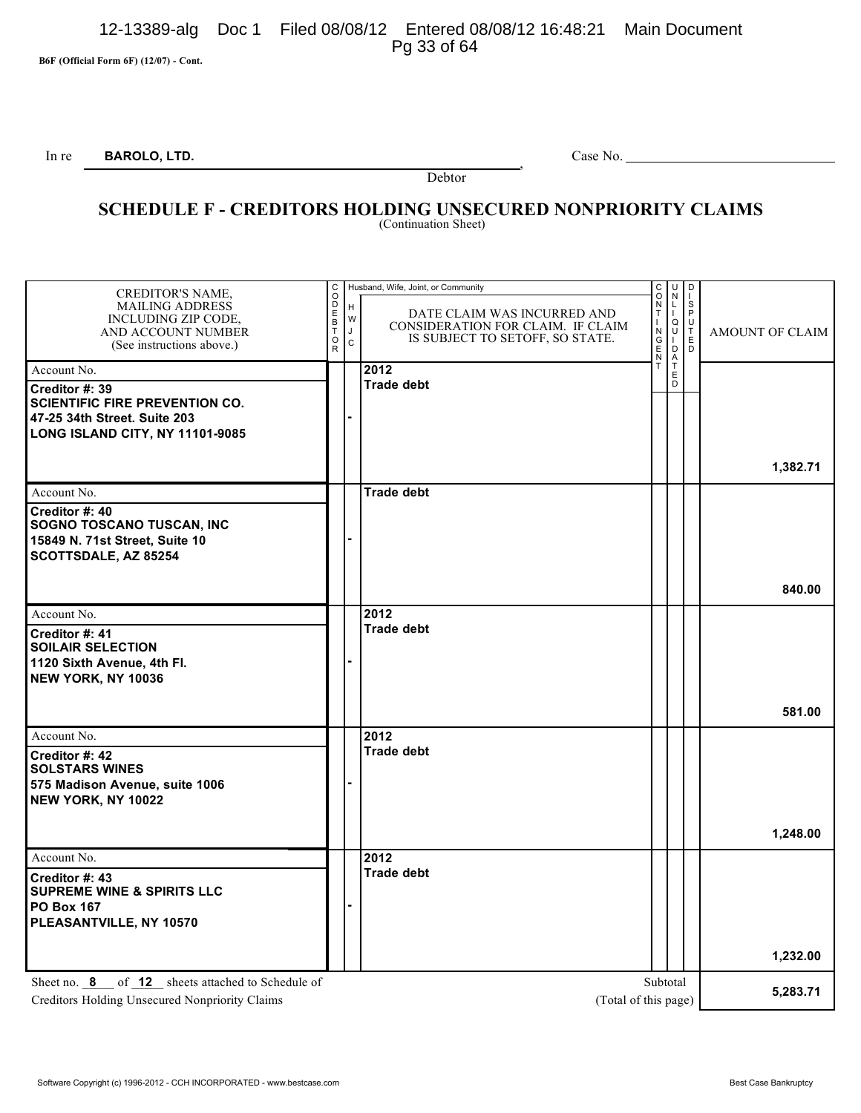In re

Debtor

,

#### **SCHEDULE F - CREDITORS HOLDING UNSECURED NONPRIORITY CLAIMS** (Continuation Sheet)

| CREDITOR'S NAME,<br><b>MAILING ADDRESS</b><br><b>INCLUDING ZIP CODE,</b><br>AND ACCOUNT NUMBER<br>(See instructions above.)               | C<br>ODEBTO<br>${\sf R}$ | H<br>W<br>J<br>C | Husband, Wife, Joint, or Community<br>DATE CLAIM WAS INCURRED AND<br>CONSIDERATION FOR CLAIM. IF CLAIM<br>IS SUBJECT TO SETOFF, SO STATE. | $\begin{array}{c}\nC \\ D \\ N\n\end{array}$<br>Т<br>$\mathbf{I}$<br>200Z | $\begin{array}{c} \n\overline{C} \\ \overline{C} \\ \overline{C}\n\end{array}$<br>$\mathbf{L}$<br>$\begin{bmatrix} D & D \\ A & D \\ T & E \end{bmatrix}$ | $\overline{1}$<br>$\vert$ s<br>$\mathsf{P}$<br>$\begin{bmatrix} 0 \\ 0 \end{bmatrix}$<br>IЕ | AMOUNT OF CLAIM |
|-------------------------------------------------------------------------------------------------------------------------------------------|--------------------------|------------------|-------------------------------------------------------------------------------------------------------------------------------------------|---------------------------------------------------------------------------|-----------------------------------------------------------------------------------------------------------------------------------------------------------|---------------------------------------------------------------------------------------------|-----------------|
| Account No.<br>Creditor #: 39<br><b>SCIENTIFIC FIRE PREVENTION CO.</b><br>47-25 34th Street. Suite 203<br>LONG ISLAND CITY, NY 11101-9085 |                          |                  | 2012<br><b>Trade debt</b>                                                                                                                 | T.                                                                        | D                                                                                                                                                         |                                                                                             | 1,382.71        |
| Account No.<br>Creditor #: 40<br><b>SOGNO TOSCANO TUSCAN, INC</b><br>15849 N. 71st Street, Suite 10<br><b>SCOTTSDALE, AZ 85254</b>        |                          |                  | <b>Trade debt</b>                                                                                                                         |                                                                           |                                                                                                                                                           |                                                                                             | 840.00          |
| Account No.<br>Creditor #: 41<br><b>SOILAIR SELECTION</b><br>1120 Sixth Avenue, 4th Fl.<br>NEW YORK, NY 10036                             |                          |                  | 2012<br><b>Trade debt</b>                                                                                                                 |                                                                           |                                                                                                                                                           |                                                                                             | 581.00          |
| Account No.<br>Creditor #: 42<br><b>SOLSTARS WINES</b><br>575 Madison Avenue, suite 1006<br>NEW YORK, NY 10022                            |                          |                  | 2012<br><b>Trade debt</b>                                                                                                                 |                                                                           |                                                                                                                                                           |                                                                                             | 1,248.00        |
| Account No.<br>Creditor #: 43<br><b>SUPREME WINE &amp; SPIRITS LLC</b><br><b>PO Box 167</b><br>PLEASANTVILLE, NY 10570                    |                          |                  | 2012<br><b>Trade debt</b>                                                                                                                 |                                                                           |                                                                                                                                                           |                                                                                             |                 |
|                                                                                                                                           |                          |                  |                                                                                                                                           |                                                                           |                                                                                                                                                           |                                                                                             | 1,232.00        |
| Sheet no. 8 of 12 sheets attached to Schedule of                                                                                          |                          |                  |                                                                                                                                           |                                                                           | Subtotal                                                                                                                                                  |                                                                                             | 5.283.71        |

Creditors Holding Unsecured Nonpriority Claims (Total of this page)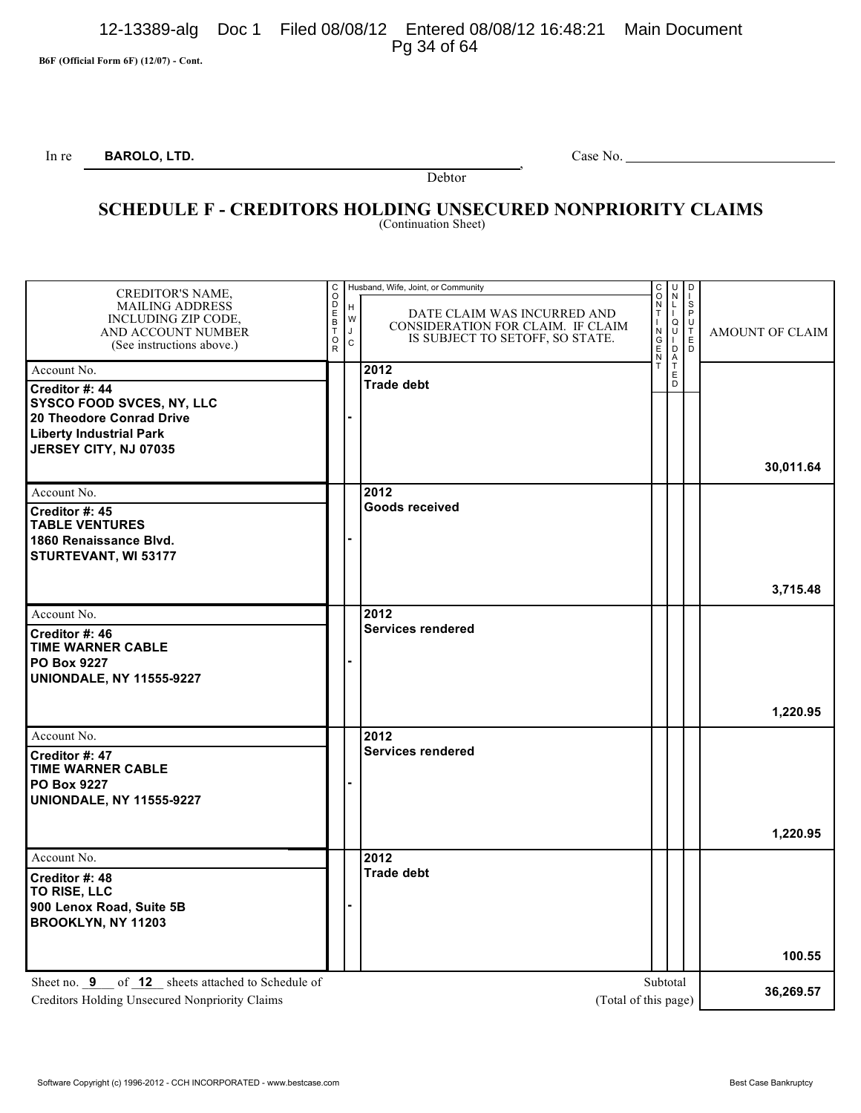In re

Debtor

,

#### **SCHEDULE F - CREDITORS HOLDING UNSECURED NONPRIORITY CLAIMS** (Continuation Sheet)

| <b>CREDITOR'S NAME,</b>                                                                                                                          |                      |                             | Husband, Wife, Joint, or Community                                                                  |                                             |                                                               | D                                                                                             |                 |
|--------------------------------------------------------------------------------------------------------------------------------------------------|----------------------|-----------------------------|-----------------------------------------------------------------------------------------------------|---------------------------------------------|---------------------------------------------------------------|-----------------------------------------------------------------------------------------------|-----------------|
| <b>MAILING ADDRESS</b><br><b>INCLUDING ZIP CODE,</b><br>AND ACCOUNT NUMBER<br>(See instructions above.)                                          | CODEBTO<br>${\sf R}$ | н<br>W<br>J<br>$\mathsf{C}$ | DATE CLAIM WAS INCURRED AND<br>CONSIDERATION FOR CLAIM. IF CLAIM<br>IS SUBJECT TO SETOFF, SO STATE. | $\overline{C}$<br>т<br> <br> <br> <br> <br> | $-rz \subset$<br>$\rm _G$<br>$\mathbf{I}$<br>D<br>A<br>T<br>E | $\overline{\begin{array}{c} 1 \\ S \\ P \end{array}}$<br>$\frac{\mathsf{U}}{\mathsf{T}}$<br>E | AMOUNT OF CLAIM |
| Account No.                                                                                                                                      |                      |                             | 2012                                                                                                |                                             |                                                               |                                                                                               |                 |
| Creditor #: 44<br>SYSCO FOOD SVCES, NY, LLC<br><b>20 Theodore Conrad Drive</b><br><b>Liberty Industrial Park</b><br><b>JERSEY CITY, NJ 07035</b> |                      |                             | <b>Trade debt</b>                                                                                   |                                             | D                                                             |                                                                                               | 30,011.64       |
| Account No.                                                                                                                                      |                      |                             | 2012                                                                                                |                                             |                                                               |                                                                                               |                 |
| Creditor #: 45<br><b>TABLE VENTURES</b><br>1860 Renaissance Blvd.<br>STURTEVANT, WI 53177                                                        |                      |                             | <b>Goods received</b>                                                                               |                                             |                                                               |                                                                                               | 3,715.48        |
| Account No.                                                                                                                                      |                      |                             | 2012                                                                                                |                                             |                                                               |                                                                                               |                 |
| Creditor #: 46<br><b>TIME WARNER CABLE</b><br><b>PO Box 9227</b><br><b>UNIONDALE, NY 11555-9227</b>                                              |                      |                             | <b>Services rendered</b>                                                                            |                                             |                                                               |                                                                                               | 1,220.95        |
| Account No.                                                                                                                                      |                      |                             | 2012                                                                                                |                                             |                                                               |                                                                                               |                 |
| Creditor #: 47<br><b>TIME WARNER CABLE</b><br><b>PO Box 9227</b><br><b>UNIONDALE, NY 11555-9227</b>                                              |                      |                             | <b>Services rendered</b>                                                                            |                                             |                                                               |                                                                                               | 1,220.95        |
| Account No.                                                                                                                                      |                      |                             | 2012                                                                                                |                                             |                                                               |                                                                                               |                 |
| Creditor #: 48<br>TO RISE, LLC<br>900 Lenox Road, Suite 5B<br>BROOKLYN, NY 11203                                                                 |                      |                             | <b>Trade debt</b>                                                                                   |                                             |                                                               |                                                                                               | 100.55          |
| Sheet no. 9 of 12 sheets attached to Schedule of                                                                                                 |                      |                             |                                                                                                     | Subtotal                                    |                                                               |                                                                                               | 36,269.57       |
| Creditors Holding Unsecured Nonpriority Claims                                                                                                   |                      |                             | (Total of this page)                                                                                |                                             |                                                               |                                                                                               |                 |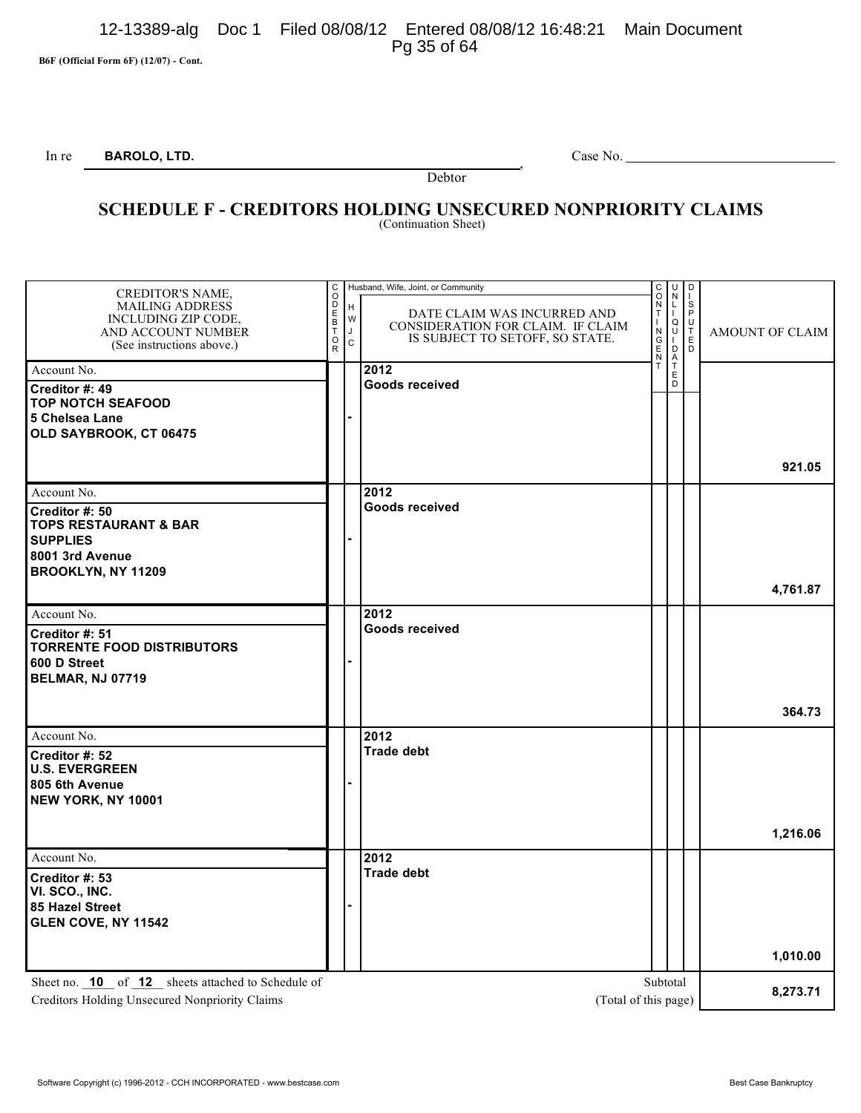In re

Debtor

,

#### **SCHEDULE F - CREDITORS HOLDING UNSECURED NONPRIORITY CLAIMS** (Continuation Sheet)

| <b>CREDITOR'S NAME,</b>                                                                                               |          |                                       | Husband, Wife, Joint, or Community                                                                  |                                          |                                                            | D                                                                                |                 |
|-----------------------------------------------------------------------------------------------------------------------|----------|---------------------------------------|-----------------------------------------------------------------------------------------------------|------------------------------------------|------------------------------------------------------------|----------------------------------------------------------------------------------|-----------------|
| <b>MAILING ADDRESS</b><br><b>INCLUDING ZIP CODE,</b><br>AND ACCOUNT NUMBER<br>(See instructions above.)               | CODEBTOR | $\mathsf{H}$<br>W<br>J<br>$\mathbf C$ | DATE CLAIM WAS INCURRED AND<br>CONSIDERATION FOR CLAIM. IF CLAIM<br>IS SUBJECT TO SETOFF, SO STATE. | C<br>O<br>T<br>T<br>$\mathbf{L}$<br>200Z | PZ<br>$\mathbf{L}$<br>$\rm _G$<br>$_\mathrm{D}^\mathrm{I}$ | $\mathbf{I}$<br>$\frac{S}{P}$<br>$\begin{array}{c} U \\ T \\ E \end{array}$<br>D | AMOUNT OF CLAIM |
| Account No.                                                                                                           |          |                                       | 2012                                                                                                |                                          | $\overline{A}$<br>$\overline{T}$<br>$\overline{E}$         |                                                                                  |                 |
| Creditor #: 49<br><b>TOP NOTCH SEAFOOD</b><br>l 5 Chelsea Lane<br>OLD SAYBROOK, CT 06475                              |          |                                       | Goods received                                                                                      |                                          | D                                                          |                                                                                  | 921.05          |
| Account No.                                                                                                           |          |                                       | 2012                                                                                                |                                          |                                                            |                                                                                  |                 |
| Creditor #: 50<br><b>TOPS RESTAURANT &amp; BAR</b><br><b>SUPPLIES</b><br>8001 3rd Avenue<br><b>BROOKLYN, NY 11209</b> |          |                                       | <b>Goods received</b>                                                                               |                                          |                                                            |                                                                                  | 4,761.87        |
| Account No.                                                                                                           |          |                                       | 2012                                                                                                |                                          |                                                            |                                                                                  |                 |
| Creditor #: 51<br><b>TORRENTE FOOD DISTRIBUTORS</b><br>600 D Street<br>BELMAR, NJ 07719                               |          |                                       | <b>Goods received</b>                                                                               |                                          |                                                            |                                                                                  | 364.73          |
| Account No.                                                                                                           |          |                                       | 2012                                                                                                |                                          |                                                            |                                                                                  |                 |
| Creditor #: 52<br>U.S. EVERGREEN<br>805 6th Avenue<br>NEW YORK, NY 10001                                              |          |                                       | <b>Trade debt</b>                                                                                   |                                          |                                                            |                                                                                  | 1,216.06        |
| Account No.                                                                                                           |          |                                       | 2012                                                                                                |                                          |                                                            |                                                                                  |                 |
| Creditor #: 53<br>VI. SCO., INC.<br>85 Hazel Street<br><b>GLEN COVE, NY 11542</b>                                     |          |                                       | <b>Trade debt</b>                                                                                   |                                          |                                                            |                                                                                  | 1,010.00        |
| Sheet no. <b>10</b> of <b>12</b> sheets attached to Schedule of                                                       |          |                                       |                                                                                                     | Subtotal                                 |                                                            |                                                                                  | 8,273.71        |
| Creditors Holding Unsecured Nonpriority Claims                                                                        |          |                                       | (Total of this page)                                                                                |                                          |                                                            |                                                                                  |                 |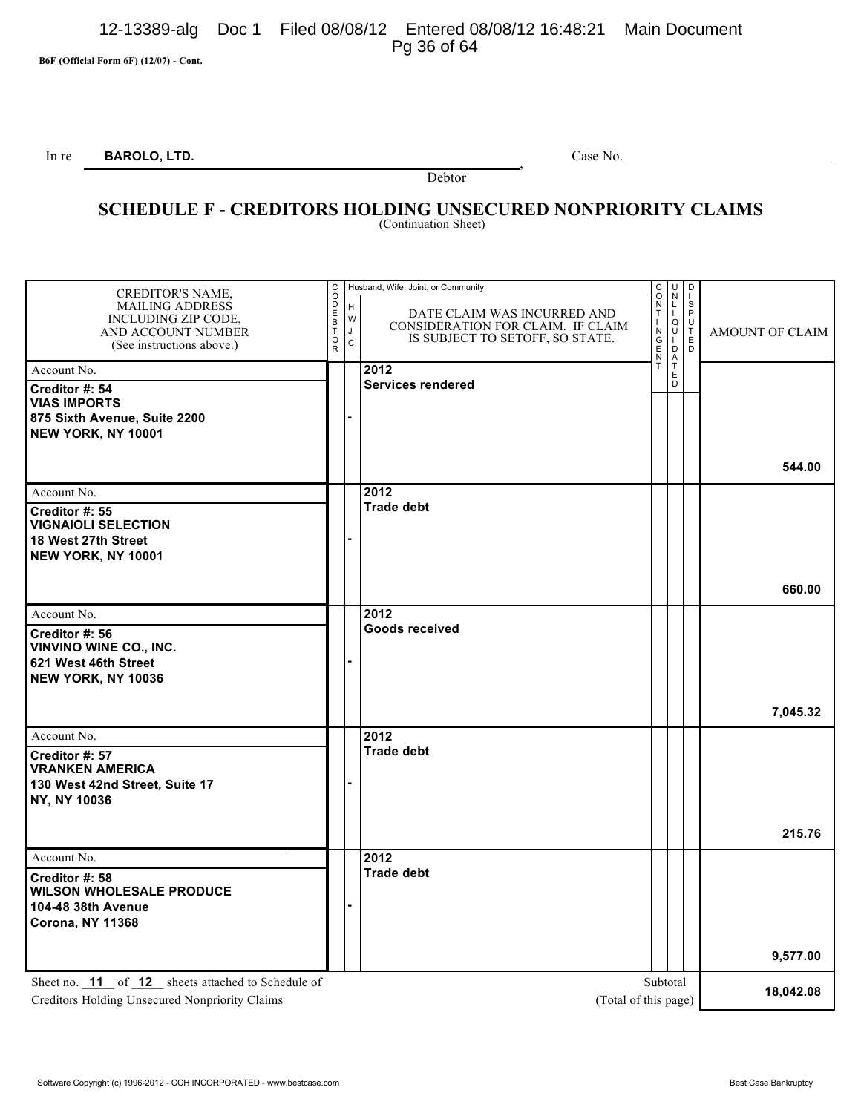In re

Debtor

,

#### **SCHEDULE F - CREDITORS HOLDING UNSECURED NONPRIORITY CLAIMS** (Continuation Sheet)

| CREDITOR'S NAME,<br><b>MAILING ADDRESS</b><br>INCLUDING ZIP CODE.<br>AND ACCOUNT NUMBER<br>(See instructions above.) | CODEBTO<br>$\overline{R}$ | H<br>W<br>J<br>$\mathsf C$ | Husband, Wife, Joint, or Community<br>DATE CLAIM WAS INCURRED AND<br>CONSIDERATION FOR CLAIM. IF CLAIM<br>IS SUBJECT TO SETOFF, SO STATE.<br>2012 | $\overline{Q}$<br>T.<br>$_\mathrm{G}^\mathrm{N}$<br>$\overline{R}$<br>T | $\begin{array}{c}\nU \\ V\n\end{array}$<br>$\mathbf{L}$<br>$\frac{Q}{U}$   $\frac{U}{T}$<br>D<br>$\frac{A}{T}$ | D<br>$_{\rm P}^{\rm S}$<br>Ε<br>l D | AMOUNT OF CLAIM |
|----------------------------------------------------------------------------------------------------------------------|---------------------------|----------------------------|---------------------------------------------------------------------------------------------------------------------------------------------------|-------------------------------------------------------------------------|----------------------------------------------------------------------------------------------------------------|-------------------------------------|-----------------|
| Account No.<br>Creditor #: 54<br><b>VIAS IMPORTS</b><br>875 Sixth Avenue, Suite 2200<br>NEW YORK, NY 10001           |                           |                            | <b>Services rendered</b>                                                                                                                          |                                                                         | Ε<br>D                                                                                                         |                                     |                 |
| Account No.<br>Creditor #: 55<br><b>VIGNAIOLI SELECTION</b><br>18 West 27th Street<br>NEW YORK, NY 10001             |                           |                            | 2012<br><b>Trade debt</b>                                                                                                                         |                                                                         |                                                                                                                |                                     | 544.00          |
| Account No.                                                                                                          |                           |                            | 2012<br><b>Goods received</b>                                                                                                                     |                                                                         |                                                                                                                |                                     | 660.00          |
| Creditor #: 56<br><b>VINVINO WINE CO., INC.</b><br>621 West 46th Street<br>NEW YORK, NY 10036                        |                           |                            |                                                                                                                                                   |                                                                         |                                                                                                                |                                     | 7,045.32        |
| Account No.<br>Creditor #: 57<br><b>VRANKEN AMERICA</b><br>130 West 42nd Street, Suite 17<br>NY, NY 10036            |                           |                            | 2012<br><b>Trade debt</b>                                                                                                                         |                                                                         |                                                                                                                |                                     |                 |
| Account No.<br>Creditor #: 58<br><b>WILSON WHOLESALE PRODUCE</b><br>104-48 38th Avenue<br><b>Corona, NY 11368</b>    |                           |                            | 2012<br><b>Trade debt</b>                                                                                                                         |                                                                         |                                                                                                                |                                     | 215.76          |
| Sheet no. 11 of 12 sheets attached to Schedule of                                                                    |                           |                            |                                                                                                                                                   | Subtotal                                                                |                                                                                                                |                                     | 9,577.00        |
| $\sim$ $1.37$ $\sim$ $1.6$ $\sim$<br>$\alpha$ in the set of $\alpha$                                                 |                           |                            | $\sigma$ $\sigma$ $\sigma$ $\sigma$                                                                                                               |                                                                         |                                                                                                                |                                     | 18,042.08       |

Creditors Holding Unsecured Nonpriority Claims (Total of this page)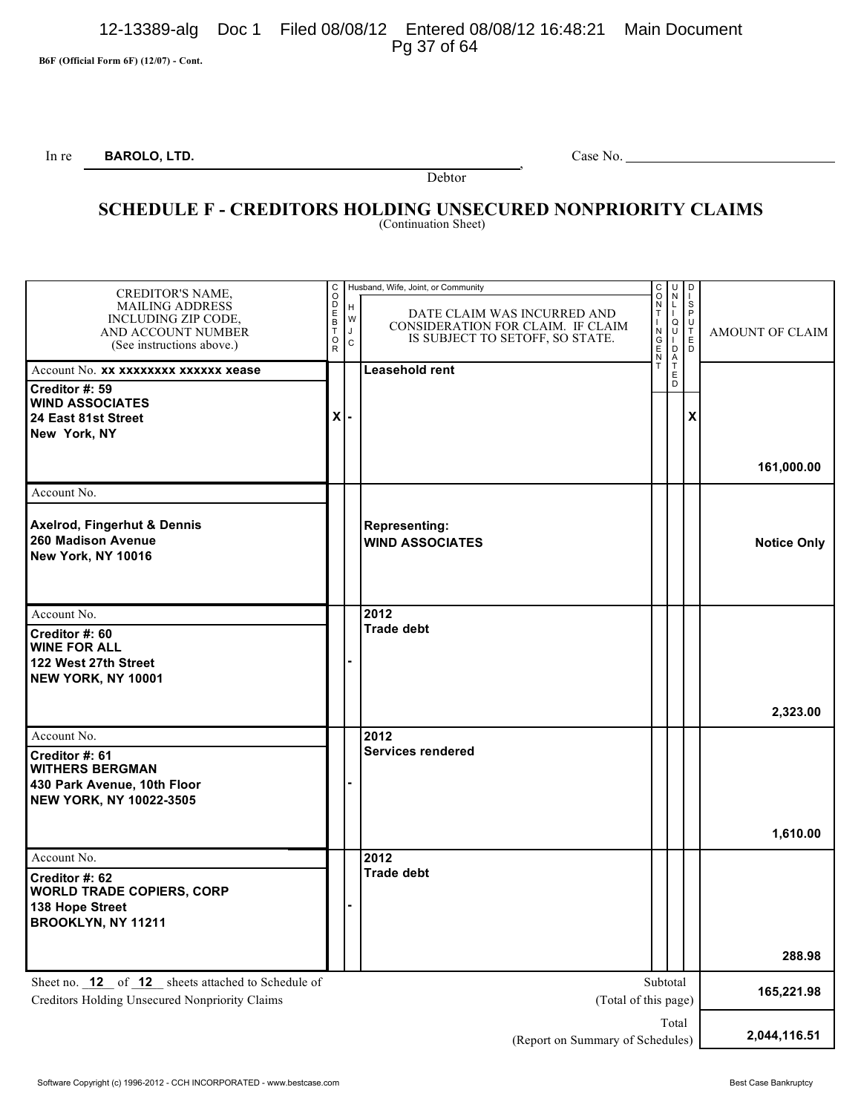In re

Debtor

,

**SCHEDULE F - CREDITORS HOLDING UNSECURED NONPRIORITY CLAIMS** (Continuation Sheet)

| CREDITOR'S NAME,<br><b>MAILING ADDRESS</b>                                                         |             | H                     | Husband, Wife, Joint, or Community                                                                  |            | $\mathsf{z} \subset$ | D                                                                                                                                                                                                                                                                                                                                                                                                                                                                                                                                                                  |                    |
|----------------------------------------------------------------------------------------------------|-------------|-----------------------|-----------------------------------------------------------------------------------------------------|------------|----------------------|--------------------------------------------------------------------------------------------------------------------------------------------------------------------------------------------------------------------------------------------------------------------------------------------------------------------------------------------------------------------------------------------------------------------------------------------------------------------------------------------------------------------------------------------------------------------|--------------------|
| INCLUDING ZIP CODE,<br>AND ACCOUNT NUMBER<br>(See instructions above.)                             | CODEBTOR    | W<br>J<br>$\mathsf C$ | DATE CLAIM WAS INCURRED AND<br>CONSIDERATION FOR CLAIM. IF CLAIM<br>IS SUBJECT TO SETOFF, SO STATE. | $2mQZ-TZO$ | L                    | $\begin{array}{c c}\n1 & 5 \\ -1 & 7 \\ -1 & -1\n\end{array}$<br>E<br>$\begin{array}{c}\n\phantom{0} \\ \phantom{0} \\ \phantom{0} \\ \phantom{0} \\ \phantom{0} \\ \phantom{0} \\ \phantom{0} \\ \phantom{0} \\ \phantom{0} \\ \phantom{0} \\ \phantom{0} \\ \phantom{0} \\ \phantom{0} \\ \phantom{0} \\ \phantom{0} \\ \phantom{0} \\ \phantom{0} \\ \phantom{0} \\ \phantom{0} \\ \phantom{0} \\ \phantom{0} \\ \phantom{0} \\ \phantom{0} \\ \phantom{0} \\ \phantom{0} \\ \phantom{0} \\ \phantom{0} \\ \phantom{0} \\ \phantom{0} \\ \phantom{0} \\ \phant$ | AMOUNT OF CLAIM    |
| Account No. XX XXXXXXXX XXXXXX Xease                                                               |             |                       | <b>Leasehold rent</b>                                                                               | T          |                      |                                                                                                                                                                                                                                                                                                                                                                                                                                                                                                                                                                    |                    |
| Creditor #: 59<br><b>WIND ASSOCIATES</b><br>24 East 81st Street<br>New York, NY                    | <b>x</b>  - |                       |                                                                                                     |            |                      | X                                                                                                                                                                                                                                                                                                                                                                                                                                                                                                                                                                  |                    |
|                                                                                                    |             |                       |                                                                                                     |            |                      |                                                                                                                                                                                                                                                                                                                                                                                                                                                                                                                                                                    | 161,000.00         |
| Account No.                                                                                        |             |                       |                                                                                                     |            |                      |                                                                                                                                                                                                                                                                                                                                                                                                                                                                                                                                                                    |                    |
| <b>Axelrod, Fingerhut &amp; Dennis</b><br>260 Madison Avenue<br>New York, NY 10016                 |             |                       | <b>Representing:</b><br><b>WIND ASSOCIATES</b>                                                      |            |                      |                                                                                                                                                                                                                                                                                                                                                                                                                                                                                                                                                                    | <b>Notice Only</b> |
| Account No.                                                                                        |             |                       | 2012                                                                                                |            |                      |                                                                                                                                                                                                                                                                                                                                                                                                                                                                                                                                                                    |                    |
| Creditor #: 60<br><b>WINE FOR ALL</b><br>122 West 27th Street<br>NEW YORK, NY 10001                |             |                       | <b>Trade debt</b>                                                                                   |            |                      |                                                                                                                                                                                                                                                                                                                                                                                                                                                                                                                                                                    |                    |
|                                                                                                    |             |                       |                                                                                                     |            |                      |                                                                                                                                                                                                                                                                                                                                                                                                                                                                                                                                                                    | 2,323.00           |
| Account No.                                                                                        |             |                       | 2012<br><b>Services rendered</b>                                                                    |            |                      |                                                                                                                                                                                                                                                                                                                                                                                                                                                                                                                                                                    |                    |
| Creditor #: 61<br><b>WITHERS BERGMAN</b><br>430 Park Avenue, 10th Floor<br>NEW YORK, NY 10022-3505 |             | $\blacksquare$        |                                                                                                     |            |                      |                                                                                                                                                                                                                                                                                                                                                                                                                                                                                                                                                                    |                    |
|                                                                                                    |             |                       |                                                                                                     |            |                      |                                                                                                                                                                                                                                                                                                                                                                                                                                                                                                                                                                    | 1,610.00           |
| Account No.                                                                                        |             |                       | 2012                                                                                                |            |                      |                                                                                                                                                                                                                                                                                                                                                                                                                                                                                                                                                                    |                    |
| Creditor #: 62<br><b>WORLD TRADE COPIERS, CORP</b><br>138 Hope Street<br>BROOKLYN, NY 11211        |             |                       | <b>Trade debt</b>                                                                                   |            |                      |                                                                                                                                                                                                                                                                                                                                                                                                                                                                                                                                                                    |                    |
|                                                                                                    |             |                       |                                                                                                     |            |                      |                                                                                                                                                                                                                                                                                                                                                                                                                                                                                                                                                                    | 288.98             |
| Sheet no. <b>12</b> of <b>12</b> sheets attached to Schedule of                                    |             |                       |                                                                                                     | Subtotal   |                      |                                                                                                                                                                                                                                                                                                                                                                                                                                                                                                                                                                    | 165,221.98         |
| Creditors Holding Unsecured Nonpriority Claims                                                     |             |                       | (Total of this page)                                                                                |            | Total                |                                                                                                                                                                                                                                                                                                                                                                                                                                                                                                                                                                    |                    |
|                                                                                                    |             |                       |                                                                                                     |            |                      |                                                                                                                                                                                                                                                                                                                                                                                                                                                                                                                                                                    |                    |

(Report on Summary of Schedules)

**2,044,116.51**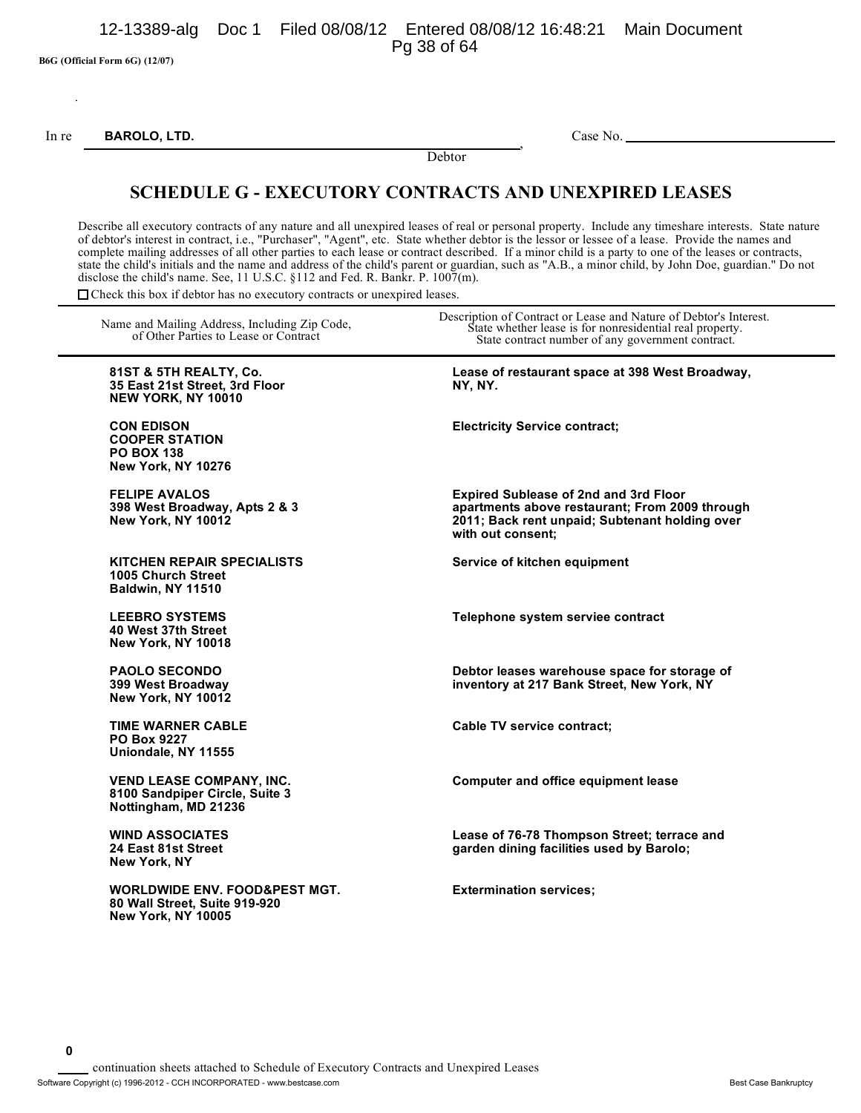12-13389-alg Doc 1 Filed 08/08/12 Entered 08/08/12 16:48:21 Main Document Pg 38 of 64

**B6G (Official Form 6G) (12/07)**

In re

**0**

#### **BAROLO, LTD.** Case No.

,

# **SCHEDULE G - EXECUTORY CONTRACTS AND UNEXPIRED LEASES**

Debtor

Describe all executory contracts of any nature and all unexpired leases of real or personal property. Include any timeshare interests. State nature of debtor's interest in contract, i.e., "Purchaser", "Agent", etc. State whether debtor is the lessor or lessee of a lease. Provide the names and complete mailing addresses of all other parties to each lease or contract described. If a minor child is a party to one of the leases or contracts, state the child's initials and the name and address of the child's parent or guardian, such as "A.B., a minor child, by John Doe, guardian." Do not disclose the child's name. See, 11 U.S.C. §112 and Fed. R. Bankr. P. 1007(m). □ Check this box if debtor has no executory contracts or unexpired leases.

| Name and Mailing Address, Including Zip Code,<br>of Other Parties to Lease or Contract          | Description of Contract or Lease and Nature of Debtor's Interest.<br>State whether lease is for nonresidential real property.<br>State contract number of any government contract. |
|-------------------------------------------------------------------------------------------------|------------------------------------------------------------------------------------------------------------------------------------------------------------------------------------|
| 81ST & 5TH REALTY, Co.<br>35 East 21st Street, 3rd Floor<br>NEW YORK, NY 10010                  | Lease of restaurant space at 398 West Broadway,<br>NY, NY.                                                                                                                         |
| <b>CON EDISON</b><br><b>COOPER STATION</b><br><b>PO BOX 138</b><br><b>New York, NY 10276</b>    | <b>Electricity Service contract:</b>                                                                                                                                               |
| <b>FELIPE AVALOS</b><br>398 West Broadway, Apts 2 & 3<br>New York, NY 10012                     | <b>Expired Sublease of 2nd and 3rd Floor</b><br>apartments above restaurant; From 2009 through<br>2011; Back rent unpaid; Subtenant holding over<br>with out consent:              |
| KITCHEN REPAIR SPECIALISTS<br>1005 Church Street<br><b>Baldwin, NY 11510</b>                    | Service of kitchen equipment                                                                                                                                                       |
| <b>LEEBRO SYSTEMS</b><br>40 West 37th Street<br>New York, NY 10018                              | Telephone system serviee contract                                                                                                                                                  |
| <b>PAOLO SECONDO</b><br>399 West Broadway<br>New York, NY 10012                                 | Debtor leases warehouse space for storage of<br>inventory at 217 Bank Street, New York, NY                                                                                         |
| <b>TIME WARNER CABLE</b><br><b>PO Box 9227</b><br>Uniondale, NY 11555                           | <b>Cable TV service contract:</b>                                                                                                                                                  |
| <b>VEND LEASE COMPANY, INC.</b><br>8100 Sandpiper Circle, Suite 3<br>Nottingham, MD 21236       | <b>Computer and office equipment lease</b>                                                                                                                                         |
| <b>WIND ASSOCIATES</b><br>24 East 81st Street<br>New York, NY                                   | Lease of 76-78 Thompson Street; terrace and<br>garden dining facilities used by Barolo;                                                                                            |
| <b>WORLDWIDE ENV. FOOD&amp;PEST MGT.</b><br>80 Wall Street, Suite 919-920<br>New York, NY 10005 | <b>Extermination services:</b>                                                                                                                                                     |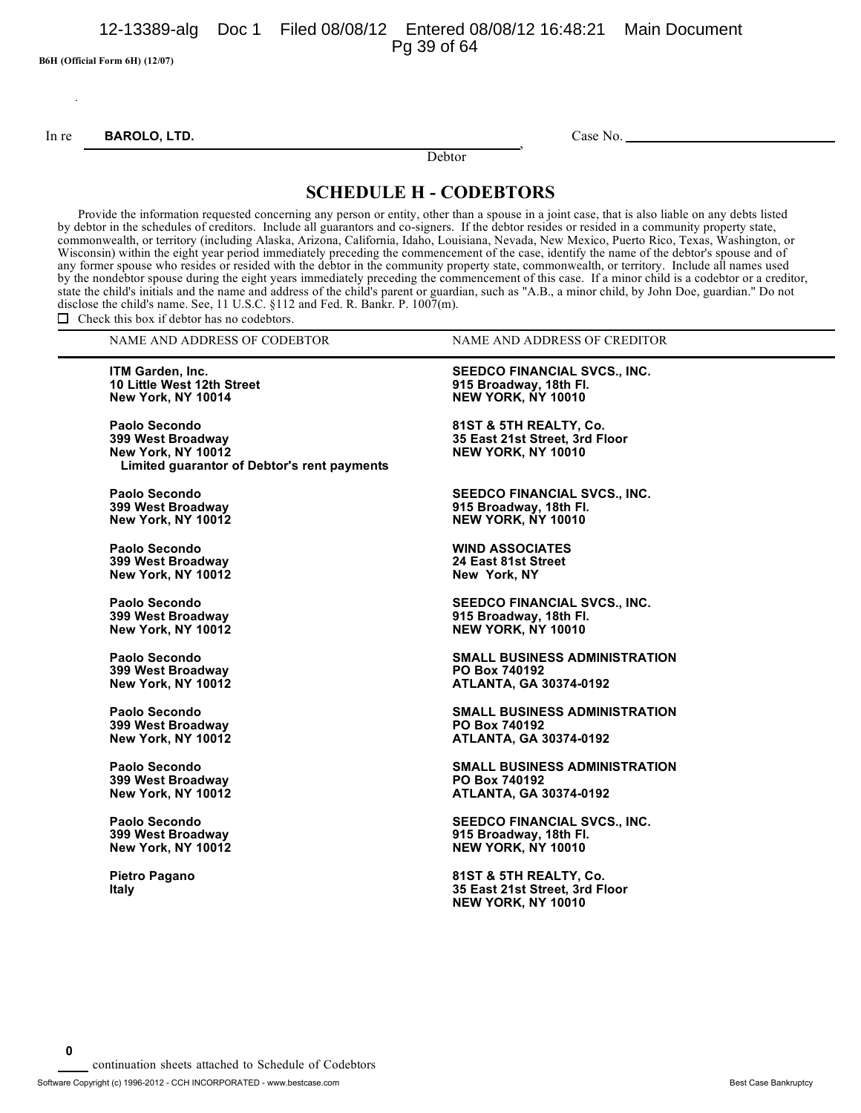12-13389-alg Doc 1 Filed 08/08/12 Entered 08/08/12 16:48:21 Main Document Pg 39 of 64

,

**B6H (Official Form 6H) (12/07)**

In re

**BAROLO, LTD.** Case No.

# **SCHEDULE H - CODEBTORS**

Debtor

Provide the information requested concerning any person or entity, other than a spouse in a joint case, that is also liable on any debts listed by debtor in the schedules of creditors. Include all guarantors and co-signers. If the debtor resides or resided in a community property state, commonwealth, or territory (including Alaska, Arizona, California, Idaho, Louisiana, Nevada, New Mexico, Puerto Rico, Texas, Washington, or Wisconsin) within the eight year period immediately preceding the commencement of the case, identify the name of the debtor's spouse and of any former spouse who resides or resided with the debtor in the community property state, commonwealth, or territory. Include all names used by the nondebtor spouse during the eight years immediately preceding the commencement of this case. If a minor child is a codebtor or a creditor, state the child's initials and the name and address of the child's parent or guardian, such as "A.B., a minor child, by John Doe, guardian." Do not disclose the child's name. See, 11 U.S.C. §112 and Fed. R. Bankr. P. 1007(m).

 $\Box$  Check this box if debtor has no codebtors.

**ITM Garden, Inc. 10 Little West 12th Street New York, NY 10014**

**Paolo Secondo 399 West Broadway New York, NY 10012 Limited guarantor of Debtor's rent payments**

**Paolo Secondo 399 West Broadway New York, NY 10012**

**Paolo Secondo 399 West Broadway New York, NY 10012**

**Paolo Secondo 399 West Broadway New York, NY 10012**

**Paolo Secondo 399 West Broadway New York, NY 10012**

**Paolo Secondo 399 West Broadway New York, NY 10012**

**Paolo Secondo 399 West Broadway New York, NY 10012**

**Paolo Secondo 399 West Broadway New York, NY 10012**

**Pietro Pagano Italy**

NAME AND ADDRESS OF CODEBTOR NAME AND ADDRESS OF CREDITOR

**SEEDCO FINANCIAL SVCS., INC. 915 Broadway, 18th Fl. NEW YORK, NY 10010**

**81ST & 5TH REALTY, Co. 35 East 21st Street, 3rd Floor NEW YORK, NY 10010**

**SEEDCO FINANCIAL SVCS., INC. 915 Broadway, 18th Fl. NEW YORK, NY 10010**

**WIND ASSOCIATES 24 East 81st Street New York, NY**

**SEEDCO FINANCIAL SVCS., INC. 915 Broadway, 18th Fl. NEW YORK, NY 10010**

**SMALL BUSINESS ADMINISTRATION PO Box 740192 ATLANTA, GA 30374-0192**

**SMALL BUSINESS ADMINISTRATION PO Box 740192 ATLANTA, GA 30374-0192**

**SMALL BUSINESS ADMINISTRATION PO Box 740192 ATLANTA, GA 30374-0192**

**SEEDCO FINANCIAL SVCS., INC. 915 Broadway, 18th Fl. NEW YORK, NY 10010**

**81ST & 5TH REALTY, Co. 35 East 21st Street, 3rd Floor NEW YORK, NY 10010**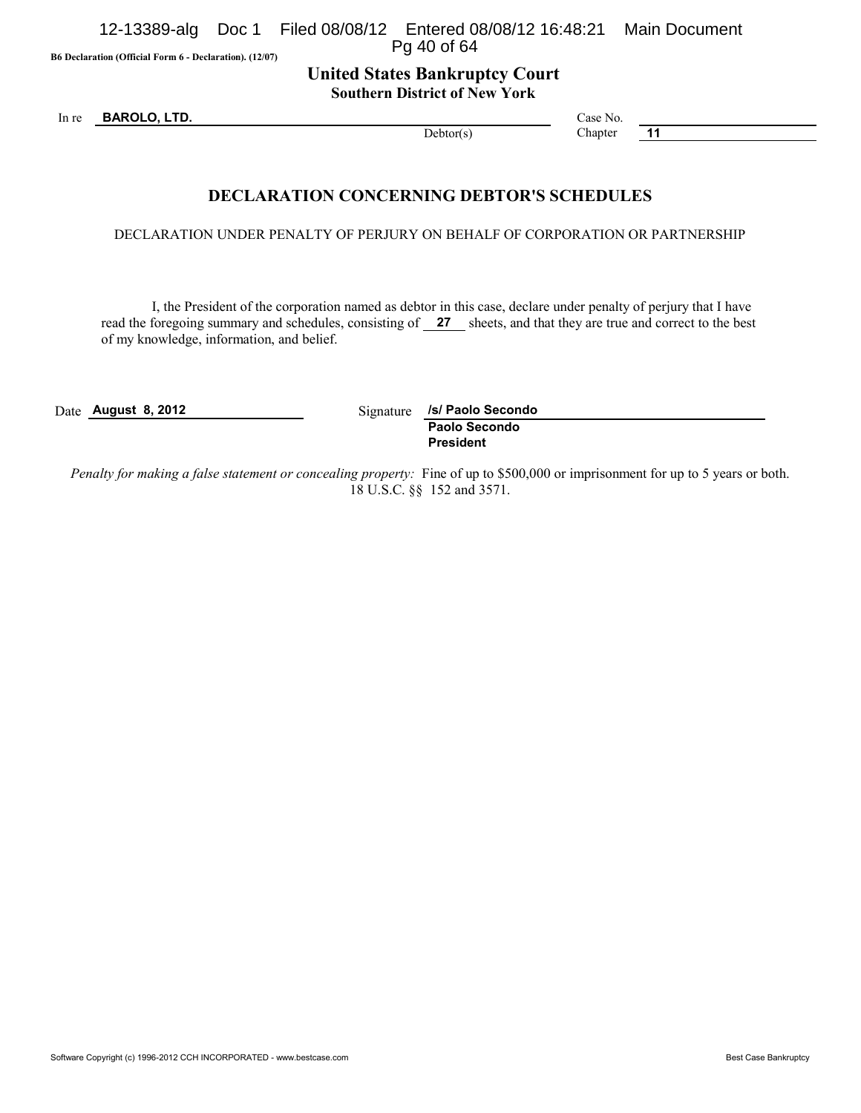Pg 40 of 64

**B6 Declaration (Official Form 6 - Declaration). (12/07)**

**United States Bankruptcy Court Southern District of New York**

In re **BAROLO, LTD.** Case No.

Debtor(s) Chapter **11** 

# **DECLARATION CONCERNING DEBTOR'S SCHEDULES**

DECLARATION UNDER PENALTY OF PERJURY ON BEHALF OF CORPORATION OR PARTNERSHIP

I, the President of the corporation named as debtor in this case, declare under penalty of perjury that I have read the foregoing summary and schedules, consisting of **27** sheets, and that they are true and correct to the best of my knowledge, information, and belief.

Date **August 8, 2012** Signature */s/ Paolo Secondo* **Paolo Secondo President**

*Penalty for making a false statement or concealing property:* Fine of up to \$500,000 or imprisonment for up to 5 years or both. 18 U.S.C. §§ 152 and 3571.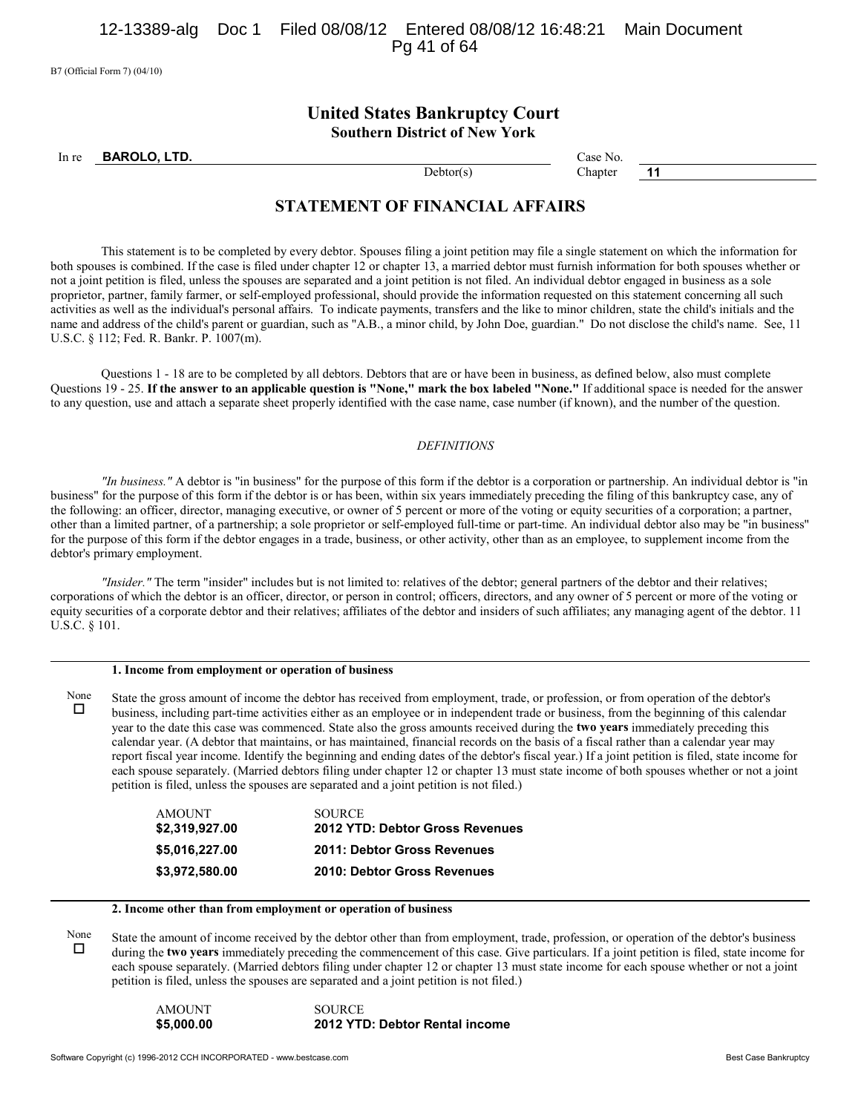#### 12-13389-alg Doc 1 Filed 08/08/12 Entered 08/08/12 16:48:21 Main Document Pg 41 of 64

B7 (Official Form 7) (04/10)

### **United States Bankruptcy Court Southern District of New York**

In re **BAROLO, LTD.** Case No.

Debtor(s) Chapter **11** 

# **STATEMENT OF FINANCIAL AFFAIRS**

This statement is to be completed by every debtor. Spouses filing a joint petition may file a single statement on which the information for both spouses is combined. If the case is filed under chapter 12 or chapter 13, a married debtor must furnish information for both spouses whether or not a joint petition is filed, unless the spouses are separated and a joint petition is not filed. An individual debtor engaged in business as a sole proprietor, partner, family farmer, or self-employed professional, should provide the information requested on this statement concerning all such activities as well as the individual's personal affairs. To indicate payments, transfers and the like to minor children, state the child's initials and the name and address of the child's parent or guardian, such as "A.B., a minor child, by John Doe, guardian." Do not disclose the child's name. See, 11 U.S.C. § 112; Fed. R. Bankr. P. 1007(m).

Questions 1 - 18 are to be completed by all debtors. Debtors that are or have been in business, as defined below, also must complete Questions 19 - 25. **If the answer to an applicable question is "None," mark the box labeled "None."** If additional space is needed for the answer to any question, use and attach a separate sheet properly identified with the case name, case number (if known), and the number of the question.

#### *DEFINITIONS*

*"In business."* A debtor is "in business" for the purpose of this form if the debtor is a corporation or partnership. An individual debtor is "in business" for the purpose of this form if the debtor is or has been, within six years immediately preceding the filing of this bankruptcy case, any of the following: an officer, director, managing executive, or owner of 5 percent or more of the voting or equity securities of a corporation; a partner, other than a limited partner, of a partnership; a sole proprietor or self-employed full-time or part-time. An individual debtor also may be "in business" for the purpose of this form if the debtor engages in a trade, business, or other activity, other than as an employee, to supplement income from the debtor's primary employment.

*"Insider."* The term "insider" includes but is not limited to: relatives of the debtor; general partners of the debtor and their relatives; corporations of which the debtor is an officer, director, or person in control; officers, directors, and any owner of 5 percent or more of the voting or equity securities of a corporate debtor and their relatives; affiliates of the debtor and insiders of such affiliates; any managing agent of the debtor. 11 U.S.C. § 101.

#### **1. Income from employment or operation of business**

None o State the gross amount of income the debtor has received from employment, trade, or profession, or from operation of the debtor's business, including part-time activities either as an employee or in independent trade or business, from the beginning of this calendar year to the date this case was commenced. State also the gross amounts received during the **two years** immediately preceding this calendar year. (A debtor that maintains, or has maintained, financial records on the basis of a fiscal rather than a calendar year may report fiscal year income. Identify the beginning and ending dates of the debtor's fiscal year.) If a joint petition is filed, state income for each spouse separately. (Married debtors filing under chapter 12 or chapter 13 must state income of both spouses whether or not a joint petition is filed, unless the spouses are separated and a joint petition is not filed.)

| <b>AMOUNT</b><br>\$2,319,927.00 | <b>SOURCE</b><br>2012 YTD: Debtor Gross Revenues |
|---------------------------------|--------------------------------------------------|
| \$5,016,227.00                  | 2011: Debtor Gross Revenues                      |
| \$3,972,580.00                  | 2010: Debtor Gross Revenues                      |

#### **2. Income other than from employment or operation of business**

None o State the amount of income received by the debtor other than from employment, trade, profession, or operation of the debtor's business during the **two years** immediately preceding the commencement of this case. Give particulars. If a joint petition is filed, state income for each spouse separately. (Married debtors filing under chapter 12 or chapter 13 must state income for each spouse whether or not a joint petition is filed, unless the spouses are separated and a joint petition is not filed.)

| AMOUNT     | <b>SOURCE</b>                  |
|------------|--------------------------------|
| \$5,000.00 | 2012 YTD: Debtor Rental income |
|            |                                |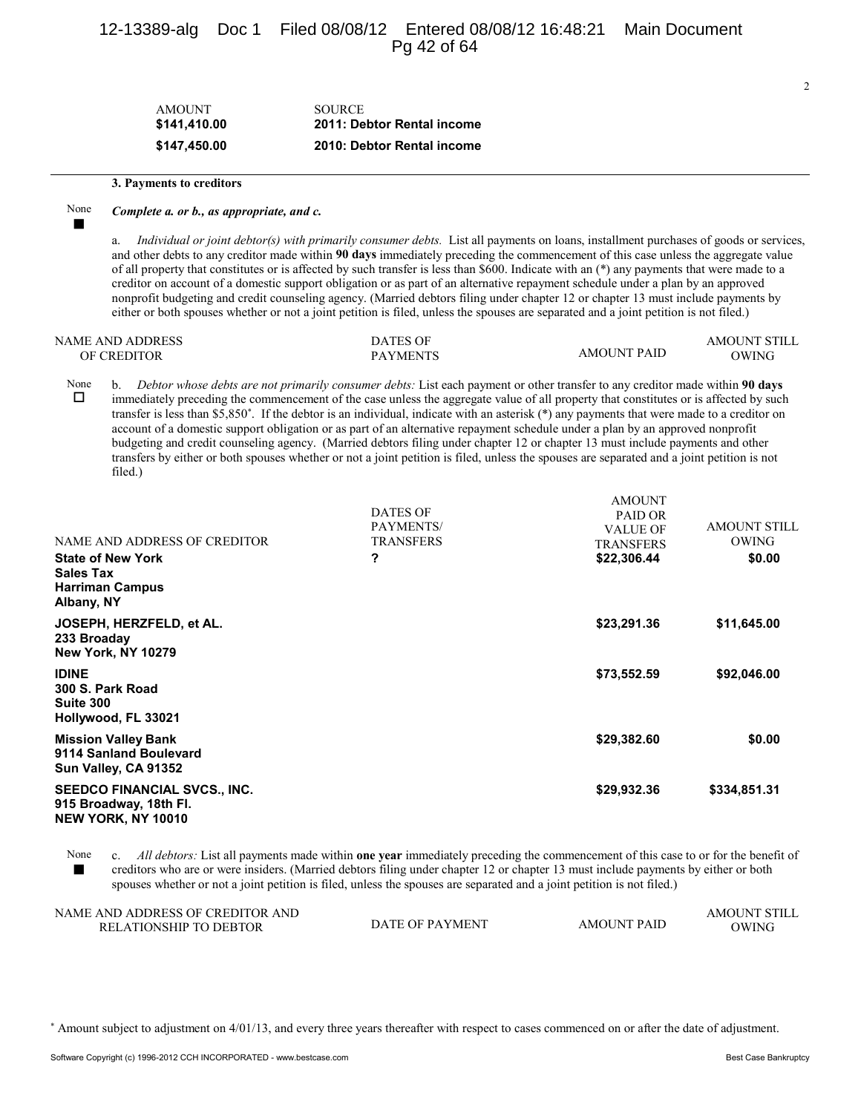AMOUNT SOURCE<br>**\$141,410.00 2011: De \$141,410.00 2011: Debtor Rental income \$147,450.00 2010: Debtor Rental income**

#### **3. Payments to creditors**

#### None n *Complete a. or b., as appropriate, and c.*

a. *Individual or joint debtor(s) with primarily consumer debts.* List all payments on loans, installment purchases of goods or services, and other debts to any creditor made within **90 days** immediately preceding the commencement of this case unless the aggregate value of all property that constitutes or is affected by such transfer is less than \$600. Indicate with an (\*) any payments that were made to a creditor on account of a domestic support obligation or as part of an alternative repayment schedule under a plan by an approved nonprofit budgeting and credit counseling agency. (Married debtors filing under chapter 12 or chapter 13 must include payments by either or both spouses whether or not a joint petition is filed, unless the spouses are separated and a joint petition is not filed.)

#### NAME AND ADDRESS OF CREDITOR DATES OF PAYMENTS AMOUNT PAID AMOUNT STILL OWING

None  $\Box$ b. *Debtor whose debts are not primarily consumer debts:* List each payment or other transfer to any creditor made within **90 days** immediately preceding the commencement of the case unless the aggregate value of all property that constitutes or is affected by such transfer is less than \$5,850\* . If the debtor is an individual, indicate with an asterisk (\*) any payments that were made to a creditor on account of a domestic support obligation or as part of an alternative repayment schedule under a plan by an approved nonprofit budgeting and credit counseling agency. (Married debtors filing under chapter 12 or chapter 13 must include payments and other transfers by either or both spouses whether or not a joint petition is filed, unless the spouses are separated and a joint petition is not filed.)

| NAME AND ADDRESS OF CREDITOR<br><b>State of New York</b><br><b>Sales Tax</b><br><b>Harriman Campus</b><br>Albany, NY | <b>DATES OF</b><br>PAYMENTS/<br><b>TRANSFERS</b><br>? | <b>AMOUNT</b><br><b>PAID OR</b><br><b>VALUE OF</b><br><b>TRANSFERS</b><br>\$22,306.44 | <b>AMOUNT STILL</b><br><b>OWING</b><br>\$0.00 |
|----------------------------------------------------------------------------------------------------------------------|-------------------------------------------------------|---------------------------------------------------------------------------------------|-----------------------------------------------|
| JOSEPH, HERZFELD, et AL.<br>233 Broaday<br>New York, NY 10279                                                        |                                                       | \$23,291.36                                                                           | \$11,645.00                                   |
| <b>IDINE</b><br>300 S. Park Road<br>Suite 300<br>Hollywood, FL 33021                                                 |                                                       | \$73,552.59                                                                           | \$92,046.00                                   |
| <b>Mission Valley Bank</b><br>9114 Sanland Boulevard<br>Sun Valley, CA 91352                                         |                                                       | \$29,382.60                                                                           | \$0.00                                        |
| SEEDCO FINANCIAL SVCS., INC.<br>915 Broadway, 18th Fl.<br>NEW YORK, NY 10010                                         |                                                       | \$29,932.36                                                                           | \$334,851.31                                  |

None n c. *All debtors:* List all payments made within **one year** immediately preceding the commencement of this case to or for the benefit of creditors who are or were insiders. (Married debtors filing under chapter 12 or chapter 13 must include payments by either or both spouses whether or not a joint petition is filed, unless the spouses are separated and a joint petition is not filed.)

NAME AND ADDRESS OF CREDITOR AND RELATIONSHIP TO DEBTOR DATE OF PAYMENT AMOUNT PAID

AMOUNT STILL OWING

\* Amount subject to adjustment on 4/01/13, and every three years thereafter with respect to cases commenced on or after the date of adjustment.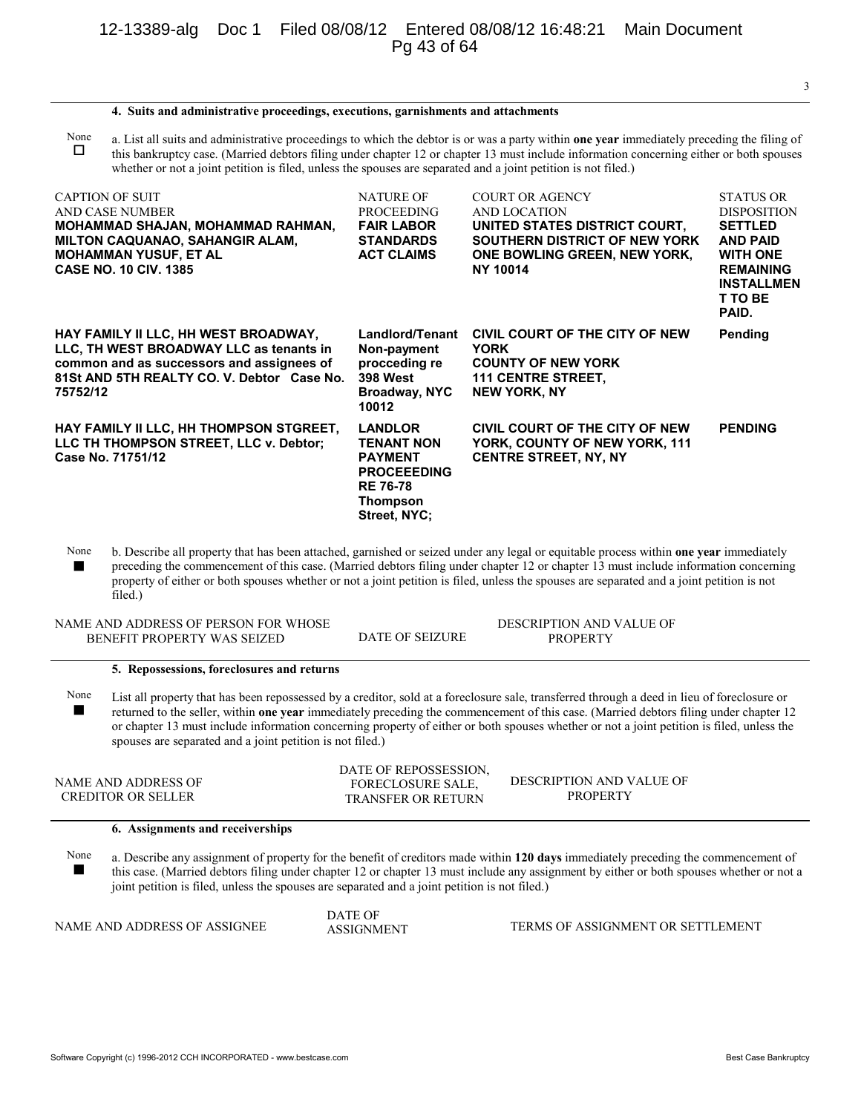### 12-13389-alg Doc 1 Filed 08/08/12 Entered 08/08/12 16:48:21 Main Document Pg 43 of 64

#### **4. Suits and administrative proceedings, executions, garnishments and attachments**

None o a. List all suits and administrative proceedings to which the debtor is or was a party within **one year** immediately preceding the filing of this bankruptcy case. (Married debtors filing under chapter 12 or chapter 13 must include information concerning either or both spouses whether or not a joint petition is filed, unless the spouses are separated and a joint petition is not filed.)

| <b>CAPTION OF SUIT</b><br><b>AND CASE NUMBER</b><br>MOHAMMAD SHAJAN, MOHAMMAD RAHMAN,<br>MILTON CAQUANAO, SAHANGIR ALAM,<br><b>MOHAMMAN YUSUF, ET AL</b><br><b>CASE NO. 10 CIV. 1385</b> | <b>NATURE OF</b><br><b>PROCEEDING</b><br><b>FAIR LABOR</b><br><b>STANDARDS</b><br><b>ACT CLAIMS</b>                        | <b>COURT OR AGENCY</b><br><b>AND LOCATION</b><br>UNITED STATES DISTRICT COURT,<br>SOUTHERN DISTRICT OF NEW YORK<br>ONE BOWLING GREEN, NEW YORK,<br>NY 10014                                                                                                                                                                                                                                                                       | <b>STATUS OR</b><br><b>DISPOSITION</b><br><b>SETTLED</b><br><b>AND PAID</b><br><b>WITH ONE</b><br><b>REMAINING</b><br><b>INSTALLMEN</b><br><b>T TO BE</b><br>PAID. |
|------------------------------------------------------------------------------------------------------------------------------------------------------------------------------------------|----------------------------------------------------------------------------------------------------------------------------|-----------------------------------------------------------------------------------------------------------------------------------------------------------------------------------------------------------------------------------------------------------------------------------------------------------------------------------------------------------------------------------------------------------------------------------|--------------------------------------------------------------------------------------------------------------------------------------------------------------------|
| HAY FAMILY II LLC, HH WEST BROADWAY,<br>LLC, TH WEST BROADWAY LLC as tenants in<br>common and as successors and assignees of<br>81St AND 5TH REALTY CO. V. Debtor Case No.<br>75752/12   | <b>Landlord/Tenant</b><br>Non-payment<br>procceding re<br><b>398 West</b><br><b>Broadway, NYC</b><br>10012                 | CIVIL COURT OF THE CITY OF NEW<br><b>YORK</b><br><b>COUNTY OF NEW YORK</b><br><b>111 CENTRE STREET,</b><br><b>NEW YORK, NY</b>                                                                                                                                                                                                                                                                                                    | Pending                                                                                                                                                            |
| HAY FAMILY II LLC, HH THOMPSON STGREET,<br>LLC TH THOMPSON STREET, LLC v. Debtor;<br>Case No. 71751/12                                                                                   | <b>LANDLOR</b><br>TENANT NON<br><b>PAYMENT</b><br><b>PROCEEEDING</b><br><b>RE 76-78</b><br><b>Thompson</b><br>Street, NYC; | CIVIL COURT OF THE CITY OF NEW<br>YORK, COUNTY OF NEW YORK, 111<br><b>CENTRE STREET, NY, NY</b>                                                                                                                                                                                                                                                                                                                                   | <b>PENDING</b>                                                                                                                                                     |
| None<br>ш<br>filed.)                                                                                                                                                                     |                                                                                                                            | b. Describe all property that has been attached, garnished or seized under any legal or equitable process within one year immediately<br>preceding the commencement of this case. (Married debtors filing under chapter 12 or chapter 13 must include information concerning<br>property of either or both spouses whether or not a joint petition is filed, unless the spouses are separated and a joint petition is not         |                                                                                                                                                                    |
| NAME AND ADDRESS OF PERSON FOR WHOSE<br>BENEFIT PROPERTY WAS SEIZED                                                                                                                      | <b>DATE OF SEIZURE</b>                                                                                                     | DESCRIPTION AND VALUE OF<br><b>PROPERTY</b>                                                                                                                                                                                                                                                                                                                                                                                       |                                                                                                                                                                    |
| 5. Repossessions, foreclosures and returns                                                                                                                                               |                                                                                                                            |                                                                                                                                                                                                                                                                                                                                                                                                                                   |                                                                                                                                                                    |
| None<br>ш<br>spouses are separated and a joint petition is not filed.)                                                                                                                   |                                                                                                                            | List all property that has been repossessed by a creditor, sold at a foreclosure sale, transferred through a deed in lieu of foreclosure or<br>returned to the seller, within one year immediately preceding the commencement of this case. (Married debtors filing under chapter 12<br>or chapter 13 must include information concerning property of either or both spouses whether or not a joint petition is filed, unless the |                                                                                                                                                                    |
| <b>NAME AND ADDRESS OF</b><br><b>CREDITOR OR SELLER</b>                                                                                                                                  | DATE OF REPOSSESSION,<br>FORECLOSURE SALE,<br><b>TRANSFER OR RETURN</b>                                                    | DESCRIPTION AND VALUE OF<br><b>PROPERTY</b>                                                                                                                                                                                                                                                                                                                                                                                       |                                                                                                                                                                    |
| 6. Assignments and receiverships                                                                                                                                                         |                                                                                                                            |                                                                                                                                                                                                                                                                                                                                                                                                                                   |                                                                                                                                                                    |
| None<br>joint petition is filed, unless the spouses are separated and a joint petition is not filed.)                                                                                    |                                                                                                                            | a. Describe any assignment of property for the benefit of creditors made within 120 days immediately preceding the commencement of<br>this case. (Married debtors filing under chapter 12 or chapter 13 must include any assignment by either or both spouses whether or not a                                                                                                                                                    |                                                                                                                                                                    |
| NAME AND ADDRESS OF ASSIGNEE                                                                                                                                                             | DATE OF<br><b>ASSIGNMENT</b>                                                                                               |                                                                                                                                                                                                                                                                                                                                                                                                                                   | TERMS OF ASSIGNMENT OR SETTLEMENT                                                                                                                                  |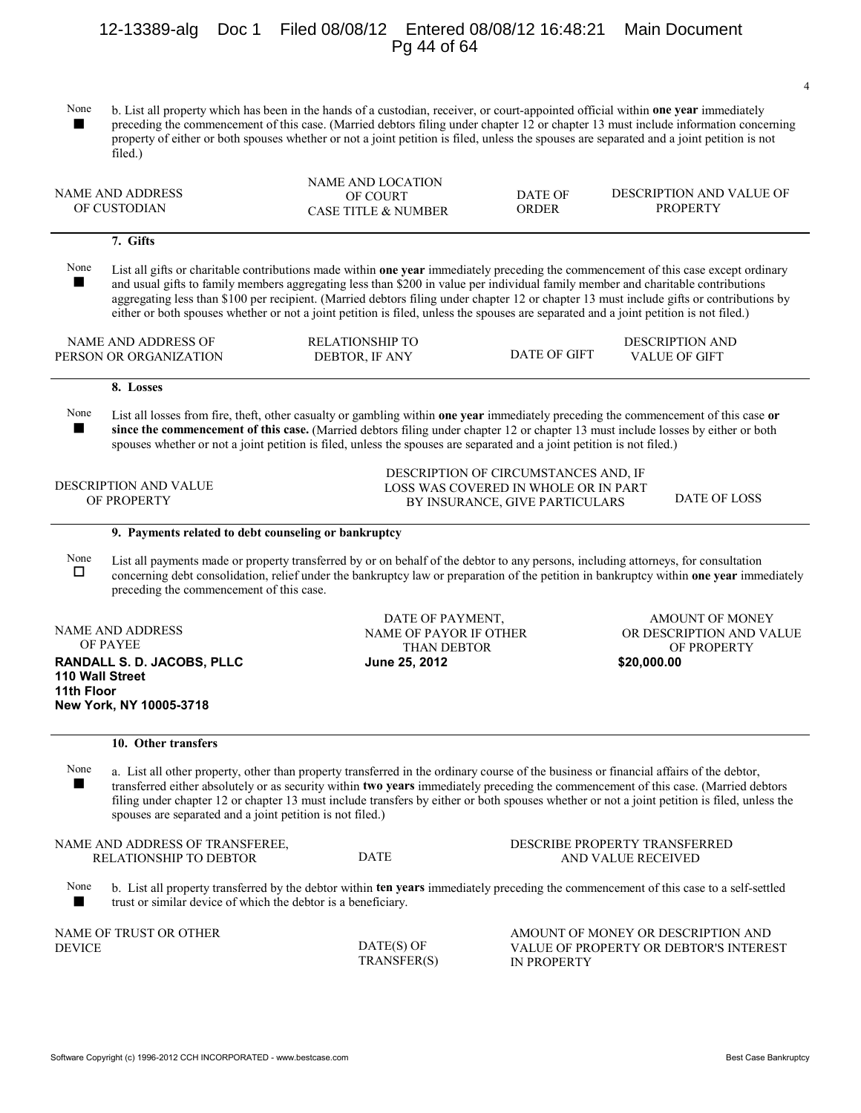### 12-13389-alg Doc 1 Filed 08/08/12 Entered 08/08/12 16:48:21 Main Document Pg 44 of 64

None n

b. List all property which has been in the hands of a custodian, receiver, or court-appointed official within **one year** immediately preceding the commencement of this case. (Married debtors filing under chapter 12 or chapter 13 must include information concerning property of either or both spouses whether or not a joint petition is filed, unless the spouses are separated and a joint petition is not filed.)

| NAME AND ADDRESS<br>OF CUSTODIAN | NAME AND LOCATION<br>OF COURT<br>CASE TITLE & NUMBER | DATE OF<br>ORDER | DESCRIPTION AND VALUE OF<br><b>PROPERTY</b> |
|----------------------------------|------------------------------------------------------|------------------|---------------------------------------------|
| 7. Gifts                         |                                                      |                  |                                             |

None n List all gifts or charitable contributions made within **one year** immediately preceding the commencement of this case except ordinary and usual gifts to family members aggregating less than \$200 in value per individual family member and charitable contributions aggregating less than \$100 per recipient. (Married debtors filing under chapter 12 or chapter 13 must include gifts or contributions by either or both spouses whether or not a joint petition is filed, unless the spouses are separated and a joint petition is not filed.)

| NAME AND ADDRESS OF    | <b>RELATIONSHIP TO</b> |              | <b>DESCRIPTION AND</b> |
|------------------------|------------------------|--------------|------------------------|
| PERSON OR ORGANIZATION | <b>DEBTOR. IF ANY</b>  | DATE OF GIFT | VALUE OF GIFT          |

| None | List all losses from fire, theft, other casualty or gambling within one year immediately preceding the commencement of this case or |
|------|-------------------------------------------------------------------------------------------------------------------------------------|
|      | since the commencement of this case. (Married debtors filing under chapter 12 or chapter 13 must include losses by either or both   |
|      | spouses whether or not a joint petition is filed, unless the spouses are separated and a joint petition is not filed.)              |

| 110 Wall Street<br>11th Floor | New York, NY 10005-3718                              |                                                                                                                                                                                                                                                                               |                          |
|-------------------------------|------------------------------------------------------|-------------------------------------------------------------------------------------------------------------------------------------------------------------------------------------------------------------------------------------------------------------------------------|--------------------------|
|                               | RANDALL S. D. JACOBS, PLLC                           | June 25, 2012                                                                                                                                                                                                                                                                 | \$20,000.00              |
|                               | <b>OF PAYEE</b>                                      | <b>THAN DEBTOR</b>                                                                                                                                                                                                                                                            | OF PROPERTY              |
|                               | <b>NAME AND ADDRESS</b>                              | NAME OF PAYOR IF OTHER                                                                                                                                                                                                                                                        | OR DESCRIPTION AND VALUE |
|                               |                                                      | DATE OF PAYMENT,                                                                                                                                                                                                                                                              | <b>AMOUNT OF MONEY</b>   |
| None<br>□                     | preceding the commencement of this case.             | List all payments made or property transferred by or on behalf of the debtor to any persons, including attorneys, for consultation<br>concerning debt consolidation, relief under the bankruptcy law or preparation of the petition in bankruptcy within one year immediately |                          |
|                               | 9. Payments related to debt counseling or bankruptcy |                                                                                                                                                                                                                                                                               |                          |
|                               | OF PROPERTY                                          | BY INSURANCE, GIVE PARTICULARS                                                                                                                                                                                                                                                | DATE OF LOSS             |
|                               | <b>DESCRIPTION AND VALUE</b>                         | LOSS WAS COVERED IN WHOLE OR IN PART                                                                                                                                                                                                                                          |                          |
|                               |                                                      | DESCRIPTION OF CIRCUMSTANCES AND, IF                                                                                                                                                                                                                                          |                          |

#### **10. Other transfers**

**8. Losses**

None n a. List all other property, other than property transferred in the ordinary course of the business or financial affairs of the debtor, transferred either absolutely or as security within **two years** immediately preceding the commencement of this case. (Married debtors filing under chapter 12 or chapter 13 must include transfers by either or both spouses whether or not a joint petition is filed, unless the spouses are separated and a joint petition is not filed.)

NAME AND ADDRESS OF TRANSFEREE, RELATIONSHIP TO DEBTOR DATE DESCRIBE PROPERTY TRANSFERRED AND VALUE RECEIVED

None n b. List all property transferred by the debtor within **ten years** immediately preceding the commencement of this case to a self-settled trust or similar device of which the debtor is a beneficiary.

NAME OF TRUST OR OTHER DEVICE DATE(S) OF

TRANSFER(S)

AMOUNT OF MONEY OR DESCRIPTION AND VALUE OF PROPERTY OR DEBTOR'S INTEREST IN PROPERTY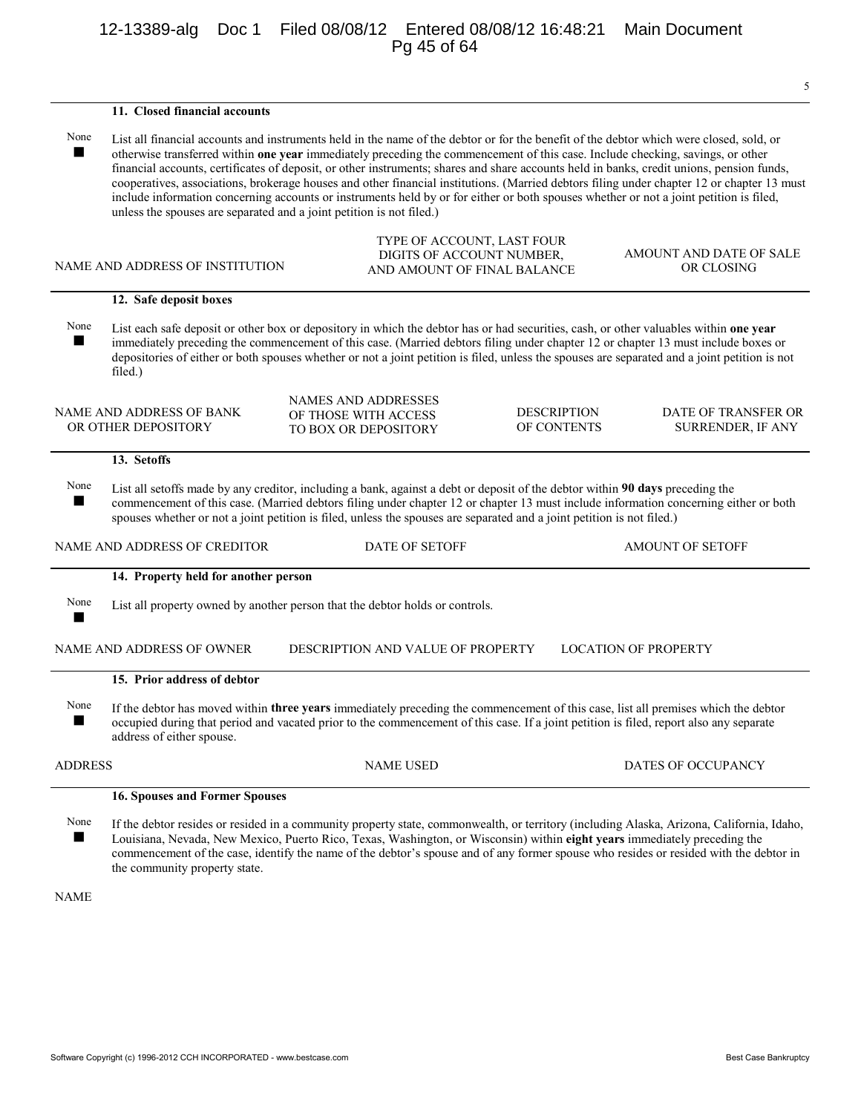|                |                                                 |                                                                                                                                                                                                                                                                                                                                                                                                                                                                                                                                                                                                                                                                                                                                                                                        |                                   | 5                                               |
|----------------|-------------------------------------------------|----------------------------------------------------------------------------------------------------------------------------------------------------------------------------------------------------------------------------------------------------------------------------------------------------------------------------------------------------------------------------------------------------------------------------------------------------------------------------------------------------------------------------------------------------------------------------------------------------------------------------------------------------------------------------------------------------------------------------------------------------------------------------------------|-----------------------------------|-------------------------------------------------|
|                | 11. Closed financial accounts                   |                                                                                                                                                                                                                                                                                                                                                                                                                                                                                                                                                                                                                                                                                                                                                                                        |                                   |                                                 |
| None<br>m      |                                                 | List all financial accounts and instruments held in the name of the debtor or for the benefit of the debtor which were closed, sold, or<br>otherwise transferred within one year immediately preceding the commencement of this case. Include checking, savings, or other<br>financial accounts, certificates of deposit, or other instruments; shares and share accounts held in banks, credit unions, pension funds,<br>cooperatives, associations, brokerage houses and other financial institutions. (Married debtors filing under chapter 12 or chapter 13 must<br>include information concerning accounts or instruments held by or for either or both spouses whether or not a joint petition is filed,<br>unless the spouses are separated and a joint petition is not filed.) |                                   |                                                 |
|                | NAME AND ADDRESS OF INSTITUTION                 | TYPE OF ACCOUNT, LAST FOUR<br>DIGITS OF ACCOUNT NUMBER,<br>AND AMOUNT OF FINAL BALANCE                                                                                                                                                                                                                                                                                                                                                                                                                                                                                                                                                                                                                                                                                                 |                                   | AMOUNT AND DATE OF SALE<br>OR CLOSING           |
|                | 12. Safe deposit boxes                          |                                                                                                                                                                                                                                                                                                                                                                                                                                                                                                                                                                                                                                                                                                                                                                                        |                                   |                                                 |
| None<br>H      | filed.)                                         | List each safe deposit or other box or depository in which the debtor has or had securities, cash, or other valuables within one year<br>immediately preceding the commencement of this case. (Married debtors filing under chapter 12 or chapter 13 must include boxes or<br>depositories of either or both spouses whether or not a joint petition is filed, unless the spouses are separated and a joint petition is not                                                                                                                                                                                                                                                                                                                                                            |                                   |                                                 |
|                | NAME AND ADDRESS OF BANK<br>OR OTHER DEPOSITORY | <b>NAMES AND ADDRESSES</b><br>OF THOSE WITH ACCESS<br>TO BOX OR DEPOSITORY                                                                                                                                                                                                                                                                                                                                                                                                                                                                                                                                                                                                                                                                                                             | <b>DESCRIPTION</b><br>OF CONTENTS | DATE OF TRANSFER OR<br><b>SURRENDER, IF ANY</b> |
|                | 13. Setoffs                                     |                                                                                                                                                                                                                                                                                                                                                                                                                                                                                                                                                                                                                                                                                                                                                                                        |                                   |                                                 |
| None<br>H      |                                                 | List all setoffs made by any creditor, including a bank, against a debt or deposit of the debtor within 90 days preceding the<br>commencement of this case. (Married debtors filing under chapter 12 or chapter 13 must include information concerning either or both<br>spouses whether or not a joint petition is filed, unless the spouses are separated and a joint petition is not filed.)                                                                                                                                                                                                                                                                                                                                                                                        |                                   |                                                 |
|                | NAME AND ADDRESS OF CREDITOR                    | DATE OF SETOFF                                                                                                                                                                                                                                                                                                                                                                                                                                                                                                                                                                                                                                                                                                                                                                         |                                   | <b>AMOUNT OF SETOFF</b>                         |
|                | 14. Property held for another person            |                                                                                                                                                                                                                                                                                                                                                                                                                                                                                                                                                                                                                                                                                                                                                                                        |                                   |                                                 |
| None           |                                                 | List all property owned by another person that the debtor holds or controls.                                                                                                                                                                                                                                                                                                                                                                                                                                                                                                                                                                                                                                                                                                           |                                   |                                                 |
|                | NAME AND ADDRESS OF OWNER                       | DESCRIPTION AND VALUE OF PROPERTY                                                                                                                                                                                                                                                                                                                                                                                                                                                                                                                                                                                                                                                                                                                                                      |                                   | <b>LOCATION OF PROPERTY</b>                     |
|                | 15. Prior address of debtor                     |                                                                                                                                                                                                                                                                                                                                                                                                                                                                                                                                                                                                                                                                                                                                                                                        |                                   |                                                 |
| None<br>ш      | address of either spouse.                       | If the debtor has moved within three years immediately preceding the commencement of this case, list all premises which the debtor<br>occupied during that period and vacated prior to the commencement of this case. If a joint petition is filed, report also any separate                                                                                                                                                                                                                                                                                                                                                                                                                                                                                                           |                                   |                                                 |
| <b>ADDRESS</b> |                                                 | <b>NAME USED</b>                                                                                                                                                                                                                                                                                                                                                                                                                                                                                                                                                                                                                                                                                                                                                                       |                                   | DATES OF OCCUPANCY                              |
|                | <b>16. Spouses and Former Spouses</b>           |                                                                                                                                                                                                                                                                                                                                                                                                                                                                                                                                                                                                                                                                                                                                                                                        |                                   |                                                 |
| None<br>■      | the community property state.                   | If the debtor resides or resided in a community property state, commonwealth, or territory (including Alaska, Arizona, California, Idaho,<br>Louisiana, Nevada, New Mexico, Puerto Rico, Texas, Washington, or Wisconsin) within eight years immediately preceding the<br>commencement of the case, identify the name of the debtor's spouse and of any former spouse who resides or resided with the debtor in                                                                                                                                                                                                                                                                                                                                                                        |                                   |                                                 |
| NAME           |                                                 |                                                                                                                                                                                                                                                                                                                                                                                                                                                                                                                                                                                                                                                                                                                                                                                        |                                   |                                                 |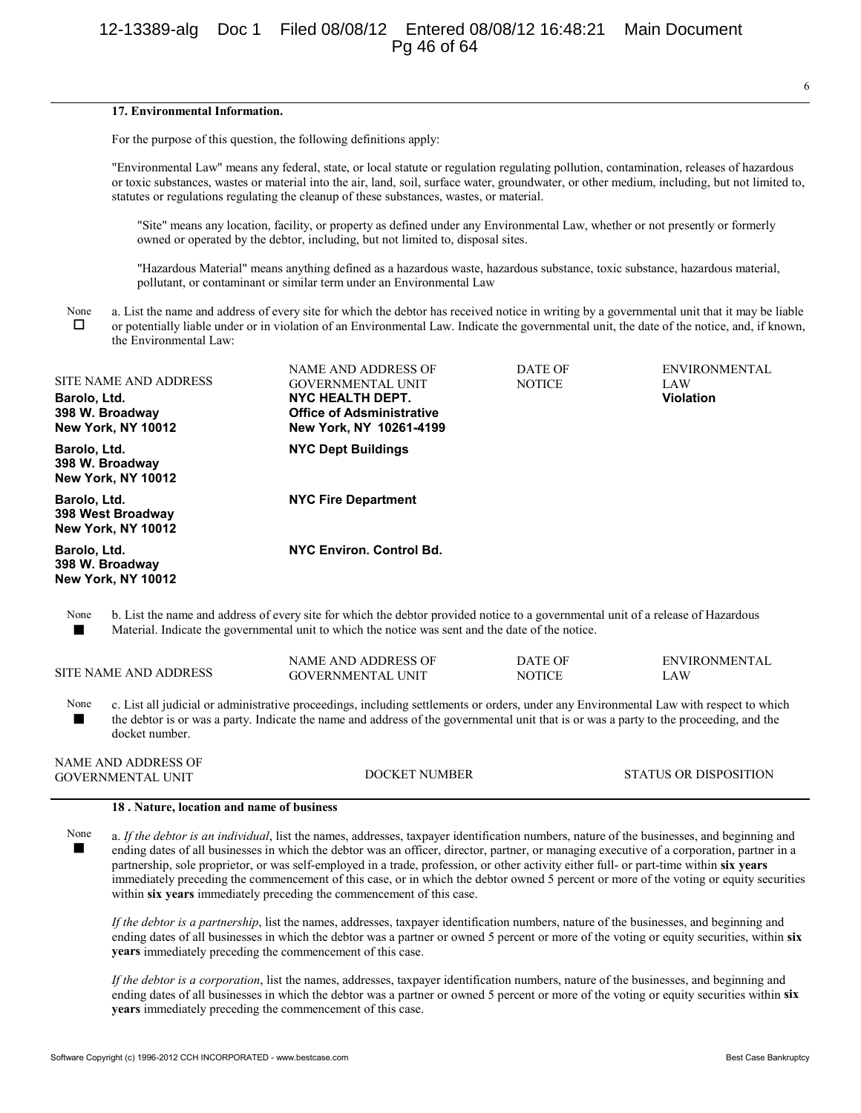#### **17. Environmental Information.**

For the purpose of this question, the following definitions apply:

"Environmental Law" means any federal, state, or local statute or regulation regulating pollution, contamination, releases of hazardous or toxic substances, wastes or material into the air, land, soil, surface water, groundwater, or other medium, including, but not limited to, statutes or regulations regulating the cleanup of these substances, wastes, or material.

"Site" means any location, facility, or property as defined under any Environmental Law, whether or not presently or formerly owned or operated by the debtor, including, but not limited to, disposal sites.

"Hazardous Material" means anything defined as a hazardous waste, hazardous substance, toxic substance, hazardous material, pollutant, or contaminant or similar term under an Environmental Law

None o a. List the name and address of every site for which the debtor has received notice in writing by a governmental unit that it may be liable or potentially liable under or in violation of an Environmental Law. Indicate the governmental unit, the date of the notice, and, if known, the Environmental Law:

| <b>SITE NAME AND ADDRESS</b><br>Barolo, Ltd.<br>398 W. Broadway<br><b>New York, NY 10012</b> | <b>NAME AND ADDRESS OF</b><br><b>GOVERNMENTAL UNIT</b><br><b>NYC HEALTH DEPT.</b><br><b>Office of Adsministrative</b><br>New York, NY 10261-4199                                                                                                                                 | DATE OF<br><b>NOTICE</b> | <b>ENVIRONMENTAL</b><br>LAW<br><b>Violation</b> |
|----------------------------------------------------------------------------------------------|----------------------------------------------------------------------------------------------------------------------------------------------------------------------------------------------------------------------------------------------------------------------------------|--------------------------|-------------------------------------------------|
| Barolo, Ltd.<br>398 W. Broadway<br>New York, NY 10012                                        | <b>NYC Dept Buildings</b>                                                                                                                                                                                                                                                        |                          |                                                 |
| Barolo, Ltd.<br>398 West Broadway<br>New York, NY 10012                                      | <b>NYC Fire Department</b>                                                                                                                                                                                                                                                       |                          |                                                 |
| Barolo, Ltd.<br>398 W. Broadway<br>New York, NY 10012                                        | NYC Environ. Control Bd.                                                                                                                                                                                                                                                         |                          |                                                 |
| None                                                                                         | b. List the name and address of every site for which the debtor provided notice to a governmental unit of a release of Hazardous<br>Material. Indicate the governmental unit to which the notice was sent and the date of the notice.                                            |                          |                                                 |
| <b>SITE NAME AND ADDRESS</b>                                                                 | <b>NAME AND ADDRESS OF</b><br><b>GOVERNMENTAL UNIT</b>                                                                                                                                                                                                                           | DATE OF<br><b>NOTICE</b> | <b>ENVIRONMENTAL</b><br><b>LAW</b>              |
| None<br>ш<br>docket number.                                                                  | c. List all judicial or administrative proceedings, including settlements or orders, under any Environmental Law with respect to which<br>the debtor is or was a party. Indicate the name and address of the governmental unit that is or was a party to the proceeding, and the |                          |                                                 |

NAME AND ADDRESS OF<br>GOVERNMENTAL UNIT

DOCKET NUMBER STATUS OR DISPOSITION

#### **18 . Nature, location and name of business**

None n a. *If the debtor is an individual*, list the names, addresses, taxpayer identification numbers, nature of the businesses, and beginning and ending dates of all businesses in which the debtor was an officer, director, partner, or managing executive of a corporation, partner in a partnership, sole proprietor, or was self-employed in a trade, profession, or other activity either full- or part-time within **six years** immediately preceding the commencement of this case, or in which the debtor owned 5 percent or more of the voting or equity securities within **six years** immediately preceding the commencement of this case.

*If the debtor is a partnership*, list the names, addresses, taxpayer identification numbers, nature of the businesses, and beginning and ending dates of all businesses in which the debtor was a partner or owned 5 percent or more of the voting or equity securities, within **six years** immediately preceding the commencement of this case.

*If the debtor is a corporation*, list the names, addresses, taxpayer identification numbers, nature of the businesses, and beginning and ending dates of all businesses in which the debtor was a partner or owned 5 percent or more of the voting or equity securities within **six years** immediately preceding the commencement of this case.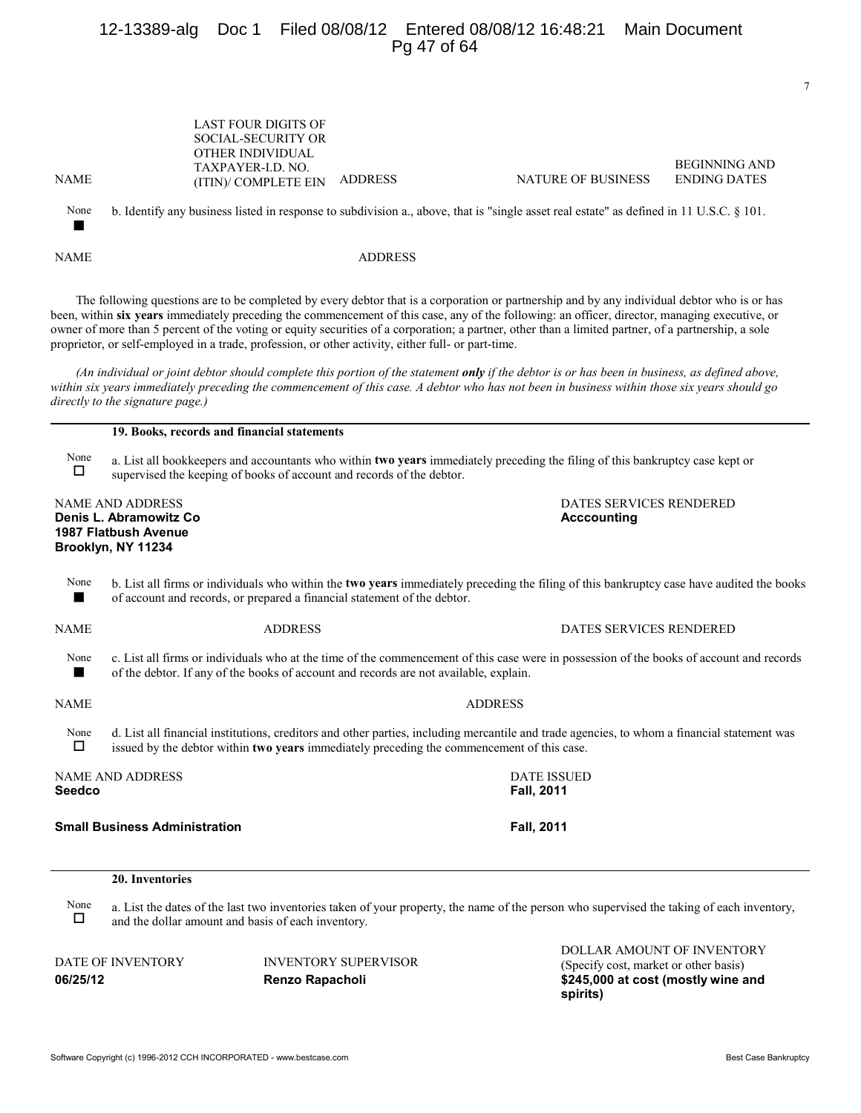### 12-13389-alg Doc 1 Filed 08/08/12 Entered 08/08/12 16:48:21 Main Document Pg 47 of 64

LAST FOUR DIGITS OF SOCIAL-SECURITY OR OTHER INDIVIDUAL

7

BEGINNING AND

| <b>NAME</b>    |                                                                                                        | TAXPAYER-I.D. NO.<br>(ITIN)/ COMPLETE EIN | <b>ADDRESS</b>                                                                        | <b>NATURE OF BUSINESS</b>                                                                                                                                                                                                                                                                                                                                                                                                                            | <b>BEGINNING AND</b><br><b>ENDING DATES</b> |
|----------------|--------------------------------------------------------------------------------------------------------|-------------------------------------------|---------------------------------------------------------------------------------------|------------------------------------------------------------------------------------------------------------------------------------------------------------------------------------------------------------------------------------------------------------------------------------------------------------------------------------------------------------------------------------------------------------------------------------------------------|---------------------------------------------|
| None<br>■      |                                                                                                        |                                           |                                                                                       | b. Identify any business listed in response to subdivision a., above, that is "single asset real estate" as defined in 11 U.S.C. § 101.                                                                                                                                                                                                                                                                                                              |                                             |
| <b>NAME</b>    |                                                                                                        |                                           | <b>ADDRESS</b>                                                                        |                                                                                                                                                                                                                                                                                                                                                                                                                                                      |                                             |
|                | proprietor, or self-employed in a trade, profession, or other activity, either full- or part-time.     |                                           |                                                                                       | The following questions are to be completed by every debtor that is a corporation or partnership and by any individual debtor who is or has<br>been, within six years immediately preceding the commencement of this case, any of the following: an officer, director, managing executive, or<br>owner of more than 5 percent of the voting or equity securities of a corporation; a partner, other than a limited partner, of a partnership, a sole |                                             |
|                | directly to the signature page.)                                                                       |                                           |                                                                                       | (An individual or joint debtor should complete this portion of the statement only if the debtor is or has been in business, as defined above,<br>within six years immediately preceding the commencement of this case. A debtor who has not been in business within those six years should go                                                                                                                                                        |                                             |
|                | 19. Books, records and financial statements                                                            |                                           |                                                                                       |                                                                                                                                                                                                                                                                                                                                                                                                                                                      |                                             |
| None<br>$\Box$ |                                                                                                        |                                           | supervised the keeping of books of account and records of the debtor.                 | a. List all bookkeepers and accountants who within two years immediately preceding the filing of this bankruptcy case kept or                                                                                                                                                                                                                                                                                                                        |                                             |
|                | <b>NAME AND ADDRESS</b><br>Denis L. Abramowitz Co<br><b>1987 Flatbush Avenue</b><br>Brooklyn, NY 11234 |                                           |                                                                                       | DATES SERVICES RENDERED<br><b>Acccounting</b>                                                                                                                                                                                                                                                                                                                                                                                                        |                                             |
| None<br>ш      |                                                                                                        |                                           | of account and records, or prepared a financial statement of the debtor.              | b. List all firms or individuals who within the two years immediately preceding the filing of this bankruptcy case have audited the books                                                                                                                                                                                                                                                                                                            |                                             |
| <b>NAME</b>    |                                                                                                        | <b>ADDRESS</b>                            |                                                                                       | DATES SERVICES RENDERED                                                                                                                                                                                                                                                                                                                                                                                                                              |                                             |
| None<br>ш      |                                                                                                        |                                           | of the debtor. If any of the books of account and records are not available, explain. | c. List all firms or individuals who at the time of the commencement of this case were in possession of the books of account and records                                                                                                                                                                                                                                                                                                             |                                             |
| <b>NAME</b>    |                                                                                                        |                                           |                                                                                       | <b>ADDRESS</b>                                                                                                                                                                                                                                                                                                                                                                                                                                       |                                             |
| None<br>$\Box$ |                                                                                                        |                                           |                                                                                       | d. List all financial institutions, creditors and other parties, including mercantile and trade agencies, to whom a financial statement was<br>issued by the debtor within two years immediately preceding the commencement of this case.                                                                                                                                                                                                            |                                             |
| <b>Seedco</b>  | <b>NAME AND ADDRESS</b>                                                                                |                                           |                                                                                       | DATE ISSUED<br>Fall, 2011                                                                                                                                                                                                                                                                                                                                                                                                                            |                                             |
|                | <b>Small Business Administration</b>                                                                   |                                           |                                                                                       | <b>Fall, 2011</b>                                                                                                                                                                                                                                                                                                                                                                                                                                    |                                             |
|                | 20. Inventories                                                                                        |                                           |                                                                                       |                                                                                                                                                                                                                                                                                                                                                                                                                                                      |                                             |
| None<br>$\Box$ | and the dollar amount and basis of each inventory.                                                     |                                           |                                                                                       | a. List the dates of the last two inventories taken of your property, the name of the person who supervised the taking of each inventory,                                                                                                                                                                                                                                                                                                            |                                             |
|                | DATE OF INVENTORY                                                                                      |                                           | <b>INVENTORY SUPERVISOR</b>                                                           | (Specify cost, market or other basis)                                                                                                                                                                                                                                                                                                                                                                                                                | DOLLAR AMOUNT OF INVENTORY                  |

**06/25/12 Renzo Rapacholi \$245,000 at cost (mostly wine and**

**spirits)**

Software Copyright (c) 1996-2012 CCH INCORPORATED - www.bestcase.com **Best Case Bankruptcy** Best Case Bankruptcy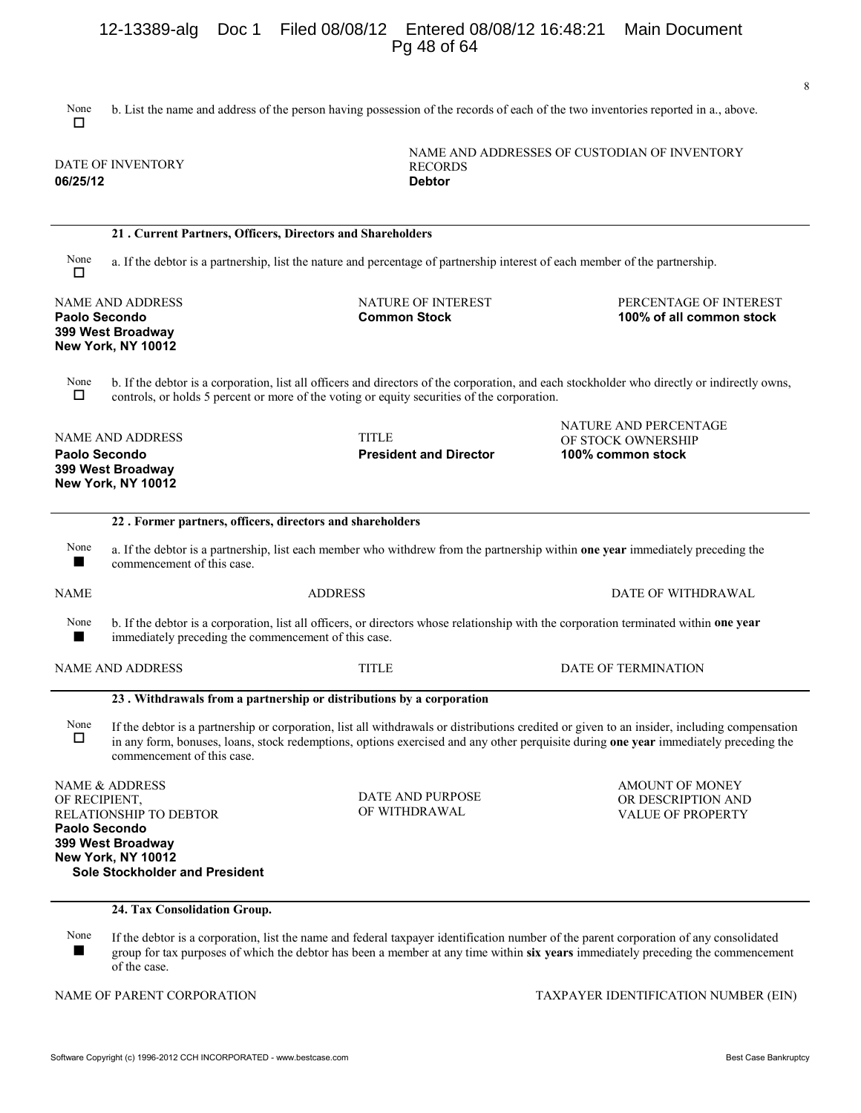|  | 12-13389-alg Doc 1 Filed 08/08/12 Entered 08/08/12 16:48:21 Main Document |  |
|--|---------------------------------------------------------------------------|--|
|  | Pg 48 of 64                                                               |  |

|                                |                                                                                                                                                                                                                                                                                                                    |                                                                                                                              | 8                                                                                                                                            |  |  |  |  |
|--------------------------------|--------------------------------------------------------------------------------------------------------------------------------------------------------------------------------------------------------------------------------------------------------------------------------------------------------------------|------------------------------------------------------------------------------------------------------------------------------|----------------------------------------------------------------------------------------------------------------------------------------------|--|--|--|--|
| None<br>□                      |                                                                                                                                                                                                                                                                                                                    |                                                                                                                              | b. List the name and address of the person having possession of the records of each of the two inventories reported in a., above.            |  |  |  |  |
| 06/25/12                       | DATE OF INVENTORY                                                                                                                                                                                                                                                                                                  | <b>RECORDS</b><br><b>Debtor</b>                                                                                              | NAME AND ADDRESSES OF CUSTODIAN OF INVENTORY                                                                                                 |  |  |  |  |
|                                |                                                                                                                                                                                                                                                                                                                    |                                                                                                                              |                                                                                                                                              |  |  |  |  |
|                                | 21. Current Partners, Officers, Directors and Shareholders                                                                                                                                                                                                                                                         |                                                                                                                              |                                                                                                                                              |  |  |  |  |
| None<br>□                      |                                                                                                                                                                                                                                                                                                                    | a. If the debtor is a partnership, list the nature and percentage of partnership interest of each member of the partnership. |                                                                                                                                              |  |  |  |  |
| Paolo Secondo                  | <b>NAME AND ADDRESS</b><br>399 West Broadway<br>New York, NY 10012                                                                                                                                                                                                                                                 | NATURE OF INTEREST<br><b>Common Stock</b>                                                                                    | PERCENTAGE OF INTEREST<br>100% of all common stock                                                                                           |  |  |  |  |
| None<br>□                      |                                                                                                                                                                                                                                                                                                                    | controls, or holds 5 percent or more of the voting or equity securities of the corporation.                                  | b. If the debtor is a corporation, list all officers and directors of the corporation, and each stockholder who directly or indirectly owns, |  |  |  |  |
|                                |                                                                                                                                                                                                                                                                                                                    |                                                                                                                              | NATURE AND PERCENTAGE                                                                                                                        |  |  |  |  |
|                                | <b>NAME AND ADDRESS</b>                                                                                                                                                                                                                                                                                            | <b>TITLE</b>                                                                                                                 | OF STOCK OWNERSHIP                                                                                                                           |  |  |  |  |
| Paolo Secondo                  | 399 West Broadway                                                                                                                                                                                                                                                                                                  | <b>President and Director</b>                                                                                                | 100% common stock                                                                                                                            |  |  |  |  |
|                                | New York, NY 10012                                                                                                                                                                                                                                                                                                 |                                                                                                                              |                                                                                                                                              |  |  |  |  |
|                                |                                                                                                                                                                                                                                                                                                                    |                                                                                                                              |                                                                                                                                              |  |  |  |  |
|                                | 22. Former partners, officers, directors and shareholders                                                                                                                                                                                                                                                          |                                                                                                                              |                                                                                                                                              |  |  |  |  |
| None<br>■                      | commencement of this case.                                                                                                                                                                                                                                                                                         |                                                                                                                              | a. If the debtor is a partnership, list each member who withdrew from the partnership within one year immediately preceding the              |  |  |  |  |
| <b>NAME</b>                    |                                                                                                                                                                                                                                                                                                                    | <b>ADDRESS</b>                                                                                                               | DATE OF WITHDRAWAL                                                                                                                           |  |  |  |  |
| None<br>ш                      | immediately preceding the commencement of this case.                                                                                                                                                                                                                                                               |                                                                                                                              | b. If the debtor is a corporation, list all officers, or directors whose relationship with the corporation terminated within one year        |  |  |  |  |
|                                | <b>NAME AND ADDRESS</b>                                                                                                                                                                                                                                                                                            | <b>TITLE</b>                                                                                                                 | DATE OF TERMINATION                                                                                                                          |  |  |  |  |
|                                |                                                                                                                                                                                                                                                                                                                    | 23. Withdrawals from a partnership or distributions by a corporation                                                         |                                                                                                                                              |  |  |  |  |
| None<br>□                      | If the debtor is a partnership or corporation, list all withdrawals or distributions credited or given to an insider, including compensation<br>in any form, bonuses, loans, stock redemptions, options exercised and any other perquisite during one year immediately preceding the<br>commencement of this case. |                                                                                                                              |                                                                                                                                              |  |  |  |  |
| OF RECIPIENT,<br>Paolo Secondo | <b>NAME &amp; ADDRESS</b><br>RELATIONSHIP TO DEBTOR<br>399 West Broadway<br>New York, NY 10012<br><b>Sole Stockholder and President</b>                                                                                                                                                                            | DATE AND PURPOSE<br>OF WITHDRAWAL                                                                                            | <b>AMOUNT OF MONEY</b><br>OR DESCRIPTION AND<br><b>VALUE OF PROPERTY</b>                                                                     |  |  |  |  |
|                                | 24. Tax Consolidation Group.                                                                                                                                                                                                                                                                                       |                                                                                                                              |                                                                                                                                              |  |  |  |  |

None n If the debtor is a corporation, list the name and federal taxpayer identification number of the parent corporation of any consolidated group for tax purposes of which the debtor has been a member at any time within **six years** immediately preceding the commencement of the case.

NAME OF PARENT CORPORATION TAXPAYER IDENTIFICATION NUMBER (EIN)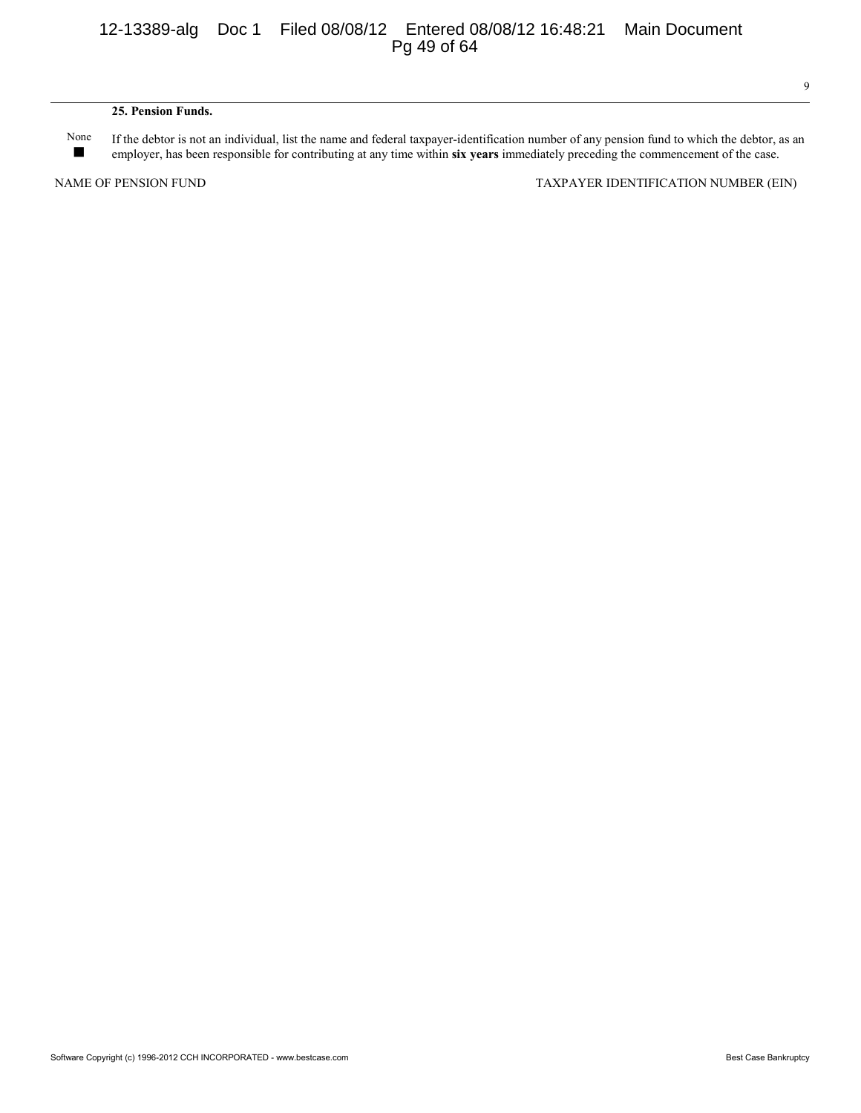### 12-13389-alg Doc 1 Filed 08/08/12 Entered 08/08/12 16:48:21 Main Document Pg 49 of 64

#### **25. Pension Funds.**

None n If the debtor is not an individual, list the name and federal taxpayer-identification number of any pension fund to which the debtor, as an employer, has been responsible for contributing at any time within **six years** immediately preceding the commencement of the case.

NAME OF PENSION FUND TAXPAYER IDENTIFICATION NUMBER (EIN)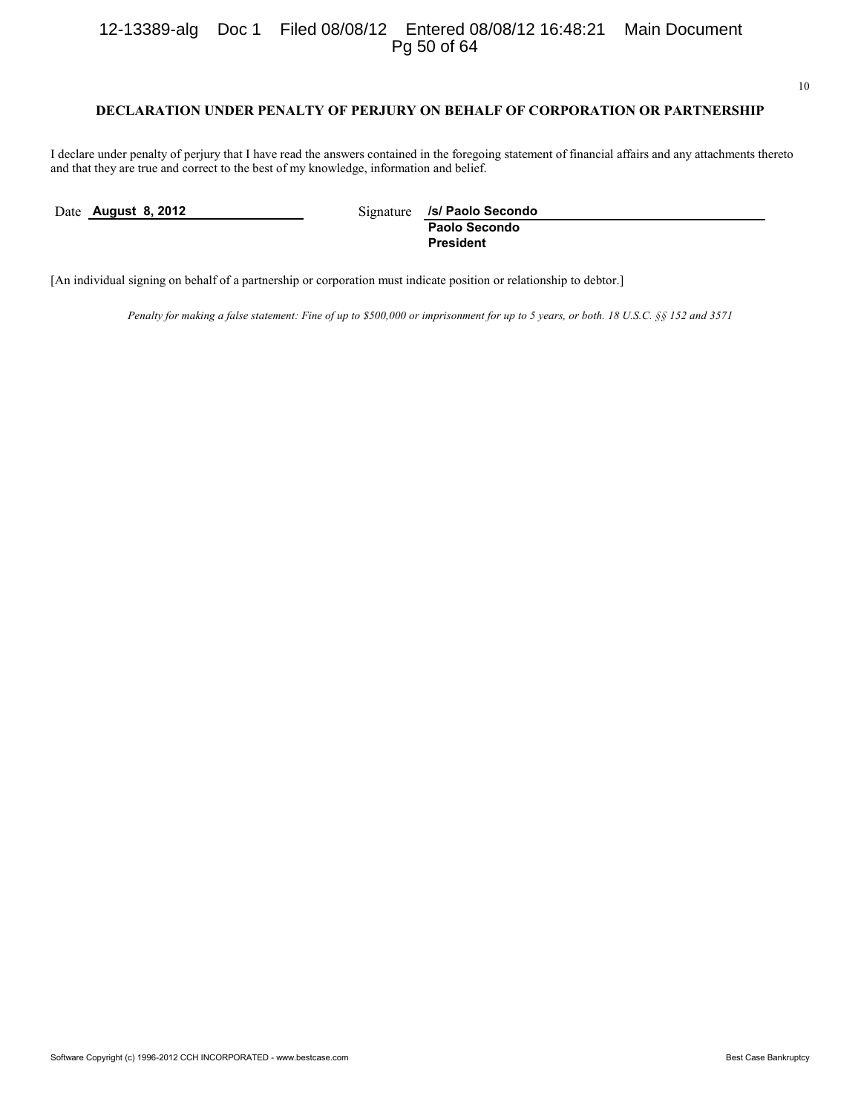### 12-13389-alg Doc 1 Filed 08/08/12 Entered 08/08/12 16:48:21 Main Document Pg 50 of 64

#### **DECLARATION UNDER PENALTY OF PERJURY ON BEHALF OF CORPORATION OR PARTNERSHIP**

I declare under penalty of perjury that I have read the answers contained in the foregoing statement of financial affairs and any attachments thereto and that they are true and correct to the best of my knowledge, information and belief.

Date **August 8, 2012** Signature **/s/ Paolo Secondo** 

**Paolo Secondo**

**President**

[An individual signing on behalf of a partnership or corporation must indicate position or relationship to debtor.]

*Penalty for making a false statement: Fine of up to \$500,000 or imprisonment for up to 5 years, or both. 18 U.S.C. §§ 152 and 3571*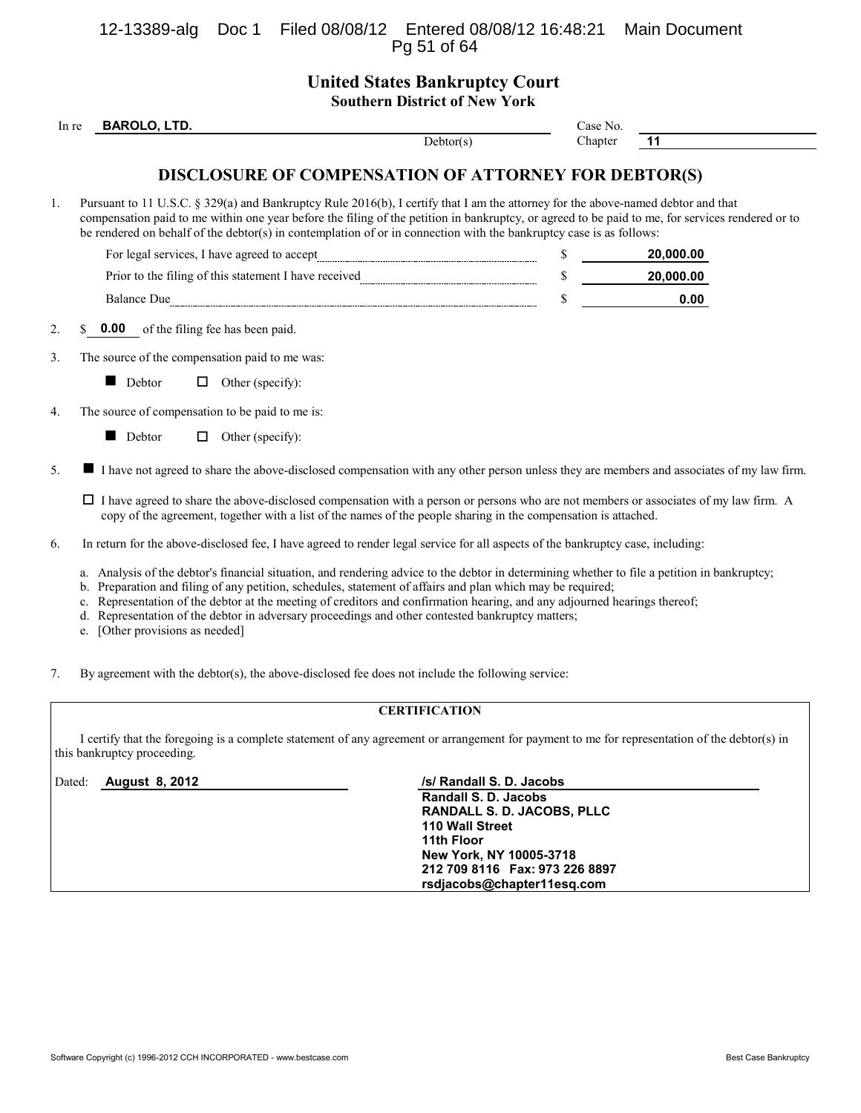|       | 12-13389-alg                                                                                                                    | Doc 1                   |  | Filed 08/08/12    Entered 08/08/12    16:48:21<br>Pg 51 of 64                                                                                                                                                                                                                                                                                                                                                                                                                               |          | <b>Main Document</b>                                                                                                                             |
|-------|---------------------------------------------------------------------------------------------------------------------------------|-------------------------|--|---------------------------------------------------------------------------------------------------------------------------------------------------------------------------------------------------------------------------------------------------------------------------------------------------------------------------------------------------------------------------------------------------------------------------------------------------------------------------------------------|----------|--------------------------------------------------------------------------------------------------------------------------------------------------|
|       |                                                                                                                                 |                         |  | <b>United States Bankruptcy Court</b><br><b>Southern District of New York</b>                                                                                                                                                                                                                                                                                                                                                                                                               |          |                                                                                                                                                  |
| In re | <b>BAROLO, LTD.</b>                                                                                                             |                         |  |                                                                                                                                                                                                                                                                                                                                                                                                                                                                                             | Case No. |                                                                                                                                                  |
|       |                                                                                                                                 |                         |  | Dektor(s)                                                                                                                                                                                                                                                                                                                                                                                                                                                                                   | Chapter  | 11                                                                                                                                               |
|       |                                                                                                                                 |                         |  | DISCLOSURE OF COMPENSATION OF ATTORNEY FOR DEBTOR(S)                                                                                                                                                                                                                                                                                                                                                                                                                                        |          |                                                                                                                                                  |
| 1.    |                                                                                                                                 |                         |  | Pursuant to 11 U.S.C. § 329(a) and Bankruptcy Rule 2016(b), I certify that I am the attorney for the above-named debtor and that<br>be rendered on behalf of the debtor(s) in contemplation of or in connection with the bankruptcy case is as follows:                                                                                                                                                                                                                                     |          | compensation paid to me within one year before the filing of the petition in bankruptcy, or agreed to be paid to me, for services rendered or to |
|       | For legal services, I have agreed to accept                                                                                     |                         |  |                                                                                                                                                                                                                                                                                                                                                                                                                                                                                             | \$       | 20,000.00                                                                                                                                        |
|       |                                                                                                                                 |                         |  |                                                                                                                                                                                                                                                                                                                                                                                                                                                                                             |          | 20,000.00                                                                                                                                        |
|       |                                                                                                                                 |                         |  | Balance Due                                                                                                                                                                                                                                                                                                                                                                                                                                                                                 |          | 0.00                                                                                                                                             |
| 2.    | <b>0.00</b> of the filing fee has been paid.<br>\$                                                                              |                         |  |                                                                                                                                                                                                                                                                                                                                                                                                                                                                                             |          |                                                                                                                                                  |
| 3.    |                                                                                                                                 |                         |  |                                                                                                                                                                                                                                                                                                                                                                                                                                                                                             |          |                                                                                                                                                  |
|       | The source of the compensation paid to me was:                                                                                  |                         |  |                                                                                                                                                                                                                                                                                                                                                                                                                                                                                             |          |                                                                                                                                                  |
|       | Debtor                                                                                                                          | $\Box$ Other (specify): |  |                                                                                                                                                                                                                                                                                                                                                                                                                                                                                             |          |                                                                                                                                                  |
| 4.    | The source of compensation to be paid to me is:                                                                                 |                         |  |                                                                                                                                                                                                                                                                                                                                                                                                                                                                                             |          |                                                                                                                                                  |
|       | Debtor<br>■                                                                                                                     | $\Box$ Other (specify): |  |                                                                                                                                                                                                                                                                                                                                                                                                                                                                                             |          |                                                                                                                                                  |
| 5.    |                                                                                                                                 |                         |  |                                                                                                                                                                                                                                                                                                                                                                                                                                                                                             |          | I have not agreed to share the above-disclosed compensation with any other person unless they are members and associates of my law firm.         |
|       |                                                                                                                                 |                         |  | copy of the agreement, together with a list of the names of the people sharing in the compensation is attached.                                                                                                                                                                                                                                                                                                                                                                             |          | $\Box$ I have agreed to share the above-disclosed compensation with a person or persons who are not members or associates of my law firm. A      |
| 6.    | In return for the above-disclosed fee, I have agreed to render legal service for all aspects of the bankruptcy case, including: |                         |  |                                                                                                                                                                                                                                                                                                                                                                                                                                                                                             |          |                                                                                                                                                  |
|       | e. [Other provisions as needed]                                                                                                 |                         |  | a. Analysis of the debtor's financial situation, and rendering advice to the debtor in determining whether to file a petition in bankruptcy;<br>b. Preparation and filing of any petition, schedules, statement of affairs and plan which may be required;<br>c. Representation of the debtor at the meeting of creditors and confirmation hearing, and any adjourned hearings thereof;<br>d. Representation of the debtor in adversary proceedings and other contested bankruptcy matters; |          |                                                                                                                                                  |
| 7.    |                                                                                                                                 |                         |  | By agreement with the debtor(s), the above-disclosed fee does not include the following service:                                                                                                                                                                                                                                                                                                                                                                                            |          |                                                                                                                                                  |
|       |                                                                                                                                 |                         |  | <b>CERTIFICATION</b>                                                                                                                                                                                                                                                                                                                                                                                                                                                                        |          |                                                                                                                                                  |

I certify that the foregoing is a complete statement of any agreement or arrangement for payment to me for representation of the debtor(s) in this bankruptcy proceeding.

| Dated: | <b>August 8, 2012</b> | /s/ Randall S. D. Jacobs        |
|--------|-----------------------|---------------------------------|
|        |                       | Randall S. D. Jacobs            |
|        |                       | RANDALL S. D. JACOBS, PLLC      |
|        |                       | 110 Wall Street                 |
|        |                       | 11th Floor                      |
|        |                       | New York, NY 10005-3718         |
|        |                       | 212 709 8116  Fax: 973 226 8897 |
|        |                       | rsdiacobs@chapter11esq.com      |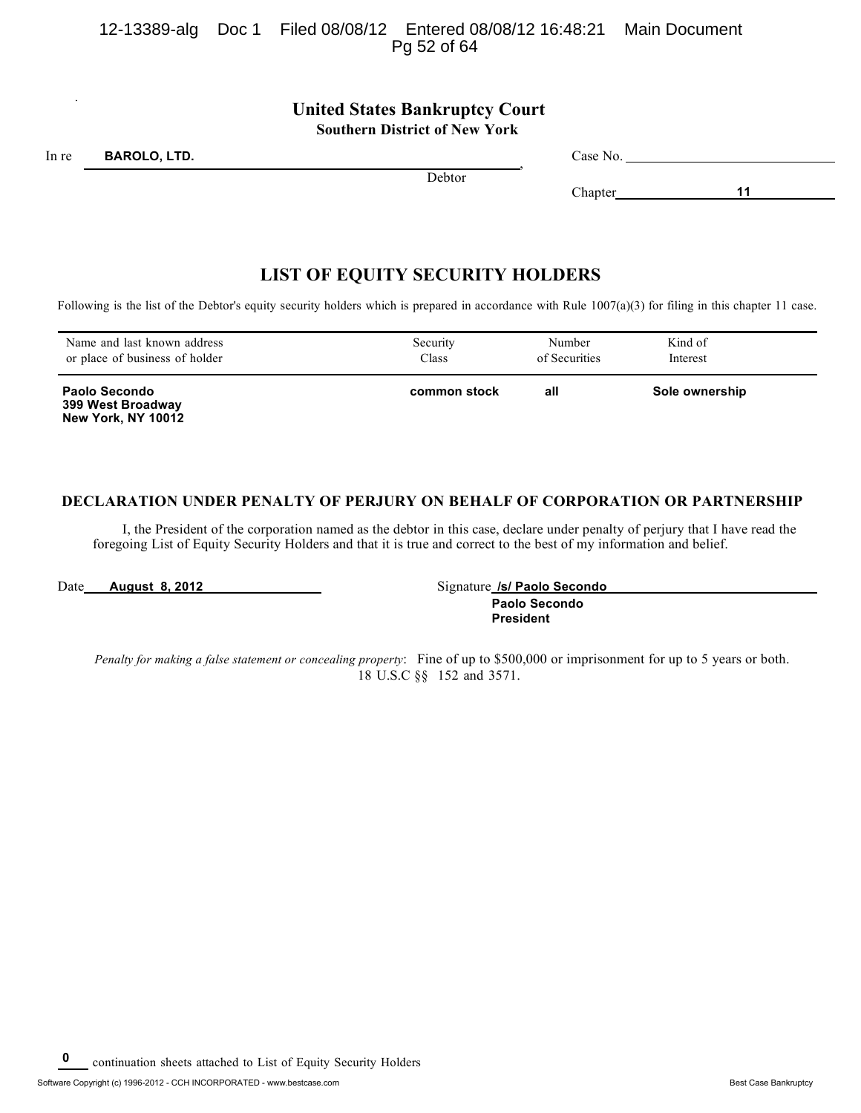Software Copyright (c) 1996-2012 - CCH INCORPORATED - www.bestcase.com **Best Case Bankruptcy** Best Case Bankruptcy

## 12-13389-alg Doc 1 Filed 08/08/12 Entered 08/08/12 16:48:21 Main Document Pg 52 of 64

# **United States Bankruptcy Court Southern District of New York**

In re **BAROLO, LTD.**

Debtor

Chapter **11** 

Case No.

# **LIST OF EQUITY SECURITY HOLDERS**

Following is the list of the Debtor's equity security holders which is prepared in accordance with Rule 1007(a)(3) for filing in this chapter 11 case.

| Name and last known address                                     | Security     | Number        | Kind of        |
|-----------------------------------------------------------------|--------------|---------------|----------------|
| or place of business of holder                                  | Class        | of Securities | Interest       |
| <b>Paolo Secondo</b><br>399 West Broadway<br>New York, NY 10012 | common stock | all           | Sole ownership |

# **DECLARATION UNDER PENALTY OF PERJURY ON BEHALF OF CORPORATION OR PARTNERSHIP**

I, the President of the corporation named as the debtor in this case, declare under penalty of perjury that I have read the foregoing List of Equity Security Holders and that it is true and correct to the best of my information and belief.

Date **August 8, 2012** Signature *Isl* Paolo Secondo **Paolo Secondo President**

*Penalty for making a false statement or concealing property*: Fine of up to \$500,000 or imprisonment for up to 5 years or both. 18 U.S.C §§ 152 and 3571.

,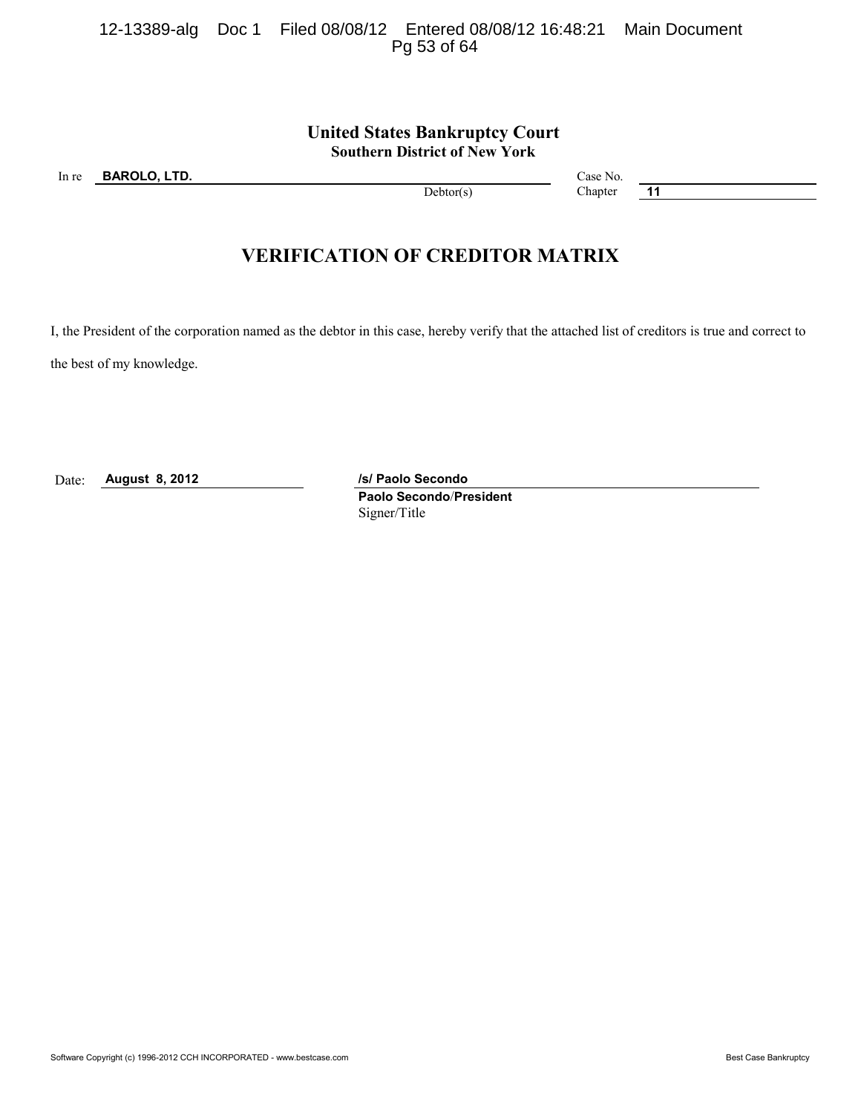# **United States Bankruptcy Court Southern District of New York**

In re **BAROLO, LTD.** Case No. 2008. The case No. 2008. The case No. 2008. The case No. 2008. The case No. 2008. The case No. 2008. The case No. 2008. The case No. 2008. The case No. 2008. The case No. 2008. The case No. 20

# **VERIFICATION OF CREDITOR MATRIX**

I, the President of the corporation named as the debtor in this case, hereby verify that the attached list of creditors is true and correct to

the best of my knowledge.

Date: **August 8, 2012 /s/ Paolo Secondo** 

**Paolo Secondo**/**President** Signer/Title

Debtor(s) Chapter **11**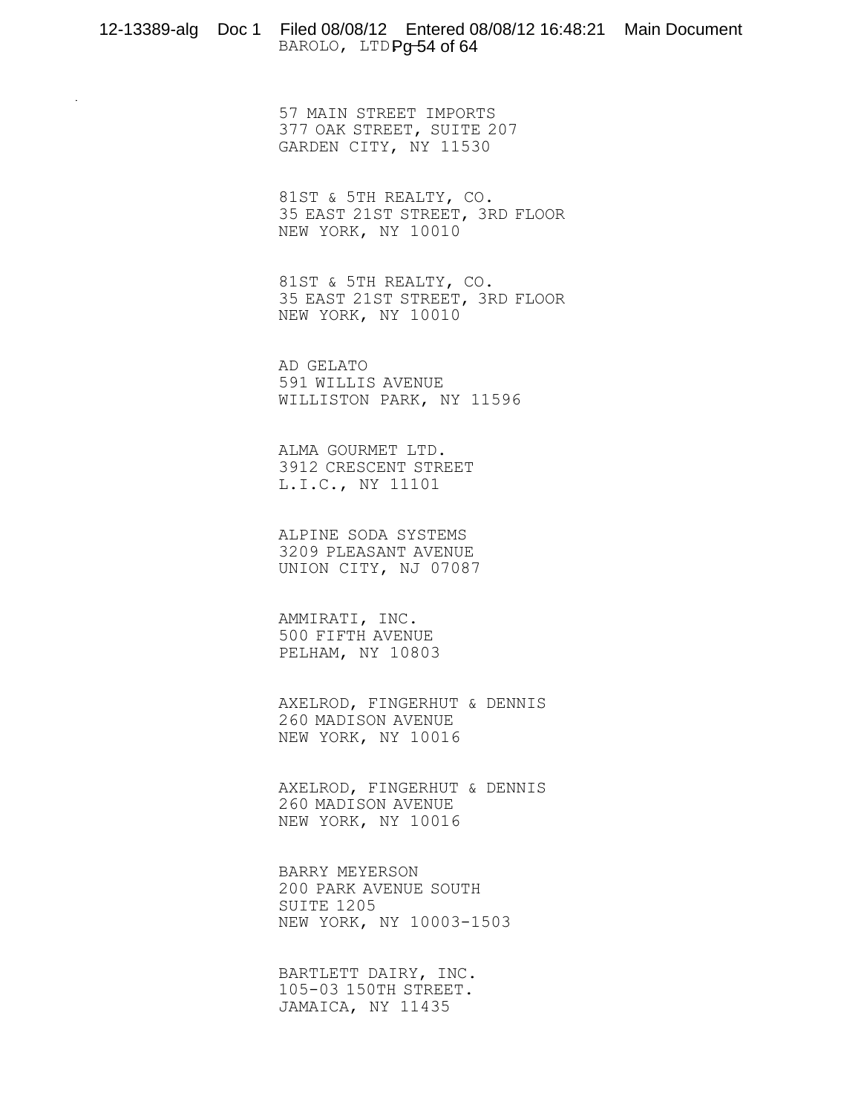### BAROLO, LTDPg-54 of 64 12-13389-alg Doc 1 Filed 08/08/12 Entered 08/08/12 16:48:21 Main Document

57 MAIN STREET IMPORTS 377 OAK STREET, SUITE 207 GARDEN CITY, NY 11530

81ST & 5TH REALTY, CO. 35 EAST 21ST STREET, 3RD FLOOR NEW YORK, NY 10010

81ST & 5TH REALTY, CO. 35 EAST 21ST STREET, 3RD FLOOR NEW YORK, NY 10010

AD GELATO 591 WILLIS AVENUE WILLISTON PARK, NY 11596

ALMA GOURMET LTD. 3912 CRESCENT STREET L.I.C., NY 11101

ALPINE SODA SYSTEMS 3209 PLEASANT AVENUE UNION CITY, NJ 07087

AMMIRATI, INC. 500 FIFTH AVENUE PELHAM, NY 10803

AXELROD, FINGERHUT & DENNIS 260 MADISON AVENUE NEW YORK, NY 10016

AXELROD, FINGERHUT & DENNIS 260 MADISON AVENUE NEW YORK, NY 10016

BARRY MEYERSON 200 PARK AVENUE SOUTH SUITE 1205 NEW YORK, NY 10003-1503

BARTLETT DAIRY, INC. 105-03 150TH STREET. JAMAICA, NY 11435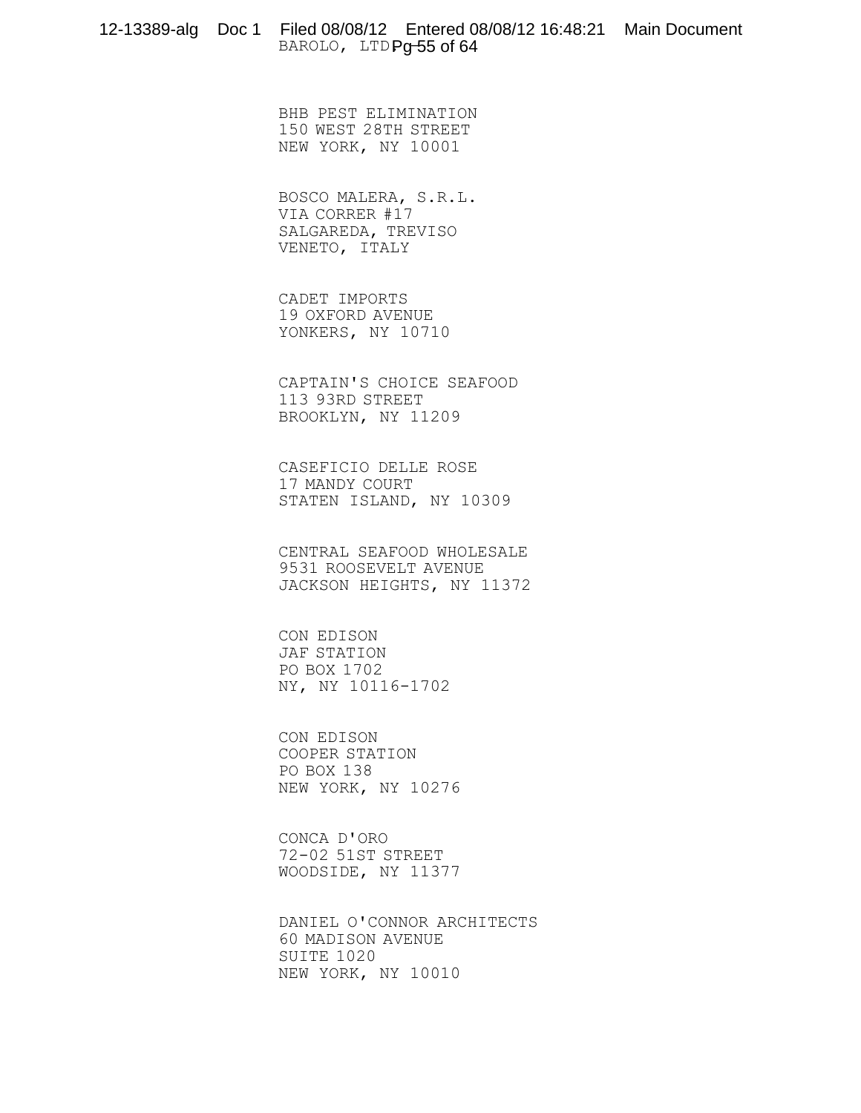### BAROLO, LTDPg-55 of 64 12-13389-alg Doc 1 Filed 08/08/12 Entered 08/08/12 16:48:21 Main Document

BHB PEST ELIMINATION 150 WEST 28TH STREET NEW YORK, NY 10001

BOSCO MALERA, S.R.L. VIA CORRER #17 SALGAREDA, TREVISO VENETO, ITALY

CADET IMPORTS 19 OXFORD AVENUE YONKERS, NY 10710

CAPTAIN'S CHOICE SEAFOOD 113 93RD STREET BROOKLYN, NY 11209

CASEFICIO DELLE ROSE 17 MANDY COURT STATEN ISLAND, NY 10309

CENTRAL SEAFOOD WHOLESALE 9531 ROOSEVELT AVENUE JACKSON HEIGHTS, NY 11372

CON EDISON JAF STATION PO BOX 1702 NY, NY 10116-1702

CON EDISON COOPER STATION PO BOX 138 NEW YORK, NY 10276

CONCA D'ORO 72-02 51ST STREET WOODSIDE, NY 11377

DANIEL O'CONNOR ARCHITECTS 60 MADISON AVENUE SUITE 1020 NEW YORK, NY 10010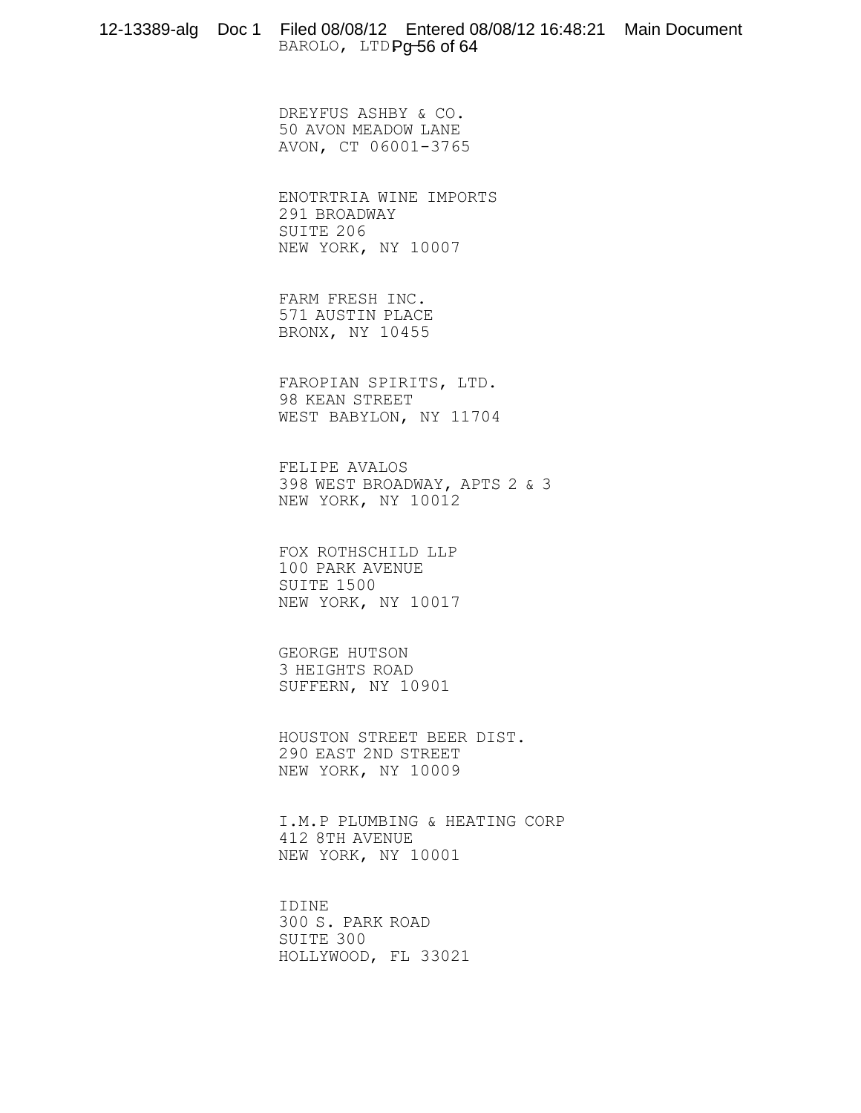### BAROLO, LTDPg-56 of 64 12-13389-alg Doc 1 Filed 08/08/12 Entered 08/08/12 16:48:21 Main Document

DREYFUS ASHBY & CO. 50 AVON MEADOW LANE AVON, CT 06001-3765

ENOTRTRIA WINE IMPORTS 291 BROADWAY SUITE 206 NEW YORK, NY 10007

FARM FRESH INC. 571 AUSTIN PLACE BRONX, NY 10455

FAROPIAN SPIRITS, LTD. 98 KEAN STREET WEST BABYLON, NY 11704

FELIPE AVALOS 398 WEST BROADWAY, APTS 2 & 3 NEW YORK, NY 10012

FOX ROTHSCHILD LLP 100 PARK AVENUE SUITE 1500 NEW YORK, NY 10017

GEORGE HUTSON 3 HEIGHTS ROAD SUFFERN, NY 10901

HOUSTON STREET BEER DIST. 290 EAST 2ND STREET NEW YORK, NY 10009

I.M.P PLUMBING & HEATING CORP 412 8TH AVENUE NEW YORK, NY 10001

IDINE 300 S. PARK ROAD SUITE 300 HOLLYWOOD, FL 33021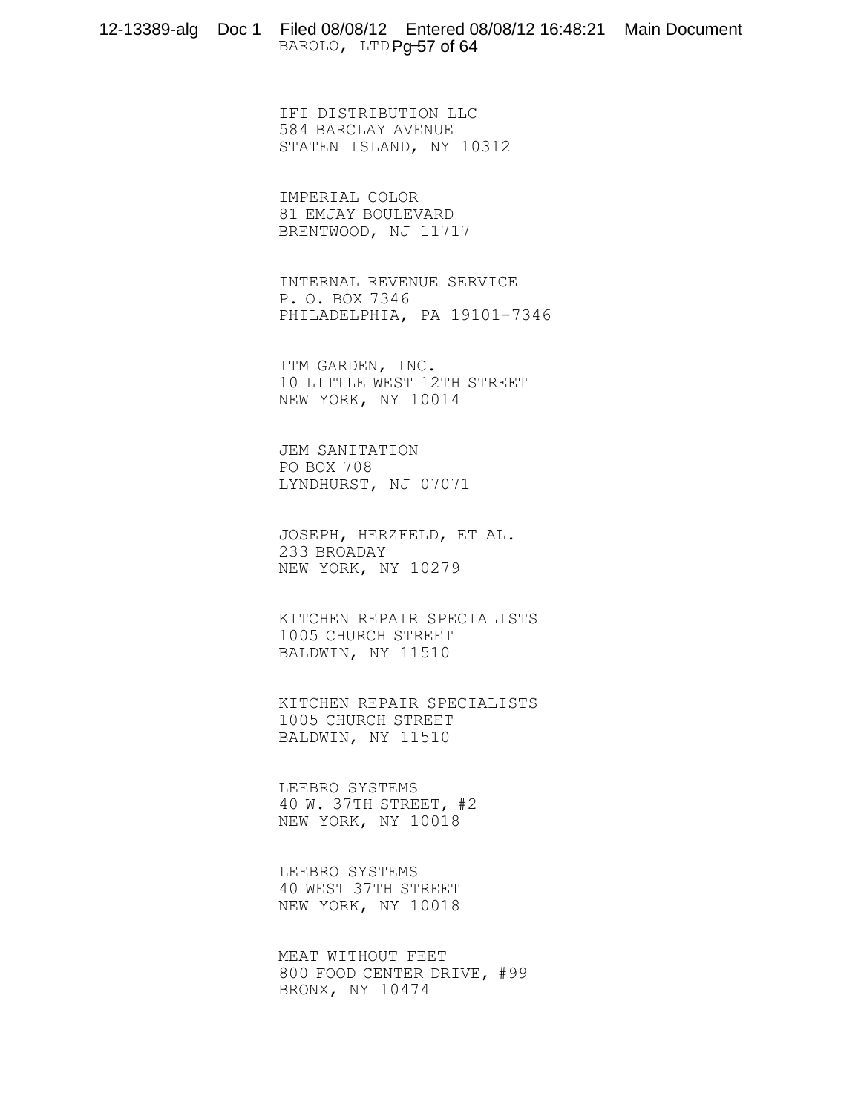### BAROLO, LTDPg-57 of 64 12-13389-alg Doc 1 Filed 08/08/12 Entered 08/08/12 16:48:21 Main Document

IFI DISTRIBUTION LLC 584 BARCLAY AVENUE STATEN ISLAND, NY 10312

IMPERIAL COLOR 81 EMJAY BOULEVARD BRENTWOOD, NJ 11717

INTERNAL REVENUE SERVICE P. O. BOX 7346 PHILADELPHIA, PA 19101-7346

ITM GARDEN, INC. 10 LITTLE WEST 12TH STREET NEW YORK, NY 10014

JEM SANITATION PO BOX 708 LYNDHURST, NJ 07071

JOSEPH, HERZFELD, ET AL. 233 BROADAY NEW YORK, NY 10279

KITCHEN REPAIR SPECIALISTS 1005 CHURCH STREET BALDWIN, NY 11510

KITCHEN REPAIR SPECIALISTS 1005 CHURCH STREET BALDWIN, NY 11510

LEEBRO SYSTEMS 40 W. 37TH STREET, #2 NEW YORK, NY 10018

LEEBRO SYSTEMS 40 WEST 37TH STREET NEW YORK, NY 10018

MEAT WITHOUT FEET 800 FOOD CENTER DRIVE, #99 BRONX, NY 10474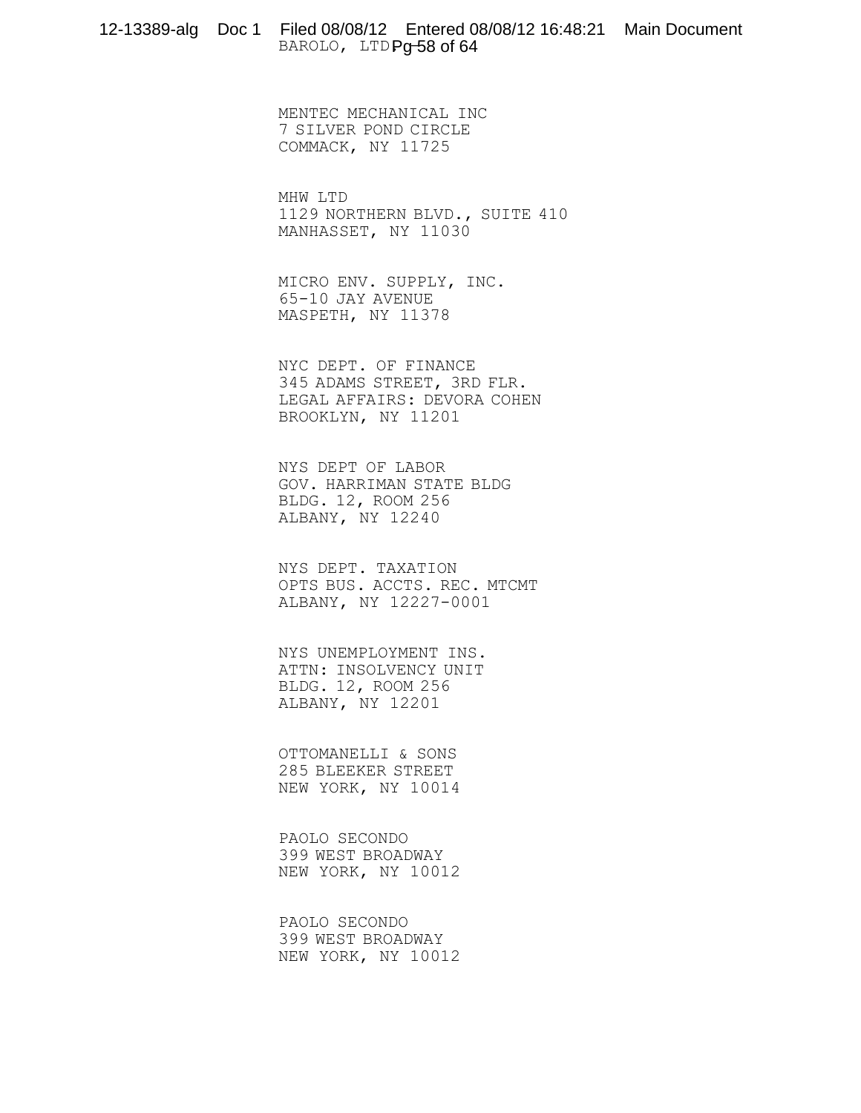### BAROLO, LTDPg-58 of 64 12-13389-alg Doc 1 Filed 08/08/12 Entered 08/08/12 16:48:21 Main Document

MENTEC MECHANICAL INC 7 SILVER POND CIRCLE COMMACK, NY 11725

MHW LTD 1129 NORTHERN BLVD., SUITE 410 MANHASSET, NY 11030

MICRO ENV. SUPPLY, INC. 65-10 JAY AVENUE MASPETH, NY 11378

NYC DEPT. OF FINANCE 345 ADAMS STREET, 3RD FLR. LEGAL AFFAIRS: DEVORA COHEN BROOKLYN, NY 11201

NYS DEPT OF LABOR GOV. HARRIMAN STATE BLDG BLDG. 12, ROOM 256 ALBANY, NY 12240

NYS DEPT. TAXATION OPTS BUS. ACCTS. REC. MTCMT ALBANY, NY 12227-0001

NYS UNEMPLOYMENT INS. ATTN: INSOLVENCY UNIT BLDG. 12, ROOM 256 ALBANY, NY 12201

OTTOMANELLI & SONS 285 BLEEKER STREET NEW YORK, NY 10014

PAOLO SECONDO 399 WEST BROADWAY NEW YORK, NY 10012

PAOLO SECONDO 399 WEST BROADWAY NEW YORK, NY 10012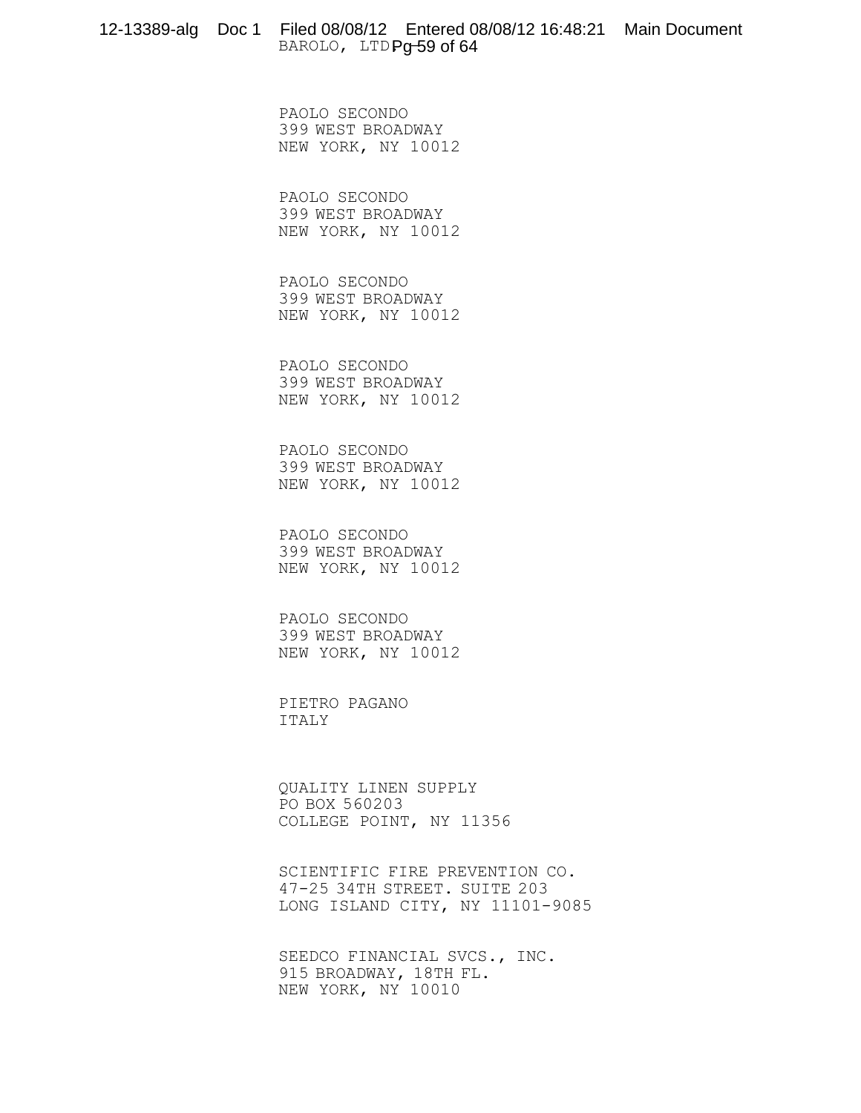### BAROLO, LTDPg-59 of 64 12-13389-alg Doc 1 Filed 08/08/12 Entered 08/08/12 16:48:21 Main Document

PAOLO SECONDO 399 WEST BROADWAY NEW YORK, NY 10012

PAOLO SECONDO 399 WEST BROADWAY NEW YORK, NY 10012

PAOLO SECONDO 399 WEST BROADWAY NEW YORK, NY 10012

PAOLO SECONDO 399 WEST BROADWAY NEW YORK, NY 10012

PAOLO SECONDO 399 WEST BROADWAY NEW YORK, NY 10012

PAOLO SECONDO 399 WEST BROADWAY NEW YORK, NY 10012

PAOLO SECONDO 399 WEST BROADWAY NEW YORK, NY 10012

PIETRO PAGANO ITALY

QUALITY LINEN SUPPLY PO BOX 560203 COLLEGE POINT, NY 11356

SCIENTIFIC FIRE PREVENTION CO. 47-25 34TH STREET. SUITE 203 LONG ISLAND CITY, NY 11101-9085

SEEDCO FINANCIAL SVCS., INC. 915 BROADWAY, 18TH FL. NEW YORK, NY 10010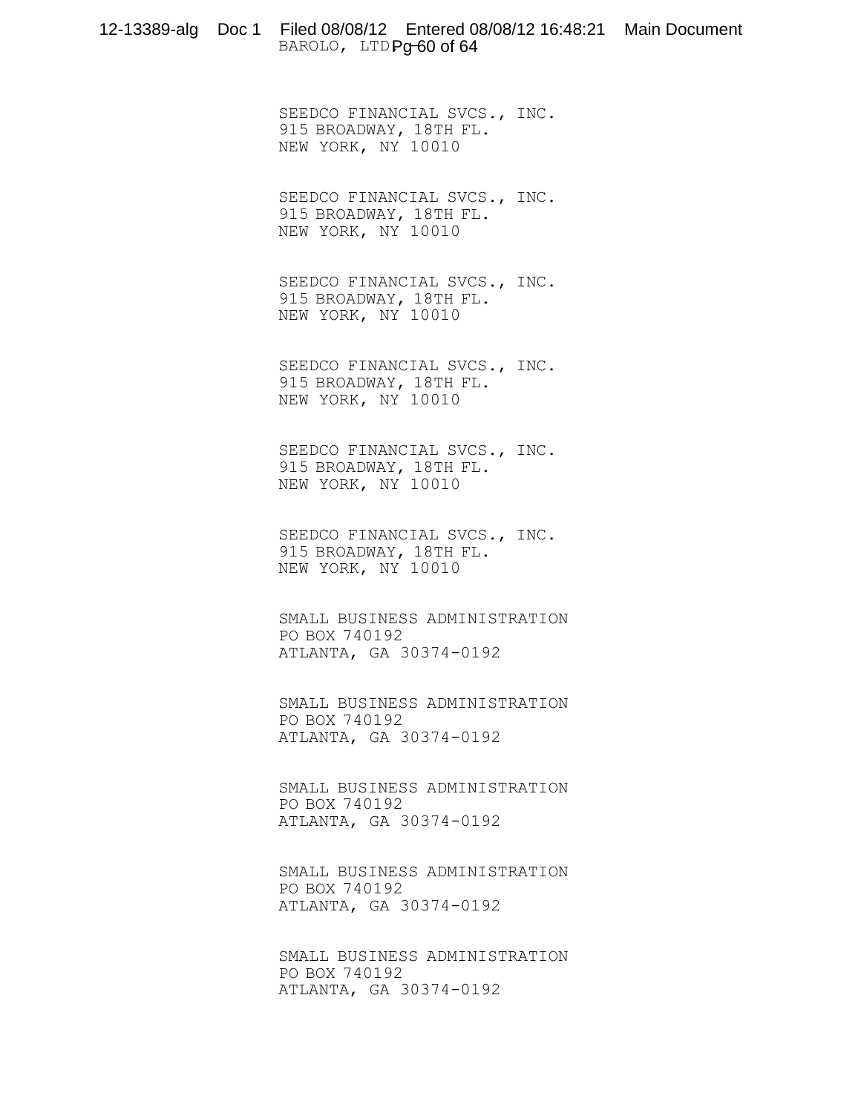### BAROLO, LTDPg-60 of 64 12-13389-alg Doc 1 Filed 08/08/12 Entered 08/08/12 16:48:21 Main Document

SEEDCO FINANCIAL SVCS., INC. 915 BROADWAY, 18TH FL. NEW YORK, NY 10010

SEEDCO FINANCIAL SVCS., INC. 915 BROADWAY, 18TH FL. NEW YORK, NY 10010

SEEDCO FINANCIAL SVCS., INC. 915 BROADWAY, 18TH FL. NEW YORK, NY 10010

SEEDCO FINANCIAL SVCS., INC. 915 BROADWAY, 18TH FL. NEW YORK, NY 10010

SEEDCO FINANCIAL SVCS., INC. 915 BROADWAY, 18TH FL. NEW YORK, NY 10010

SEEDCO FINANCIAL SVCS., INC. 915 BROADWAY, 18TH FL. NEW YORK, NY 10010

SMALL BUSINESS ADMINISTRATION PO BOX 740192 ATLANTA, GA 30374-0192

SMALL BUSINESS ADMINISTRATION PO BOX 740192 ATLANTA, GA 30374-0192

SMALL BUSINESS ADMINISTRATION PO BOX 740192 ATLANTA, GA 30374-0192

SMALL BUSINESS ADMINISTRATION PO BOX 740192 ATLANTA, GA 30374-0192

SMALL BUSINESS ADMINISTRATION PO BOX 740192 ATLANTA, GA 30374-0192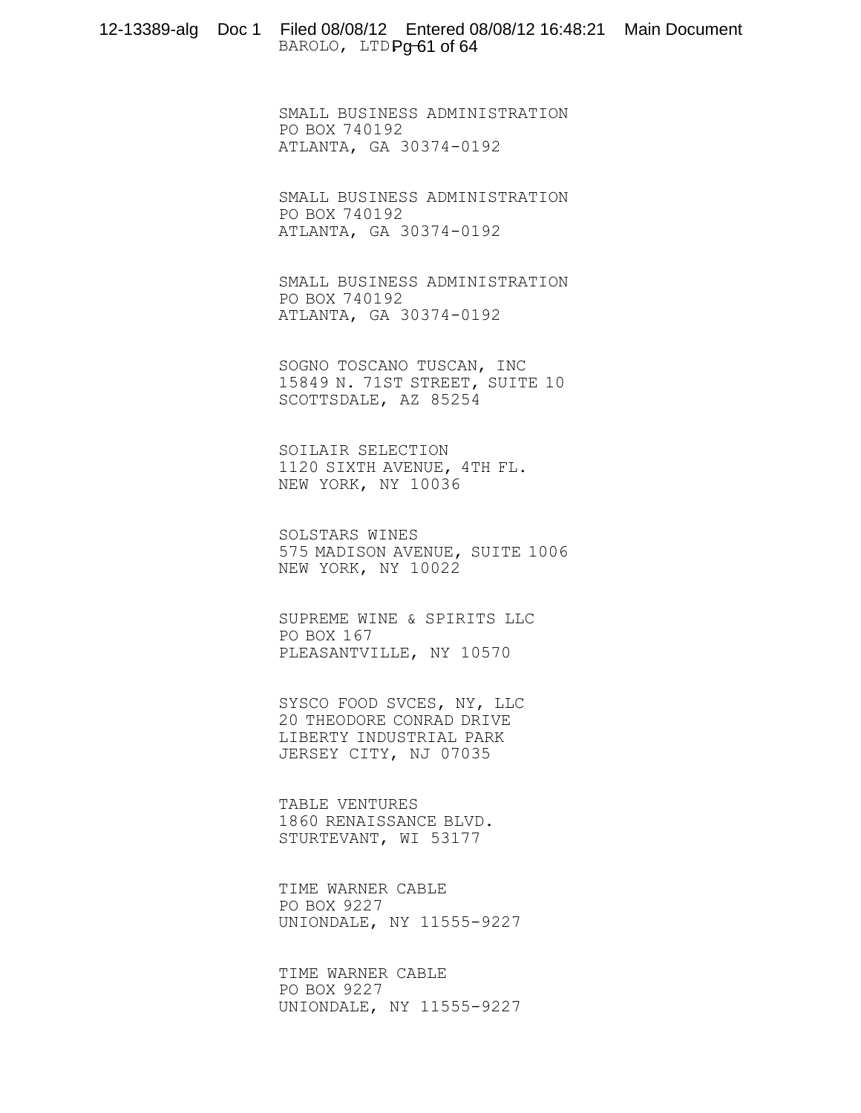### BAROLO, LTDPg-61 of 64 12-13389-alg Doc 1 Filed 08/08/12 Entered 08/08/12 16:48:21 Main Document

SMALL BUSINESS ADMINISTRATION PO BOX 740192 ATLANTA, GA 30374-0192

SMALL BUSINESS ADMINISTRATION PO BOX 740192 ATLANTA, GA 30374-0192

SMALL BUSINESS ADMINISTRATION PO BOX 740192 ATLANTA, GA 30374-0192

SOGNO TOSCANO TUSCAN, INC 15849 N. 71ST STREET, SUITE 10 SCOTTSDALE, AZ 85254

SOILAIR SELECTION 1120 SIXTH AVENUE, 4TH FL. NEW YORK, NY 10036

SOLSTARS WINES 575 MADISON AVENUE, SUITE 1006 NEW YORK, NY 10022

SUPREME WINE & SPIRITS LLC PO BOX 167 PLEASANTVILLE, NY 10570

SYSCO FOOD SVCES, NY, LLC 20 THEODORE CONRAD DRIVE LIBERTY INDUSTRIAL PARK JERSEY CITY, NJ 07035

TABLE VENTURES 1860 RENAISSANCE BLVD. STURTEVANT, WI 53177

TIME WARNER CABLE PO BOX 9227 UNIONDALE, NY 11555-9227

TIME WARNER CABLE PO BOX 9227 UNIONDALE, NY 11555-9227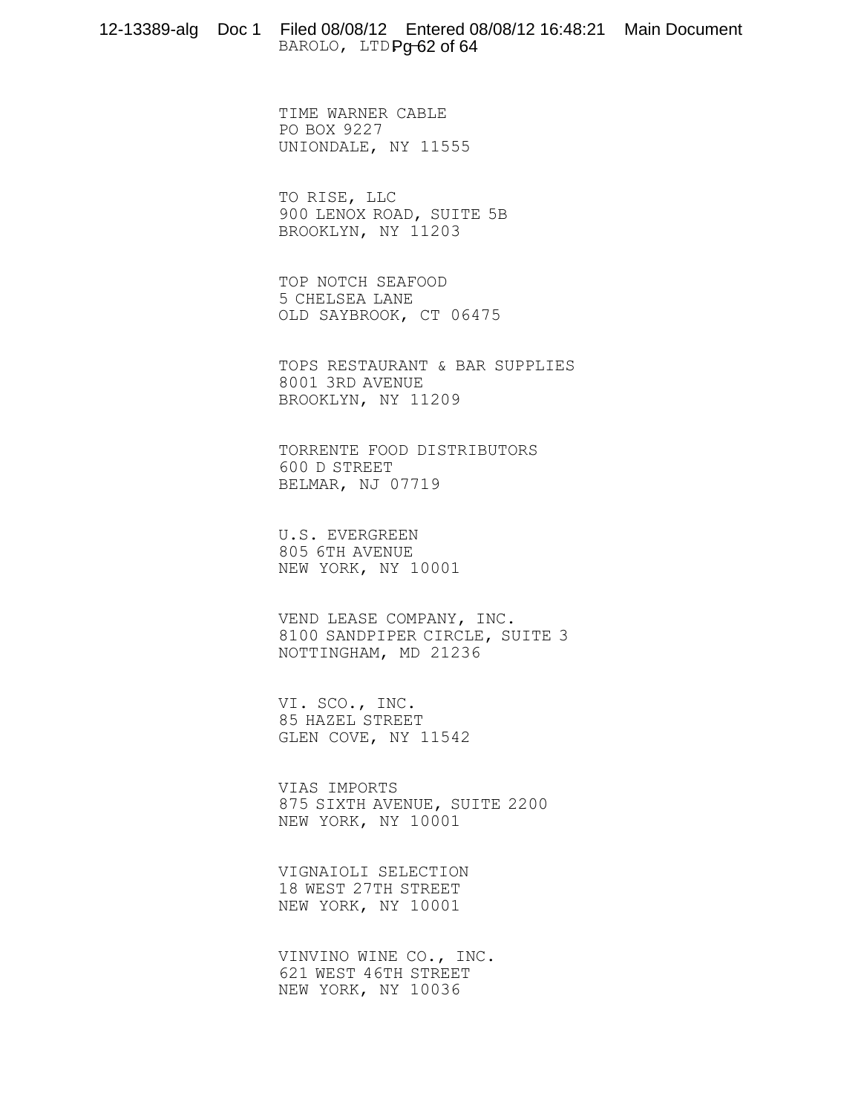### BAROLO, LTDPg-62 of 64 12-13389-alg Doc 1 Filed 08/08/12 Entered 08/08/12 16:48:21 Main Document

TIME WARNER CABLE PO BOX 9227 UNIONDALE, NY 11555

TO RISE, LLC 900 LENOX ROAD, SUITE 5B BROOKLYN, NY 11203

TOP NOTCH SEAFOOD 5 CHELSEA LANE OLD SAYBROOK, CT 06475

TOPS RESTAURANT & BAR SUPPLIES 8001 3RD AVENUE BROOKLYN, NY 11209

TORRENTE FOOD DISTRIBUTORS 600 D STREET BELMAR, NJ 07719

U.S. EVERGREEN 805 6TH AVENUE NEW YORK, NY 10001

VEND LEASE COMPANY, INC. 8100 SANDPIPER CIRCLE, SUITE 3 NOTTINGHAM, MD 21236

VI. SCO., INC. 85 HAZEL STREET GLEN COVE, NY 11542

VIAS IMPORTS 875 SIXTH AVENUE, SUITE 2200 NEW YORK, NY 10001

VIGNAIOLI SELECTION 18 WEST 27TH STREET NEW YORK, NY 10001

VINVINO WINE CO., INC. 621 WEST 46TH STREET NEW YORK, NY 10036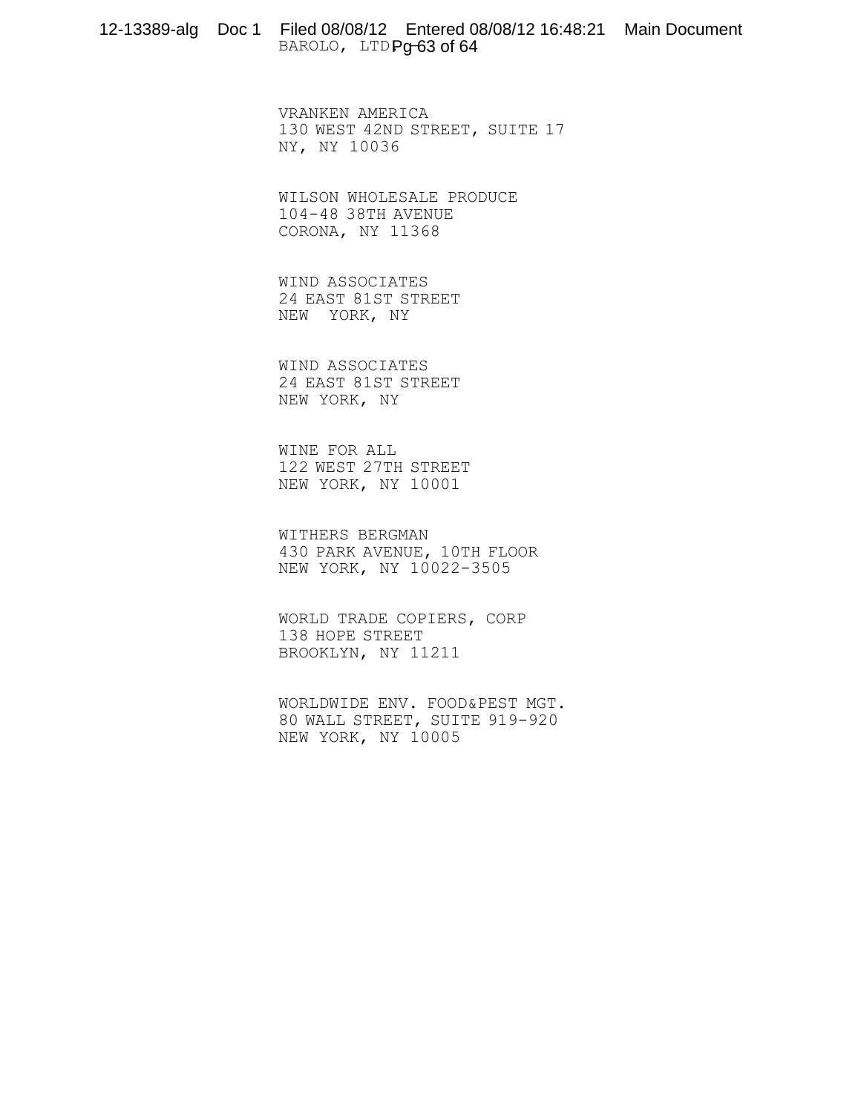## BAROLO, LTDPg-63 of 64 12-13389-alg Doc 1 Filed 08/08/12 Entered 08/08/12 16:48:21 Main Document

VRANKEN AMERICA 130 WEST 42ND STREET, SUITE 17 NY, NY 10036

WILSON WHOLESALE PRODUCE 104-48 38TH AVENUE CORONA, NY 11368

WIND ASSOCIATES 24 EAST 81ST STREET NEW YORK, NY

WIND ASSOCIATES 24 EAST 81ST STREET NEW YORK, NY

WINE FOR ALL 122 WEST 27TH STREET NEW YORK, NY 10001

WITHERS BERGMAN 430 PARK AVENUE, 10TH FLOOR NEW YORK, NY 10022-3505

WORLD TRADE COPIERS, CORP 138 HOPE STREET BROOKLYN, NY 11211

WORLDWIDE ENV. FOOD&PEST MGT. 80 WALL STREET, SUITE 919-920 NEW YORK, NY 10005